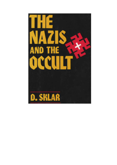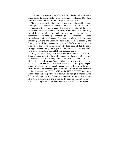Hitler and the Holocaust. One life, six million deaths. What allowed a great nation to affirm Hitler in unquestioning obedience? Ms. Sklar finds the answer in the dark side of the intellect: a belief in the occult.

Ms. Sklar is not the first to discover a link between the proliferation of occult groups and the rise of Nazism in Germany, but she is first to treat the subject seriously, and in depth. She details the history of the occult movement, which held tremendous sway in late nineteenth- and early twentieth-century Germany, and exposes its underlying fascist twentieth-century Germany, and exposes its underlying fascist tendencies. Overlapping memberships in mystical societies tendencies. Overlapping memberships in strengthened political alliances. The rituals, symbols, and attitudes including virulent anti-Semitism—foreshadowed in astonishing and horrifying detail the language, thoughts, and deeds of der Fuhrer. The Nazis had their roots in an occult sect which believed that the racial struggle between the »pure« Aryan and the »subhuman« Jew was really an ancient supernatural contest between gods and beasts.

Going beyond an analysis of the evolution of German Nazism, Ms. Sklar warns us about the threat of contemporary fanaticism. She sees in movements like Sun-Myung Moon's Unification Church, L. Ron Hubbard's Scientology, and Werner Erhard's est many of the same elements which linked Germany's occult societies and the Nazi party: unquestioning obedience to a messianic leader, secrecy, loyalty to the group above all else, a belief in the »special« powers of members, and ritualistic initiation ceremonies. THE NAZIS AND THE OCCULT provides a ground-breaking perspective on a fearful historical phenomenon in the light of today's problems. It shows the attraction to occultism in a time of alienation and impotence and warns of the dangers inherent in movements which replace individual conscience with obedience to a leader.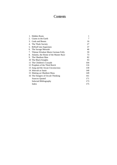# **Contents**

|  | 1. Hidden Roots                          | 1   |
|--|------------------------------------------|-----|
|  | 2. Giants in the Earth                   | 7   |
|  | 3. Gods and Beasts                       | 16  |
|  | 4. The Thule Society                     | 27  |
|  | 5. Riffraff into Supermen                | 37  |
|  | 6. The Savage Messiah                    | 46  |
|  | 7. Tibetan Wisdom Meets German Folly     | 59  |
|  | 8. Atlantis, the Home of the Master Race | 73  |
|  | 9. The Obedient Man                      | 82  |
|  | 10 The Black Knights                     | 93  |
|  | 11 The Children's Crusade                | 104 |
|  | 12 Prophets of the Third Reich           | 116 |
|  | 13 Jung and the Aryan Unconscious        | 130 |
|  | 14 Jehovah as Satan                      | 140 |
|  | 15 Making an Obedient Mass               | 149 |
|  | 16 The Dangers of Occult Thinking        | 161 |
|  | <b>Sources Quoted</b>                    | 171 |
|  | Selected Bibliography                    | 173 |
|  | Index                                    | 175 |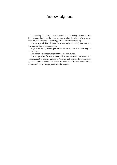## Acknowledgments

In preparing this book, I have drawn on a wide variety of sources. The bibliography should not be taken as representing the whole of my source material, but rather as a list of suggestions for further reading.

I owe a special debt of gratitude to my husband, David, and my son, Steven, for their encouragement.

Hugh Rawson, my editor, performed the weary task of scrutinizing the manuscript.

Translation assistance was given by Hans Karlsruher.

It is not possible for me to thank all of the members (enchanted and disenchanted) of esoteric groups in America and England for information given in a spirit of cooperation and with a desire to enlarge our understanding of an emotionally charged, controversial subject.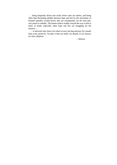. . . being frequently driven into straits where rules are useless, and being often kept fluctuating pitiably between hope and fear by the uncertainty of fortune's greedily coveted favors, they are consequently, for the most part, very prone to credulity. The human mind is readily swayed this way or that in times of doubt, especially when hope and fear are struggling for the mastery. . . .

... in adversity they know not where to turn, but beg and pray for counsel from every passer-by. No plan is then too futile, too absurd, or too fatuous for their adoption. . . .

—Spinoza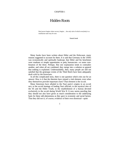#### CHAPTER 1

### Hidden Roots

Real power begins where secrecy begins ... the only rule of which everybody in a totalitarian state may be sure.

Hannah Arendt

Many books have been written about Hitler and the Holocaust, many reasons suggested to account for them. It is said that Germany in the 1930's was economically and spiritually bankrupt, that Hitler and his henchmen were madmen or simple opportunists or petty bureaucrats—or some combination of the three. Perhaps. But one explanation tends to contradict another, and when all are combined, they merge into a solution so general that nothing is explained. Understandably, then, many people are still not satisfied that the grotesque events of the Third Reich have been adequately dealt with by the historians.

In all this complicated story, there is one question which cries out for an answer: How is it that the theorists have missed a vital element, even when they themselves provide important clues? That element is the occult.

Many historians have alluded to the Nazi party's origins in an occult sect, to the occult leanings of leading Nazi officials, to the mystical rites of the SS and the Hitler Youth, to the establishment of a bureau devoted exclusively to the occult during World War II. It now seems puzzling that they should not also have given as much consideration to the underlying basis for these odd phenomena as they gave to economic and social factors. That they did not is, of course, evidence of their own dismissal—quite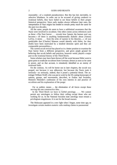reasonably—of a crankish pseudoscience. But this has led, inevitably, to selective blindness. In order not to be accused of giving credence to irrational beliefs, they have failed to see those beliefs in their proper historical perspective. Since early studies always influence later ones, the interpretation of Nazi origins has tended to remain pretty much the same for the past two decades.

All the same, people do seem to have a subliminal awareness that the Nazis were involved in occultism. One often comes across references such as these: »The Nazi horror . . . reveals how Satanic the human soul can become.« »If there is anything fundamentally diabolic about [Anton] LaVey, it stems . . . from the echo of nazism in his theories....« »It was predictable that [Charles] Manson would identify with Hitler, for they [both] have been motivated by a kindred demonic spirit and they are comparable personalities.«

The current occult revival has placed us in a better position to examine the Nazi horror from a different perspective, and gives ample ground for believing that occult beliefs and practices, however weird, played a major part in the irrational history of the Third Reich.

Some scholars may have been thrown off the scent because Hitler went to great pains to eradicate occultism from Germany almost as soon as he came to power, and on that account, is mistakenly identified as an enemy of irrational faith.

On the contrary. As will be borne out in later chapters, the occult was purged, not because it was abhorrent, but because the Nazis took it seriously—so seriously, indeed, that it posed a potential threat. The astrologer William Wulff, who was put to work by the SS casting horoscopes of nations, groups, and movements, describes, in Zodiac and Swastika, Heinrich Himmler's confession of his own interest in and practice of occultism and his explanation of the purge:

For us politics means ... the elimination of all forces except those serving the one constructive idea. . . .

In the Third Reich we have to forbid astrology. . . . We cannot permit any astrologers to follow their calling except those who are working for us. In the National Socialist state astrology must remain a privilegium singulorum. It is not for the broad masses.

The Holocaust appeared in a new light when I began, some time ago, to investigate certain modern esoteric cults making claims to paranormal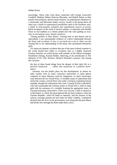knowledge. These cults, from those connected with George Ivanovitch Gurdjieff, Madame Helena Petrovna Blavatsky, and Rudolf Steiner to their present reincarnations, shared certain features: an authoritarian obedience to a charismatic and Messianic leader; secrecy; loyalty to the group above all other ties; a belief in supernatural possibilities open to the members only; a belief in reincarnation; initiation into superhuman sources of power; literal acceptance of the myth of ancient »giants« or supermen who handed down an oral tradition to a chosen people and who were guiding us now; and, in uncommon cases, Satanic practices.

Glaring parallels to Nazi history. Turning back to that history and its antecedents, I saw unmistakable evidence of a direct relationship between the Nazis and occultism. In fact, it was hard not to see it. Here was the missing link in our understanding of the beasts who proclaimed themselves gods.

If it seems too fantastic to believe that one of the most civilized countries in the world should have fallen to occultism, here is a highly respected German historian, an exiled former staff member of the liberal newspaper Frankfurter Zeitung, Konrad Heiden, observing, in his introduction to The Memoirs of Dr. Felix Kersten, Heinrich Himmler's masseur, that among the Germans

the best of them found refuge from the despair of their daily life in a perverse fanaticism . . . called »the mysticism of a political movement.«

Germany was the perfect place for this development. In almost no other country were so many »miracles« performed, so many ghosts conjured, so many illnesses cured by magnetism, so many horoscopes read, between the two World Wars. A veritable mania of superstition had seized the country, and all those who made a living by exploiting human stupidity thought the millennium had come. General [Erich] Ludendorff, who had commanded the German armies in World War I, tried to make gold with the assistance of a swindler boasting the appropriate name of Tausend (meaning »thousand«). There was scarcely a folly in natural or world history to which the great general did not lend credence; when the German Republic, which he hated so intensely, had the barriers of the railway crossings painted red and white for better visibility, Ludendorff declared that the Jews in the government were doing this because Moses had led the Jews through the desert under these colors.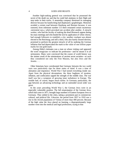Another high-ranking general was convinced that he possessed the secret of the death ray and that he could halt airplanes in their flight and stop tanks in their tracks. A steamship company dismissed its managing director because his handwriting had displeased a graphologist. Motorists avoided a certain road between Hamburg and Bremen because, it was rumored, from milestone number 113 there emanated certain mysterious »terrestrial rays,« which provoked one accident after another. A miracle worker, who had the faculty of making the dead Bismarck appear during his mass meetings and who healed the sick by application of white cheese, had enough followers to establish a city; another crackpot was almost elected to the Reichstag; and still a third, who also barely missed election, promised to perform the greatest miracle of all by undoing the German inflation that had depreciated the mark to the value of one trillion paper marks for one gold mark.

Among Hitler's intimates was a man on whose visiting card appeared the word »magician« to indicate his profession—and he meant it in all seriousness. Many were convinced that the course of world history was the sinister result of the ministrations of ancient secret societies—as such they considered not only the Free Masons, but also Jews and the Jesuits. . . .

Other historians have corroborated that Germany between the two world wars was particularly ripe for these states of mind. It was a time of alienation and impotence. World War I had turned everything inside out. Apart from the physical devastations, the three bugbears of taxation, inflation, and confiscation sapped the strength of the middle class. The war itself was but a symptom of growing inner turbulence in Europe. The trouble had, of course, begun much earlier. In Germany particularly, the gap between an advancing technology and an outmoded social order was great.

In the years preceding World War I, the German Jews were in an especially vulnerable position. The full emancipation of the German Jews, which had come in 1871, brought large numbers of Eastern European Jews to Germany. They settled in the cities, taking a prominent part in commercial, cultural, and political life. Likewise, the period from 1857 to 1910 saw a rise in the Jewish population of Vienna of more than 400 percent. Because of the high value the Jews placed on learning, a disproportionately large number went into the medical and legal professions, trying in that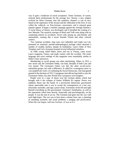way to gain a modicum of social acceptance. Some Germans, of course, mistook these professionals for the average Jew. Slowly, a new religion evolved for those Germans who felt somehow cheated—a cult of race, based on the supremacy of the Aryans and the vilification of the Jews. It was called the volkisch—or Pan-German—movement, and it enjoyed great popular appeal. It began a virulent campaign against the »foreign element.« A racial theory of history was developed, and it heralded the coming of a new Messiah. The mystical concepts of Reich and Volk went along with an awakening interest in occultism. Secret cults sprang up, anti-Semitic and nationalistic, running like a sewer beneath Vienna and other cultural centers.

Two Austrian occultists, Jorg Lanz von Liebenfels and Guido von List, presented an irrational, pseudo-anthropological package which attracted a number of wealthy backers, despite its foolishness. Lanz's Order of New Templars and List's Armanen boasted several influential members.

In 1909, young Adolf Hitler, down and out in Vienna, came across Lanz's magazine, Ostara, and made contact with the occultist. The erotic language and racist rantings of this magazine were remarkably similar to Hitler's later utterances.

Membership in occult groups was often interlocking. When, in 1912, a new secret cult, the Germanen Orden, was born, disciples of both Lanz and List joined. The Germanen Orden was like the other occult-racistnationalist groups, but with a difference. It called for »courageous men« to »accomplish the work« of combating the Social Democrats, who had gained ground in the elections of 1912. Courageous men did not leap forth to join the Germanen Orden, but after World War I prospects were brighter.

People were in a state of shock over the German defeat, which had brought with it the collapse of Kaiser Wilhelm II's regime. Power was suddenly thrust into the hands of a provisional democratic government whose unenviable task it was to accept the consequences of a lost war, reluctantly surrender, and sign a peace treaty. Extremists of the left and right blamed everything on this government: Germany's humiliation, as well as the reparations which bore heavily, financially and psychologically, on the people. It was the end of an era. The Germans had gone into the war with such high hopes. The war was to have been a release from care, a cleansing of mounting economic and social problems, a purging and purification. When the war began, said one German, »it was as if a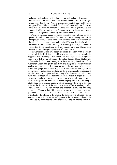nightmare had vanished, as if a door had opened, and an old yearning had been satisfied.« The idea of war itself had become beautiful. It was to give people back their lives. »Peace,« as someone pointed out, »had become insupportable.« Hitler embodied the alienated man with no family or occupation, to whom the outbreak of World War I was a godsend. He later confessed: »For me, as for every German, there now began the greatest and most unforgettable time of my earthly existence.«

When the Germans signed the peace treaty, the army released almost a quarter of a million men to add their numbers to the growing ranks of the unemployed. Many soldiers were dazed to come home to a fatherland on the edge of anarchy, hungry, and undisciplined. The new Russian Revolution threatened to spill over into Germany. In Munich, particularly, Communists stalked the streets, threatening civil war. Conservatives and liberals alike were anxious to do anything to stave off communism.

The Germanen Orden was happy to merge its destiny with a Munich group called the Thule Society, which was meeting regularly to study the supposed occult meaning of the ancient Germanic alphabet and its symbolism. It was led by an astrologer who called himself Baron Rudolf von Sebottendorff. The Thule Society soon became the political arm of the Germanen Orden and quietly set about preparing for a counterrevolution against the government. It formed an umbrella for many of the racistnationalist groups and enlisted frightened or unscrupulous men against the government, which, it said, had betrayed the German people. In addition to rabid anti-Semitism, it preached the coming of a Fuhrer who would do away with hated democracy, the handmaiden of the weak. It began to collect weapons, bought a newspaper, instigated terrorist activity and stirred up race hatred against the Jews, all the while keeping up the front of being a study group for Germanic antiquity. Thule members who were to play key roles in the formation of the Nazi party were Alfred Rosenberg, Rudolf Hess, Gottfried Feder, Karl Harrer, and Dietrich Eckart. Not until they found their Fuhrer, Adolf Hitler, were they able to carry out the irrational programs of Lanz, List, and Sebottendorff. But all the essential ingredients—the ideology, the rituals, the symbols, the attitudes—of the coming Nazi Revolution were already present in the Germanen Orden and the Thule Society, as well as the Order of the New Templars and the Armanen.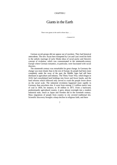#### CHAPTER 2

### Giants in the Earth

There were giants in the earth in those days. . . .

—Genesis 6:4

German occult groups did not appear out of nowhere. They had historical antecedents. The new Aryan hero trumpeted by List and Lanz owed his birth to the unholy marriage of early Hindu ideas of racial purity and Darwin's concept of evolution, which was consummated in the nineteenth-century Europe where German romantics, in particular, were fascinated with racial theories.

The nineteenth century was remarkable for great change. In Germany the change was more drastic than in the rest of Europe. Its people had been more completely under the sway of the past; the Middle Ages had still been dominant in agriculture and industry. The Thirty Years' War, which began in 1618, had consolidated land holdings into fewer and fewer hands, and the land reforms which followed only served to crush the people lower down on the social scale. The industrial revolution happened more rapidly in Germany than anywhere else. It went from mining 1.5 million metric tons of coal in 1850, for instance, to 30 million in 1871. From a backward, predominantly agricultural country, it grew almost overnight into a modern industrial state, much as Japan and Sweden did in the twentieth century. Mass migrations of people from country to city severed traditional ties. Scientific discovery brought a sharp decline in religious faith, and there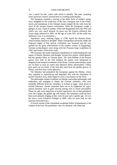was a search for new values with which to identify. The state, assuming more and more control, seemed bent on crushing individuality.

The European romantics, wincing at the bitter fruits of modern »progress,« delighted in the exoticisms of the East. European rule in the Orient, travel, and translations of the Oriental classics helped lift the veils from the faces of the ancient Eastern civilizations. What the Europeans caught a glimpse of was a kind of serenity which had disappeared from the West and which was very much desired. So great was the Eastern influence that Victor Hugo observed in 1829: »In the age of Louis XIV, all the world was Hellenist; now it is orientalist.«

Napoleon's army, entering Egypt in 1798, found the Rosetta Stone, which scholars labored to decipher. When Champollion solved the riddle, the long-lost tongue of that ancient civilization was loosened and the way opened for the great achievements of the modern science of Egyptology. German archaeologists went along with the Prussian king's expedition in 1842 and further refined the study.

The Germans also made important contributions to understanding the real nature of Islamic literature and thought. Persian love poems, called ghazals, had the greatest effect on German poets. The most brilliant of the Persian poems were Sufi. In the Sufi tradition, the poems were interpreted as allegorical and mystical revelations of the divine. German poet-scholars made use of them to such an extent that Heinrich Heine admonished: »These poor poets eat too freely of the fruit they steal from the garden groves of Shiraz, and then they vomit ghazals.«

The Muslims had prejudiced the Europeans against the Hindus, whom they regarded as superstitious and degraded. But with the translation of ancient Sanskrit texts, India began to exert a fascination on the West.

The philosopher Johann Gottfried von Herder read Indian philosophy with enthusiasm and managed to inspire the German romantics, who were markedly different from the romantics in Europe at large—more given to morbid bitterness. Herder cautioned them not to be frightened by supernatural elements such as gods moving among men or nature personified. These, he said, were depictions of actual experiences, for on that paradisical river, the Ganges, the golden age still existed. The romantics could not have been more pleased, longing as they were for just such a golden age. »It is to the East,« wrote Friedrich Schlegel in 1800, »that we must look for the supreme Romanticism.«

A French version of the Upanishads awakened Arthur Schopenhauer to the wisdom of the East. His pessimistic view of a demonic will, blind and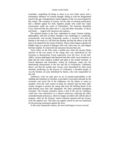insatiable, compelling all things to share in its own futile unrest, had a tremendous influence on German thought, falling in with the disappointed mood of the age. Schopenhauer's sterile negation of life was soon imitated by like minds. The cessation of activity, for the sake of eventual purification, had a definite appeal for tired, hopeless people who could now enjoy renunciation under the cloak of Orientalism. The historian Benedetto Croce observed that this often led to a »sad and bitter sensuality, of decay and death . . . tinged with Satanism and sadism.«

The spiritual journey to the East, undertaken by many German scholars, philosophers, and men of letters, brought a new mythology to a politically, economically, and socially despairing country: a mystical view that all fintrude is the result of a fall from the absolute and that the effects of the Fall have to be repaired by the course of history. These writers began to glorify the Middle Ages as a period of dialogue with God, when men, art, and religion had been unified. To restore the lost innocence became their aim.

Asia's effect on the West took a terrible turn when the ancient Hindu doctrine of the race purity of the ruling class was rationalized by the Germans to demonstrate Aryan superiority over the Jews. In the mid-1800's, German philologists had theorized that their noble Aryan forebears in India had the same mystical symbols and gods as the ancient Germans. A French diplomat and Orientalist, Arthur de Gobineau, made race the determining characteristic in the rise and fall of civilizations. Gobineau's theory was that the racially pure Aryans were bastardized by alien racial elements, producing, by the process of civilization, a decadent people. It was the Semites, he said, hybridized by blacks, who were responsible for the Fall.

Gobineau's work not only gave an air of pseudo-respectability to the budding anti-Semitism in Germany, it provided a convenient rationale for the economic and social fall of the nobleman—for his failure to return to paradise. Even the caste system in India, he claimed, had not been sufficiently stringent to protect the ruling elite from the defiling blood of the dark-skinned races they had subjugated. His ideas penetrated throughout Germany. The German romantics, given a shot in the arm by Gobineau, could now view themselves as a natural aristocracy replacing the older, outmoded feudal aristocracy, which no longer accorded well with the idea of progress. After all, the Teutons, whom Gobineau equated with the Aryans, were the superior race. This idea was eagerly seized on and was buttressed by the growing resentment against the Jews.

In the early nineteenth century, the Jews had begun to move toward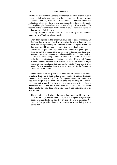equality and citizenship in Germany. Before then, the mass of them lived in ghettos behind walls, were taxed heavily, and were barred from any work but peddling and petty trade except for a select few, and even then under prohibitions which gave them a bare subsistence. Even the more fortunate, like the philosopher Moses Mendelssohn, at the height of his fame in 1776, reported that to enter Dresden he was forced to pay »a head tax« equivalent to that set for »a Polish cow.«

Ludwig Boerne, a satirist born in 1786, writing of his boyhood memories in a Frankfurt ghetto, recalls:

There they rejoiced in the tender watchful care of the government. On Sundays they were prohibited from leaving the ghetto lane, to spare them from being beaten up by drunkards. Before the age of twenty-five they were forbidden to marry, in order that their offspring prove sound and sturdy. On public holidays they had to reenter the ghetto gate by sharp six in the evening, lest over-exposure to the sun ruin their complexions. They were forbidden to stroll in the fields beyond the city wall, so as to run no risk of being attracted to the life of a farmer. When a Jew walked the city streets and a Christian cried Mach Mores, Jud! (»Your manners, Jew!«), he needs must remove his hat; in this way the proper politeness was maintained between the two faiths. Then, too, a great many of the streets—their bumpy pavement was bad for the feet—were altogether closed to him.

After the German emancipation of the Jews, which took several decades to complete, there was a huge influx of Jews from the Eastern European countries, which were still guilty of fierce persecutions. Life in Germany was more hospitable to them. But in time, the majority of Germans, scratching out a bare living themselves, began to resent them. Boerne understood well the hostility of these Germans, who flattered themselves that no matter how low their estate, they were at least not members of an inferior race:

The poor Germans! Living in the lowest floor, oppressed by the seven floors of the upper classes, their anxiety is made lighter by speaking of people who are still lower than they are and who live in the cellar. Not being a Jew provides them with consolation at not being a state councillor.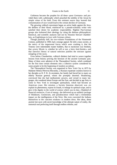Gobineau became the prophet for all these »poor Germans« and provided them with a philosophy which preached the nobility of the Aryan by simple virtue of his birth. From this eminent source they learned that contamination of race would lead to the certain decline of Germany.

The growing volkisch movement began an active battle against the Jews, the defilers of their blood, reinforced by a pseudo-scholarly writer who satisfied their desire for academic respectability. Rightist Pan-German groups also bolstered their ideology by citing the dubious philosophical, historical, and scientific analyses laid out by Houston Stewart Chamberlain, an Englishman in love with German culture.

Though painfully dull, his two-volume Foundations of the Nineteenth Century, published in 1900, had a strange appeal. He told a mass society, at the mercy of the impersonal forces which were crushing it, that the Teutons were indomitable master builders, that in mysticism was freedom, that »every Mystic is, whether he will or not, a born Anti-Semite,« and that Darwin's theory of natural selection justifies the stricture against mingling of the races.

Even before Chamberlain, volkisch thinkers had tried to weave together lessons from history proving the heroism of the ancient Germanic past. Many of them were admirers of the Theosophical Society, which combined for the first time certain elements into a cohesive system considered by some people to be the beginning of modern occultism.

The Theosophical Society was organized in New York City in 1875 by Madame Helena Petrovna Blavatsky, a Russian expatriate countess known to her disciples as H. P. B. At seventeen, her family had forced her to marry an elderly Russian general, whom she promptly deserted. Headstrong, convinced that she had mediumistic powers, and versed in many languages, she wandered about Europe and the East, and decided at age forty to come to New York to investigate spiritualism, which had become an American craze. Her mission, a Society historian observed, was »to explain its phenomena, expose its frauds, to enlarge its spiritual scope, and to give it the dignity in the world of science which was its due.« Depleted of financial resources, if not of energy, she delivered up an unlikely package of Hinduism, Gnosticism, and pseudoscience which had a tremendous impact on the intelligentsia of the West. She even converted the Indians themselves to the »ancient wisdom« in modern dress. Her ideas, about ancient lost races with secret knowledge of the ultimate nature of reality, the immortal soul perfecting itself through endless rebirths, and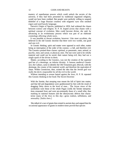mastery of superhuman powers which could unlock the secrets of the universe, if they had been presented by traditional organized religions, would not have been credited. But people were perfectly willing to suspend disbelief of a huge Russian countess with magnetic eyes who smoked cigars and used bawdy language.

Darwin's Origin of Species, published in 1859, had widened the chasm between science and religion. H. P. B. leaped across that chasm with a spiritual concept of evolution. Men could become divine, she said, by advancing in an evolutionary process which was part of an elaborate cosmology affecting whole races.

It was possible to thwart evolution, however. Like most occultists, she believed in the old Gnostic doctrine that there were two worlds, one good and one evil.

In Gnostic thinking, spirit and matter were opposed to each other, matter being an interruption of the order of the cosmos—a fall, and therefore evil. The Gnostics posited three classes: spiritual, or pneumatic, men; animal, or psychic, men; and carnal, or physical, men. The last were said to be wholly material and could not be saved, their nature being evil; they had not a single spark of the divine in them.

Matter, according to the Gnostics, was not the creation of the supreme god but of a demiurge, an inferior divinity. A famous medieval Gnostic sect, the Cathars, came to identify the Old Testament god, Jehovah, with the demiurge, the creator of the material world, and therefore the equivalent of Satan. Within Gnosticism, then, existed the idea that the Jewish god was really the devil, responsible for all the evil in the world.

Without intending to arouse hatred against the Jews, H. P. B. repeated this Gnostic thinking in her book The Secret Doctrine:

With the Semite, that stooping man meant the fall of Spirit into matter, and that fall and degradation were apotheosized by him with the result of dragging Deity down to the level of man.... The Aryan views of the symbolism were those of the whole Pagan world; the Semite interpretations emanated from and were pre-eminently those of a small tribe, thus marking its national features and the idiosyncratic defects that characterize many of the Jews to this day—gross realism, selfishness, and sensuality. [Italics hers.]

She talked of a race of giants that existed in ancient days and argued that the occasional appearance of giants in modern times proved that species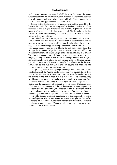tend to revert to the original type. She held that since the days of the giants, whose descendants the Aryans were, there had been an unbroken succession of semi-immortal »adepts« living in secret cities in Tibetan mountains. It was they who had appointed her as their emissary.

Because of the flamboyance of her personality, if not her prose, H. P. B. became the model for other aspiring occultist leaders. She had somehow managed to make magic, witchcraft, and alchemy respectable. With the support of educated people, her ideas spread. She brought to the last decades of the nineteenth century a universal palliative for the materialism from which it was suffering.

The volkisch writers made capital of both Theosophy and Darwinism. Darwin's book had been hailed in Germany with an acclamation in startling contrast to the storm of protest which greeted it elsewhere. In place of a dogmatic Christian theology preaching a millennium, there came a conviction that human society was moving blindly toward some ideal goal. The struggle for existence, palpable to every German, justified itself in this evolutionary scheme of nature. Origin of Species sold briskly in Germany. The Germans eagerly pressed Darwin with their own writings on the subject, lauding his work. It was said that although Darwin was English, Darwinism really came into its own in Germany. As one German scientist pointed out: »You are still discussing in England whether or not the theory of Darwin can be true. We have got a long way beyond that stage here. His theory is now our common starting point.«

To a growing body of anthropological concepts was now fused the idea that the karma of the Aryans was to engage in a race struggle to the death against the Jews. Germans, the fittest to survive, were destined to become the saviors of the human race. For this, Guido von List preached, they would need a »strong man from above,« who would be reincarnated from an ancient soldier. List's study of the origins of Jewish mysticism had taught him the importance of imbuing a people with a Messianic hope. When the world is changing and the old knowledge becomes suspect, it is necessary to herald the coming of a Messiah so that the traditional verities may be adapted to new conditions. List gave the Germans, in effect, an opportunity to become competitors of the Jews for the honor of »chosen people.« His secular Messianic nationalism was taken seriously by many confused apostles. The German people were to take their place at the head of all nations, act as their leader, and move them toward civilization. They were the chosen people, and soon a Fuhrer would arise among them who, in turn, would lead the Messianic nation.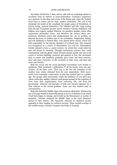Just before World War I, then, side by side with an awakening interest in occultism went an interest in racist-nationalism. Germany's supremacy was »proved« by the ideas and events of the distant past, when the Teutons lived close to nature and far from modern artificiality. The call of the elemental, the breath of the woodland, the simple poetry of Wanderlust, of joyous roving, asserted themselves. The folktales and folk songs issuing from the lips of peasants became sacred. Primitive German institutions and folklore were eagerly studied. Whereas, for primitive peoples, nature often represented primordial chaos, and therefore the enemy, these neoprimitives idealized nature and anathematized the city as profane, an aberrant discovery of modern man in his wickedness. Imagination, feeling, and will attributed to Natural Man, were placed above reason, which was held responsible for the psychic disorders of civilized man. The irrational was recognized as a source of illumination. List and his Theosophical friends claimed to have a »secret science« by which they could intuit the past and divine its meaning. Through extrasensory powers, they could communicate with the ghosts which hovered around ancient soil and in the cracks of ancient buildings. Innocent and pastoral at first, this movement back to nature and simplicity gradually grew more and more patriotic, more and more »German,« to the exclusion of other races, and more and more anti-Semitic.

Both the occult and the racist-nationalist movements were hostile to modernity. Both promised a millennium. If all the former were not anti-Semitic, all the latter were. They saw in the Jew the exemplar of the modern man: urban, alienated from the soil, materialistic. Both movements were essentially conservative, in that they harked back to a golden age. The groups often intertwined. Under the influence of List and Lanz, whose works they studied, volkisch youth groups pressed for the expulsion of Jews from their organizations, from university life, and from the government. Admirers and disciples of both men became agitators for a final solution to the Jewish problem. Some saw that solution only in extermination.

Both also hailed the Middle Ages with uncritical admiration. Whereas the rest of Europe tended to brand that period as an era of darkness from which it had been happy to emerge, and to hold up the Renaissance as worthy of adoration, Germans idealized the Middle Ages as the most illustrious period of their history. The hierarchic structure of medieval society appealed to their longing for political security. Their morbid worship of the twelfth-century German Crusaders, the Order of Teutonic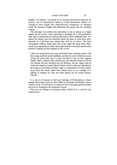Knights, for instance, was based on its mystical hierarchical structure, its secrecy, and its supernatural claims to world domination. Indeed, according to some people, the »thousand-year conspiracy« of conquest which the Teutonic Knights had threatened did persist into the twentieth century.

The marriage of occultism and nationalism is not as uneasy as it might appear on the surface. Each represents a nostalgia for a lost paradisical state, and a commitment to restoring that state in some millennial time. It is natural for people who feel uncertain about the future to look back sentimentally to a glorified past which they will try to relive. The Irish Theosophist William Sharp (who also wrote under the name Fiona Mac-Leod) was a nationalist-occultist who understood the connection between the patriotic longing and the longing for the occult:

I think our people have most truly loved their land, and their country, and their songs, and their ancient traditions, and that the word of bitterest savour is that sad word exile. But it is also true that in love we love vaguely another land, a rainbow-land, and that our most desired country is not the real Ireland, the real Scotland, the real Brittany, but the vague Land of Youth, the shadowy Land of Heart's Desire. And it is also true, that deep in the songs we love above all other songs is a lamentation for what is gone away from the world, rather than merely from us as a people: or a sighing of longing for what the heart desires but no mortal destiny requites.

It is not at all unusual to find such feelings of Weltschmerz in those periods when reason seems to have failed us and death and disorder wait to swallow us up. At such times, an interest in the occult gains ground steadily and tries to reintegrate the shattered cosmos.

This was the climate in Germany before World War I, and the war intensified it.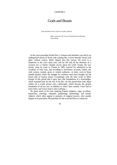#### CHAPTER 3

### Gods and Beasts

Gods and beasts, that is what our world is made of.

—Hitler, quoted in The Voice of Destruction by Hermann Rauschning

In the years preceding World War I, German anti-Semitism was fed by an underground stream of secret cults running like a sewer beneath Vienna and other cultural centers. Hitler dipped into this stream. He lived in a flophouse in the city's slum area, and his life had all the elements of a scenario for a Charlie Chaplin movie about the Little Tramp. He was twenty when he came to Vienna in 1909, rejected for admission to the Academy of Fine Arts, and according to eyewitness accounts, lonely, shy with women, moody, given to violent outbursts—in short, even in those squalid quarters where the struggle for existence must have brought out the brutal side of human nature, exceedingly odd. He later wrote in Mein Kampf of this period that it gave him »the foundations of a knowledge« which sustained him for the rest of his life: »In this period there took shape within me a world picture and a philosophy which became the granite foundation of all my acts. In addition to what I then created, I have had to learn little; and I have had to alter nothing.«

He spent much of his time studying Eastern religions, yoga, occultism, hypnotism, astrology, telepathy, graphology, phrenology, and similar subjects which often appeal to pursuers of magical powers, who usually happen to be powerless. His penchant for the occult led him to a tobaccon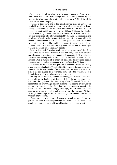ist's shop near his lodging where he came upon a magazine, Ostara, which must have drawn him. This strange publication was produced by the mystical theorist, Lanz, who wrote under the acronyn PONT (Prior of the Order of the New Templars).

Vienna, in those days one of the fastest-growing cities in Europe, was hospitable to the formation of occult groups which sprang up with religious fervor, symptomatic of the irrational atmosphere of the time. Vienna's population went up 259 percent between 1860 and 1900, and the flood of new arrivals sought relief from the frustrations of an overcrowded and expensive existence. The city was deluged by mediums, necromancers, and astrologers who claimed to be occupied with a futuristic science which the scientific establishment was as yet unable to appreciate, since experiments were still unverified. The gullible—scholars included—believed that intuition and vision enabled specially endowed natures to investigate phenomena which eluded ordinary people.

Lanz, a defrocked Cistercian monk, started his group, the Order of the New Templars, in 1900. His friend, Guido von List, a somewhat different sort of pseudo-priest, started his group, the Armanen, in 1908. Membership was often interlocking, and there was continual feedback between the cults. Around 1912, a number of members of both cults finally came together under one roof in the Germanen Orden, which prefigured the Nazi party.

Historians are divided on the question of whether Hitler was actually ever a member of either the Temple of the New Order or the Armanen, but it is certain that he was a reader of Ostara and met Lanz several times in that period he later alluded to as providing him with »the foundations of a knowledge« which was to become so important to him.

Writing in an oracular, pseudo-anthropological manner, Lanz took mankind from the beginning of time and divided the species into the acemen and the ape-men, the first being white, blue-eyed, blond, and responsible for everything heroic in mankind. The second group was the repository of everything vile. According to this comic-book mentality, the heroes—called variously Asings, Heldinge, or Arioheroiker—were superior by reason of breeding and blood, whereas the inferiors—Afflinge, Waninge, Schrattlinge, or Tschandale—always threatened to contaminate through interbreeding.

Ostara was one of a number of magazines which surfaced during this period. Like some of our own pulp magazines, it combined the erotic and the occult in an irrational blend which could capture the fantasies of lost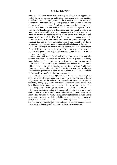souls. Its lurid stories were calculated to explain history as a struggle to the death between the pure Aryan and the hairy subhuman. This racial struggle, described in mystical, turgid prose, was the essence of human existence. To illustrate it, Lanz filled his pages with gorgeous blond women falling into the snares of satyr-like men. For all the Aryan's superiority, it was quite evident that there was one way in which he was not superior: sexual prowess. The female member of the master race was sexual enough, to be sure, but the male could not hope to compete against the enemy in having sufficient potency to satisfy the infinite needs of the blond beauty. If this sounds reminiscent of the Ku Klux Klan's pronouncements against the »inferior« blacks, it is: The lower races must not pollute, through interbreeding, the rich blood of the higher races. Since, sexually, the lower races are more potent, this presents a considerable challenge to the hero.

Lanz was writing in the tradition of a volkisch revival of the conservative Germanic ideal of woman as the keeper of the hearth, in contrast with the modern suffragette who was just then demanding her rights and asserting her own sexual needs.

Race, blood, and sex combined with ancient German occultism—spells, number mysticism—to make an overrich Viennese pastry. Not many soup-kitchen derelicts, seeking an escape from their hopeless state, could resist such a package. Ostara, Briefbucherei der blonden Mannesrechtler (»Newsletters of the Blond Fighters for the Rights of Men«) addressed these men, for example, in its March 1908 issue when it ran a full-page advertisement promoting a book to help young men choose a career. »What shall I become?« read the advertisement.

It is all too clear what one regular reader, Hitler, became, though the direct influence of Ostara upon him is not known. His obsession with the »nightmare vision of the seduction of hundreds and thousands of girls by repulsive, bandy-legged Jew bastards« is identical with Ostara's. We have Hitler's own confession that one of his favorite movies was King Kong, the plot of which might have been concocted by Lanz himself.

For such mentalities, Ostara was thoughtful enough to provide a yardstick by which the reader could measure himself as to racial worth and be assured that he was not Jewish. The Rassenwertigkeitindex allowed him to score on the basis of eye, hair, and skin color, and the size and shape of nose, hands, feet, skull, and even buttocks. Black eyes were twelve points to the bad, blue-gray eyes twelve points to the good. Being a reader of Ostara was already sufficient qualification for membership in the »mixed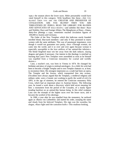type,« the stratum above the lower races. Hitler presumably would have rated himself in this category. With headlines like these—ARE YOU BLOND? THEN YOU ARE THE CREATOR AND PRESERVER OF CIVILIZATION. ARE YOU BLOND? THEN YOU ARE ARE YOU BLOND? THEN YOU ARE THREATENED BY PERILS. READ THE LIBRARY FOR BLONDS AND ADVOCATES OF MALE RIGHTS.—and subtitles like these—Race and Nobility; Race and Foreign Affairs; The Metaphysics of Race—Ostara, thirty-five pfennigs a copy, sometimes reached circulation figures of 100,000 in Austria and Germany.

The Order of the New Templars which this ludicrous oracle founded enrolled blond, blue-eyed members—and only if they promised to marry women with the same attributes. This was of paramount importance, even though it would not guarantee race purity, since »Through woman, sin came into the world, and it so over and over again because woman is especially susceptible to the love artifices of her animal-like inferiors.« The blond Siegfried must win her away from the dark seducer, slaying dragons and giants if necessary. Our interest in this theology is enriched on learning that Lanz's New Templars were assembled as soon as he himself was expelled from a Cistercian monastery for »carnal and worldly desires.«

Lanz, a teacher's son, was born in Vienna in 1874. He changed his birthdate and place of origin to mislead astrologers. As a child, his wish had been to become a Knight Templar and to own Templar chateaux or, at least, to reconstruct them. His strongest impression as a youth had been an opera, The Templar and the Jewess, which transported him into ecstasy. (Occultists have always argued that the Templars, a medieval religious and military order, were a Gnostic sect working to purify the world of evil.) In 1893, at the age of nineteen, he entered the Cistercian monastery Holy Cross, which had an important place in Austrian history. The following year, he issued a work about a discovery which held secret meaning for him: a monument from the period of the Crusades, of a manly figure treading barefoot on an animal-like human being. In this relief sculpture Lanz saw the triumph of the higher races over the lesser races, and it became the symbol of his ideology.

In 1900, a year after he was expelled from the monastery, he surfaced again as »Baron von Liebenfels« and started his order, usurping the name and rituals from his beloved Templars. His sign was the swastika; his slogan, »Race fight until the castration knife.« This studious-looking,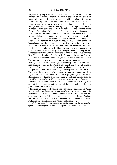bespectacled young man, as much the model of a minor official as his kindred soul, Himmler, preached a fall from a race-pure paradise that came about when the »Arioheroiker« interbred with the »Dark Races,« or »Demonic Slopwork.« The hero, Frauja (the Gothic name for Jesus), came to save the Aryan women from the original sinner of »Sodomie« through the commandment »Love thy neighbor as thyself—if he is a member of your own race.« This Lanz took to be the teaching of the Catholic Church in the Middle Ages. He called his theory Ariosophy.

As crazy as this may sound, Lanz quickly found people who were willing to believe—and some of the believers were wealthy men, ready to help Lanz make his wildest dreams come true. With their help, he bought the castle of Werfenstein in Lower Austria, in 1907. Other castles, in Marienkamp near Ulm and on the island of Rugen in the Baltic, were also converted into temples where the order conducted elaborate Grail ceremonies. The carefully screened initiates, awesome in white hooded robes, performed celebrations written by Lanz. Using his monastic training, he also composed his own voluminous variations of liturgical texts: a two-volumed New Templars' Breviary, The Psalms in German, and a »secret Bible for the initiated« which ran to ten volumes, as well as prayer books and the like. The race struggle was his major concern, but the order also dabbled in astrology, the Cabala, phrenology, homeopathy, and nutrition. After reconstructing somewhat the Werfenstein castle, fitting it out with Templar symbols of ritual magic, and raising up a swastika flag, never before seen in that part of the world in modern days, he made plans for world salvation. To ensure »the extirpation of the animal-man and the propagation of the higher new man,« he called for a radical program: genetic selection, sterilization, deportations to the »ape jungle,« and race extermination by forced labor or murder. »Offer sacrifices to Frauja, you sons of the gods!« Lanz wrote. »Up, and sacrifice to him the children of the Schrattlinge.« He advocated the establishment of special breeding colonies for the production of more Aryans.

He called his major work nothing less than Theozoologie oder die Kunde von den Sodoms-Affligen und dem Gotter-Elektron. Eine Einfuhrung in die alteste und neueste Weltanschauung und eine Rechtfertigung des Furstentumes und des Adels (»Theo-zoology or the Lore of the Sodom-Apelings and the Electron of the Gods. An Introduction into the Oldest and Newest Philosophy and a Justification of Royalty and Nobility«).

He believed Aryan heroes, »Masterpieces of the gods,« to be possessed of splendid electromagnetic-radiological organs and transmitters which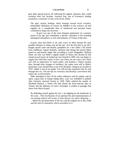#### Gods and Beasts 21

gave them special powers. By following his eugenic measures, they would revitalize their lost faculties. Joachim Fest, one of Germany's leading journalists, comments on this in his book, Hitler:

The age's anxiety feelings, elitist leanings toward secret societies, fashionable idolization of science by dabblers in the sciences, all tied together by a considerable dose of intellectual and personal fraud, combined to shape this doctrine.

. . . [Lanz] was one of the most eloquent spokesmen of a neurotic mood of the age and contributed a specific coloration to the brooding ideological atmosphere, so rife with fantasies, of Vienna at that time.

Exactly what had Hitler to do with Lanz? In Mein Kampf the only possible reference to Ostara may be this one: »For the first time in my life I bought myself some anti-Semitic pamphlets for a few heller.« His friend from childhood, August Kubizek, mentions that during this period Hitler joined an anti-Semitic lodge. But according to Lanz's biographer, Wilfried Daim, not only was Hitler a regular reader of Ostara, but, because he had missed several issues, he looked up Lanz himself in 1909, who was happy to supply him with back copies. In fact, says Daim, he saw Lanz a few times and »left an impression of youth, pallor, and modesty.« Fifteen months later, through three changes of residence, the copies were still in Hitler's possession. Lanz claimed him as one of his disciples, writing to an occultist in 1932: »Hitler is one of our pupils. You will one day experience that he, and through him we, will one day be victorious and develop a movement that makes the world tremble.«

Hitler attempted to bury all his earlier influences and his origins, and he spent a great deal of energy hiding them. Lanz was forbidden to publish after Germany annexed Austria in 1938. Hitler ordered the murder of Reinhold Hanisch, a friend who had shared the down-and-out days in Vienna. But the influence of Lanz's Ariosophy is evident in passages like these from Mein Kampf:

By defending myself against the Jew, I am fighting for the handiwork of the Lord.... This Jewification of our spiritual life and mammonization of our mating instinct will sooner or later destroy our entire offspring....

Blood sin and desecration of the race and the original sin in this world and the end of a humanity which surrenders to it.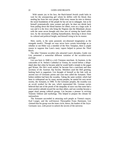With satanic joy in his face, the black-haired Jewish youth lurks in wait for the unsuspecting girl whom he defiles with his blood, thus stealing her from her own people. With every means he tries to destroy the racial foundations of the people he has set out to subjugate. Just as he himself systematically ruins women and girls, he does not shrink back from pulling down the blood barriers for others, even on a large scale. It was and it is the Jews who bring the Negroes into the Rhineland, always with the same secret thought and clear aim of ruining the hated white race, by the necessarily resulting bastardization, throwing it down from its cultural and political height, and himself rising to be its master.

Here, surely, is the same paranoid, sex-obsessed imagination as the renegade monk's. Though we may never have certain knowledge as to whether or not Hitler was a member of the New Templars, there is ample reason to suppose that Lanz's nasty vapors helped to poison the Third Reich.

The other Viennese occultist who attracted Lanz's disciples, Guido von List, presented a somewhat different variation of the occultist-racist package.

List was born in 1848 to a rich Viennese merchant. At fourteen, in the catacombs of St. Stefan's Cathedral in Vienna, he vowed before a dilapidated altar that when he became adult he would build a temple to the pagan god Wotan. His life's work settled, he became first a merchant and then secretary of the Austrian Alp Society. Members used the Hell greeting, harking back to paganism. List thought of himself as the link with an ancient race of Germanic priests and wise men called the Armanen. Their holiest emblem had been the swastika. Taking the same symbol, which had been in widespread use by many ancient peoples, he started his own secret society, the Armanen, in 1908. To the Germanic peoples, the swastika was an occult symbol for the sun, which represented life. German racists believed that one of the proofs of the inequality of races was that some had a more positive attitude toward the sun than others, and sun worship became a pagan ritual among volkisch groups. List became a pioneer in reviving Teutonic folklore and mythology. This helped to prepare the climate for nationalism.

The Armanen succeeded in attracting such people as Vienna's mayor, Karl Lueger, and the well-known Theosophist Franz Hartmann. List claimed that his group was the inner circle, hence, the leaders of the Aryo-Germanic race, with power to unlock the secrets of the universe.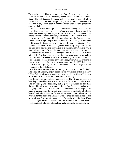They had the call. They were similar to God. They also happened to be radically anti-Semitic. List apparently never lacked for rich supporters to finance his undertakings. His major undertaking was his plan to lead the master race, which his presumed psychic powers led him to believe he was qualified to do, having been in communication with ancients possessing esoteric wisdom.

He looked like an ancient prophet with his long, flowing white beard. He taught his members runic occultism. Wotan was said to have invented the runes, the ancient alphabet, as part of his secret science. (The Gothic runa means »secret,« »secret decision,« similar to the Old Iranian run: »secret,« »mystery.« The early Finnish runo, taken from the Germanic, has to do with magic songs.) Edgar Polome points out in his essay »Approaches to Germanic Mythology,« in Myth in Indo-European Antiquity: »What Odin [another name for Wotan] originally acquired by hanging on the tree for nine days, starving and thirsting as in a shamanic initiation rite, was a powerful secret lore, of which the runes later on became merely the tool.«

The idea that the runes have occult significance was mentioned as early as A.D. 98 by Tacitus, who described the Germanic peoples as making marks on wood branches in order to practice augury and divination. Old Norse literature speaks of runes carved on wood, over which incantations or charms were spoken. List wrote a book about runes in 1908. Like other German occult groups, his was preoccupied with the magical power contained in the old alphabet.

List had other concerns too, according to Trevor Ravenscroft's book, The Spear of Destiny, largely based on the revelations of his friend Dr. Walter Stein, a Viennese scientist who was a student at Vienna University from 1909 to 1913, when Hitler was living in the city.

A deep interest in occultism, particularly the Holy Grail, led Stein to a bookshop in the old quarter of Vienna that was frequented by Hitler as well. The proprietor, Ernst Pretzsche, had a group photograph on his desk, showing himself with List, whose books on Pan-German mysticism were enjoying a great vogue. But the press had revealed black magic practices, sending Vienna into a furor. List was unmasked as the leader of a blood brotherhood which went in for sexual perversions and substituted the swastika for the cross. The Viennese were so shocked that List had to flee from Vienna. Ravenscroft reports that Dr. Stein told him how Hitler attained higher levels of consciousness by means of drugs and made a penetrating study of medieval occultism and ritual magic, discussing with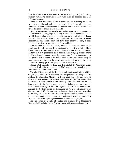him the whole span of the political, historical and philosophical reading through which he formulated what was later to become the Nazi Weltanschauung.

Pretzsche had introduced Hitler to consciousness-expanding drugs, as well as to astrological and alchemical symbolism. Hitler told Stein that Pretzsche had been present when List tried to materialize »the Incubus« in a ritual designed to create a »Moon Child.«

Altering states of consciousness by means of drugs or sexual perversions are not unknown to occult groups. By daring to break taboos against acts which would disgust other people, one might gain powers of which ordinary men did not dream. Hitler's later reputation for unnatural practices (coprophilia, masochism) may well have been deserved—may, in fact, have been inspired by tutors such as Lanz and List.

The historian Reginald H. Phelps, although he does not touch on the occult practices of Lanz and List, points out in his article » 'Before Hitler Came': Thule Society and Germanen Orden,« in The Journal of Modern History, that they propagated their theories »with varying success among intelligentsia and aristocrats as well as among that famous foundering petty bourgeoisie that is supposed to be the chief consumer of such wares; the same names run through the same arguments and blow up the same balloons of theory, year after year, in book after book.«

About 1912, disciples of Lanz and List started the Germanen Orden under the leadership of a member of List's Armanen, a journalist named Philipp Stauff, and several others.

Theodor Fritsch, one of the founders, had great organizational ability. Originally a technician for windmills, he then published a trade journal for millers, the Deutscher Muller, which provided him with the funds to pursue his real passion, »scientific« anti-Semitism. Besides, windmillers represented a dying branch of the economy. From the 1880's on he had been a leader in the Pan-German movement. His books and tracts brought him a certain notoriety. In 1902, he began to publish the Hammer, a racist scandal sheet which aimed at eliminating all Jewish participation from German cultural life. He tried to spread the word to the workers as well as to the elite, calling for a racist-nationalist organization that would combine the smaller groups into one »above the parties.« It was to be impeccably Aryan and was to bring »enlightenment« to the Germanic peoples.

He was joined by a sealer of weights and measures from Magdeburg, Hermann Pohl, and also by Stauff, who brought with him several other List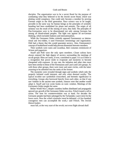disciples. The organization was to be a secret Bund for the purpose of combatting what they believed to be the Jewish secret Bund, which was plotting world conspiracy. One could only become a member by proving German origin to the third generation. Race science was to be taught, provable in the same way for human beings as the principles of scientific breeding had been established for plants and animals. The origin of all sickness was the result of the mixing of races, they held. The principles of Pan-Germanism were to be disseminated not only among Germans but among all blood-related peoples. The fight was against all un-German thinking, which included Judaism and internationalism.

While the Germanen Orden violently opposed Freemasonry as international and Jew-ridden, it used Freemason terminology and organization. Pohl had a theory that this would guarantee secrecy. Also, Freemasonry's concept of brotherhood would help prevent dissension between members.

Their symbols were runes and swastikas, their costumes reminiscent of Wotan and paganism.

Stauff and Pohl were the only open members. Closet cultists have always enjoyed the high degree of secrecy surrounding the meetings of occult groups. Rites are rarely, if ever, committed to paper. It is as if there is a recognition that power tends to evaporate and mysteries to become cheapened with exposure. At any rate, the initiation and other rites must have been similar to those of the Freemasons and Lanz's and List's groups. As with those other groups, there were inner and outer circles, with the latter yearning to be admitted into the ranks of the former.

The mysteries were revealed through signs and symbols which only the properly initiated could interpret, and only when deemed worthy. The typical occultist saw symbolism everywhere, and hermetic significance in everything. Groups also borrowed heavily from each other, so that if one saw wisdom in the ancient rune symbols, chances were that another would adopt it. Stauff and List wrote books on runic wisdom. Meetings of the Germanen Orden taught the same.

Before World War I, despite countless leaflets distributed and propaganda spewed out, growth of the Germanen Orden was slow. Fritsch issued a call to action. The time for counterrevolution was at hand. For decades the Germanic peoples had been sabotaged by the Tschandale, Lanz's term for the lower races. Now the »chief criminals« must be defeated. »A few hundred courageous men can accomplish the work,« said Fritsch. The Jewish liberal leaders

must fall, at the very start of the revolt; not even flight abroad shall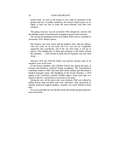#### 26 GODS AND BEASTS

protect them. As soon as the bonds of civic order lie shattered on the ground and law is trodden underfoot, the Sacred Vehme enters on its rights; it must not fear to smite the mass-criminals with their own weapons.

The group, however, was not successful. Pohl, despite his concern with the binding cement of brotherhood, managed to quarrel with everyone.

The war put the finishing touches on its defeat. Pohl wrote to a member in November 1914, Phelps reports,

that finances were bad, nearly half the brethren were with the military; »the war came on us too early, the G.O. was not yet completely organized and crystallized, and if the war lasts long, it will go to pieces.« The childish play of ritual and ceremony in the Orden wearied the members. . .. Pohl seemed to think that the banquets were the chief thing. . . .

Between 1914 and 1918 the Orden was inactive, because most of its members were at the front.

Of the known members, only Theodor Fritsch, the »grand old man« of German anti-Semitism, achieved lasting recognition. His Anti-Semitical Catechism, written in 1887, had more than twenty editions and sold almost a hundred thousand copies. His Handbook of the Jewish Question, a 1919 update of the Catechism, reached 145,000 readers. Some years ago, in a suburb of Berlin, a monument was erected to his name.

During the war, all the secret cults were dormant. Pohl was reduced to selling bronze rings inscribed with runic characters. They possessed, he claimed, protective magical qualities, certainly very much needed in those days.

It was not until after the war that the occult anti-Semitic groups produced a mass movement.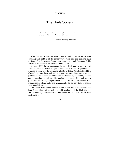#### CHAPTER 4

## The Thule Society

In the depths of his subconscious every German has one foot in »Atlantis« where he seeks a better Fatherland and a better patrimony.

—Hermann Rauschning, Hitler Speaks

After the war, it was not uncommon to find occult secret societies coupling with politics of the conservative, racist sort and growing quite militant. The Germanen Orden was reactivated, and Hermann Pohl's Bavarian branch took the cover name of Thule.

Not until 1933 did the connection between Thule and the prehistory of National Socialism come to light, when a beefy adventurer published, in Munich, a book with the intriguing title Bevor Hitler Kam (»Before Hitler Came«). It must have enjoyed a vogue, because there was a second printing in 1934. Both editions were confiscated by the Nazis, and the author vanished—murdered, his publisher claimed. Hitler had already given a rather simple, straightforward account of his political debut in an insignificant workers' party, and he apparently did not care to have another version publicized.

The author, who called himself Baron Rudolf von Sebottendorff, had been Grand Master of a small lodge which called itself the Thule Society, and he stated right at the outset: »Thule people are the ones to whom Hitler first came.«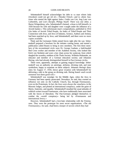Sebottendorff himself acknowledges his debt to »a man whom Juda [Jewdom] could not get rid of«—Theodor Fritsch—and to »three Austrians who started the fight against Juda«: Guido von List, Jorg Lanz von Liebenfels, and List's disciple, Philipp Stauff. There was one other, a Baron Wittgenberg, who, Sebottendorff claimed, »chose to kill himself« in 1920 because his wife and daughter were »caught under the influence of a Jewish banker.« This unfortunate man's compendiums, published in 1914 (An Index of Jewish Titled People, An Index of Titled People and Their Connection with Jews, and Jews of Industry, Science, Authors and Artists), had been snatched up by Jews, said Sebottendorff, and there were no more copies available.

Thule and the Germanen Orden joined forces right after the war. Sebottendorff prepared a brochure for the initiates coming home, and started a publication called Runen to bring in new members. The first three members of the reconstituted circle were Dr. George Gaubatz, a bald-headed Red Cross worker and member of the Audubon Society, who looked like Erich von Stroheim and wore a key chain across his waistcoat, from which dangled the swastika, emblem of the Thule Society; Wilhelm Rohmeder, an educator and member of a German education society; and Johannes Hering, who had already distinguished himself in Pan-German circles.

There were, apparently, attempts at gaining magical knowledge. Sebottendorff was an authority on astrology, alchemy, divining rods, and rune symbolism, happy to expatiate on these subjects. Johannes Hering's diary entry for August 17, 1918, shows great vexation with Sebottendorff for delivering a talk to the group on divining rods. Hering feared »such occult nonsense lost them good will.«

Sebottendorff was nostalgic for the Middle Ages, when the Jews in Germany had been openly persecuted. Nowadays, he said, they exerted an influence not only on the Catholic Church, but, through Freemasonry, even on the Protestants. In fact, the Jews were always the »machers« in the Masonic lodges, and plotted an international conspiracy, under the guise of liberty, fraternity, and equality. Sebottendorff mouthed the usual attitudes of volkisch writers toward Freemasons, who have traditionally been associated with the forces of liberalism. The Pan-Germans pledged themselves to combat the »world conspiracy« being led by »Freemasons and international Jewry.«

However, Sebottendorff had a love-hate relationship with the Freemasons. They were the prototype for most secret organizations. »The old Freemasonry,« he said, »had been a keeper of secrets which they had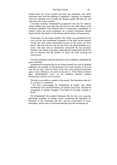learned from the Aryan wisdom and from the alchemists, and which concerned itself with the building of cathedrals.« Naturally, he supposed, when the cathedrals were all built, the Masonic guilds had died out, and with them, the Aryan wisdom.

Like other occultists, Sebottendorff accepted the view that the medieval master builder knew more than just the secrets of his trade. Many of the European cathedrals, four hundred years in construction, exemplified, in esoteric circles, the occult symbolism. As a modern Freemason, Delmar Duane Darrah, described it in The History and Evolution of Freemasonry:

Everywhere was the mystic number. The Trinity was proclaimed by the nave and the aisle (multiplied sometimes to the other sacred number, seven), the three richly ornamented recesses of the portal, the three towers. The rose over the west was the Unity, the whole building was a Cross. The altar with its decorations announced the real perpetual Presence. The solemn crypt below represented the underworld, the soul of man in darkness and the shadow of death, the body awaiting the resurrection.

Even the uninitiated could feel the power of the symbolism underlying the great cathedrals.

Sebottendorff recognized that for the Mason himself, the work of building cathedrals was symbolic of and important to the soul's journey, as all work was. But, he said, »after the Thirty Years' War, Juda started Freemasonry again,« with a difference. An article in the July 21, 1918, edition of Runen gives Sebottendorff's views on the antithesis between modern Freemasonry and the Aryan wisdom:

We look at our world as a product of the people. The Freemason looks at it as a product of conditions.

We don't acknowledge the brotherhood of people, only blood brotherhood. We want the freedom, not of herds, but of duty. We hate the propaganda of equality. Struggle is the father of all things. Equality is death.

For Sebottendorff, the modern Freemason, like the Jew, was a parasite, unbending, incapable of change—ironic, considering the reputation for liberalism of the Freemason and Jew, and the conservatism of racistnationalists. All the same, he borrowed liberally from the Freemasons, as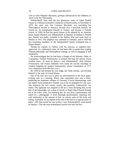well as from Madame Blavatsky, perhaps influenced by her boldness as much as by her Theosophy.

Sebottendorff, born with the less glamorous name of Adam Rudolf Glauer to a Silesian locomotive conductor in Hoyerswerda, on November 9, 1875, the same year that Countess Blavatsky was launching her Theosophical Society in America, became first a merchant seaman. At twenty-six, he transplanted himself to Turkey, and became a Turkish citizen. In 1909, he had the good fortune to be adopted by an Austrian baron named Heinrich von Sebottendorff, in Istanbul, according to Turkish law. Rudolf was badly wounded in the Balkan War and came back to Breslau in 1913. The adoption was contested in Germany, and in 1920 the last remaining members of the Sebottendorff family readopted him in Baden-Baden.

During his sojourn in Turkey, with his sinecure as engineer-cumsupervisor of a substantial estate, he had been able to spend time reading Oriental philosophy and Theosophical writings, as well as engaging in Sufi meditation.

He acknowledged that he had been a Knight of the Masonic Order of Constantine. Turkish Freemasonry, it seemed, had kept the ancient Aryan wisdom intact. »It must be shown,« said Sebottendorff, »that Oriental Freemasonry still retains faithfully even today the ancient teachings of wisdom forgotten by modern Freemasonry, whose Constitution of 1717 was a departure from the true way.«

By 1918 he had formed his own lodge, the Thule Society, and elevated himself to the rank of Grand Master.

One of his first acts was to place an advertisement in the local paper, inviting men to a meeting. Those who responded were sent a letter, predicting the imminent collapse of Germany if racial intermarriage were not halted. Each prospective member was to be on probation for one year. The initiation fee was twenty marks; the quarterly Ardensnacht, ten marks. The applicant was required to fill out a form declaring that, to the best of his knowledge, not a drop of Jewish or Negro blood flowed through his or his wife's veins. On returning this, he was sent a questionnaire and asked for a photograph. A most thorough questionnaire, inquiring into such intimacies as the amount of hair on various parts of the body and asking, if possible, for an imprint of the sole of the foot on a separate piece of paper. »We then tested for race purity,« says Sebottendorff, »and started an inquiry.« The one-year probationary period was only the first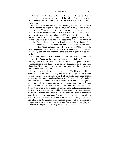level in the member's initiation. He had to take a ritualistic vow of absolute obedience and loyalty to the Master of the lodge. »Symbolically,« said Sebottendorff, »it was the return of the lost Aryan to the German Halgedom.«

Sebottendorff did not need to invent anything. Inspired by Blavatsky's Secret Doctrine, he respun the age-old myth of Atlantis, calling it Thule. Like Atlantis, Thule was believed by occultists to have been the magic center of a vanished civilization. Madame Blavatsky speculated that it had been swept away in the first Deluge, 850,000 years ago. Compared with it, the much more recent Noah's Flood had been a puddle, and mythical, besides. One could get some idea of the appearance of the inhabitants of the island of Atlantis by studying the colossal statues at Easter Island. Here, Madame Blavatsky believed, were the relics of the giants of the Fourth Race; only this Atlantean being deserved to be called »MAN,« for only he was completely human. After him, the Fall. Among other things, the Fall supposedly cost him his invaluable third eye, which gave him spiritual insight.

What had caused the Fall? Tucked away in The Secret Doctrine is the answer: The Atlanteans had mated with semi-human beings. Anticipating the argument that this was contrary to nature, she argued: »Esoteric science replies to this that it was in the very beginnings of physical man. Since then, Nature has changed her ways, and sterility is the only result of the crime of man's bestiality. . . .«

In the chaos and distress of Germany after World War I, with the occultist boom, the German racist groups seized upon mystical speculations of this sort and wove them into a myth of the master race. Sebottendorff transposed Blavatsky's complicated cosmology, by which she had sought to confound the evolutionists. In place of her sub-races who had extinguished the »Flames« by »long generations of bestiality,« ruining it for the Aryans, he taught members of Thule that the purity of their blood had been defiled by the Jews. Thus, as his predecessors, List and Lanz, had done, Sebottendorff gave status to the lower and middle classes, who must have fantasized wistfully of having aristocratic blood—the only sure way to amount to something in that time and place. Not only did this mystical doctrine elevate them to potential Aryan supermen (the dormant occult powers would reawaken in the Aryan people in the twentieth century, with the appearance of »supermen« who would restore the German folk to their ancient glory and lead them in conquering the world), but it released them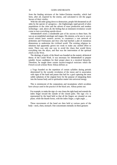from the binding strictures of the Judeo-Christian morality, which had been, after all, inspired by the enemy, and calculated to rob the pagan heroes of their vitality.

With the old order going down to destruction, people felt threatened on all sides by the specter of »progress«—the frighteningly rapid growth of alien populations in the cities and the advent of mass production and modern technology—and, above all, the feeling that an imminent revolution would come to turn everything upside-down.

Sebottendorff owed a considerable part of his success to these fears. He was an accomplished astrologer and magus. His mission, as he saw it, was to reveal certain basic esoteric secrets, to counteract a vast network of alchemists and Freemasons and Jews who had hatched a plot of monstrous dimensions to undermine the civilized world. The existing religious institutions had apparently grown too weak to make any unified effort to resist. There was only one way to avoid the chaos that would throw everything into the abyss, and that was the intervention of the spiritual chiefs in the West.

The ideology of purity of the blood was founded on the esoteric alchemical theory of the Grand Work. It was necessary for Sebottendorff to prepare suitable Aryan candidates for their proper place in a mystical hierarchy. Therefore, he taught them certain mystico-magical exercises which the French occult scholar Rene Alleau defines as

a Yoga founded on the repetition of certain syllables during periods determined by the synodic revolution of the moon and in association with signs of the hand and passes that had for a goal capturing the most subtle radiations of the original force for the purpose of integrating them into the human body and to spiritualize matter into universal energy.

This is reminiscent of the conjurations and incantations which occultists have always used in the practice of the black arts. Alleau points out:

For example, to make the sign »I« one closes the right hand and extends the index finger toward the outside of the closed palm. The sign »A« is represented by the hand held so that all the fingers are situated on one plane, while the thumb forms, with the index finger, a right angle. ...

These movements of the hand are then held at various parts of the body—neck, chest, stomach. One concentrates mentally on these gestures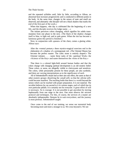and the repeated syllables until, little by little, according to Alleau, an abnormal heat increases progressively and is conducted to different points in the body. At the same time, changes in the senses of taste and smell are observed, and ultimately »the disciple will see a black shadow that marks the end of the first part of the work.«

When that happens, »the day is celebrated like the beginning of a new life, and the disciple receives his lodge name. ...«

The initiate perceives colors changing, which signifies his subtle transmutation from one phase to the next. »The black of the shadow changes itself to blue, to light red, and to pale green. When the tint has become a luminous green this period is finished.«

Next, in conjunction with »passes« of the chest, comes a glaring white. Alleau says:

After the »ventral posture,« these mystico-magical exercises end in the elaboration of a shadow of a pomegranate red. »The Oriental Mason has become the perfect master. The cubic stone is entirely shaped.« The Oriental initiates . . . name these tasks of the »spiritual Work« the »Science of the Key« and name themselves the »Sons of the Key.«

That there is a colored light-field around human bodies and that the colors change with changing spiritual development is an old esoteric belief. These colors, or auras, are allegedly visible to clairvoyants and sensitives. The colors, while presumably present for these people, are also symbolic, and there are varying interpretations as to the significance of each.

All of Sebottendorff's rituals had as their aim one effect, the same as that of other esoteric groups: dissolving the »small self« so that the »divine self« could become manifest. The teaching holds that there is a world beyond the senses which can be reached with proper preparation. It is not material. The occultist believes he can ascend to it in various stages, each of which has its own particular pitfalls. It is certainly not for everyone. A great effort of will is necessary. So is courage. It is not possible to get anywhere by moving haphazardly from one stage to the next. One must observe the strictest protocol and techniques. For this, of course, the services of a master are absolutely indispensable. Demons lie in wait everywhere, and the journey is most perilous. Sebottendorff taught:

Once come to the end of our training, we sense our terrestrial body becoming more and more a stranger to us. We cross beyond it. We see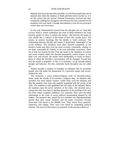distinctly that it has become dust and ashes. It is the lowest point that can be attained, that where the shadows of death and their terrors involve us. It is for this reason that the ancient Oriental Freemasons received into their community nothing but courageous men because the tests reserved for the neophyte were very harsh. Courage and endurance were the two principal virtues that were necessary.

To this end, Sebottendorff exacted from his disciples the cry Sieg Heil (»Glory Hail!«), which symbolizes the kind of blind obedience the Arab formula speaks of when it exhorts the initiate: »Be between the hands of your sheikh like a cadaver in the hands of him who washes him.« The master, in esoteric teaching, like the sheikh, is God's emissary. The relationship between disciple and master is particularly meaningful in the occult tradition. The neophyte must place himself completely in the teacher's hands and obey even his most eccentric commands, whether or not those commands do violence to his own individual conscience. There are at least two reasons for this: First, the master is the repository of ancient and secret wisdom which the disciple presumably cannot acquire in any other way, and second, the master seeks deliberately to create an atmosphere in which the disciple's consciousness will be changed. Toward that end, the master is prepared—in fact, it is necessary—to go beyond rational thought and behavior. For this, extremely harsh discipline may be called for.

History provides a number of examples of irrational cults by powerless people who fell under the domination of a powerful master and accomplished his will.

The Assassins, a secret politico-religious order of eleventh-century Islam, made the murder of its enemies a religious duty. An absolute ruler presided over three deputy masters. Under them were the initiated, and then the students, who were only partially acquainted with the secrets of the order. The students in time graduated into the ranks of the initiated. Below the students came the active members of the order, »the devoted ones,« young men who were kept in absolute ignorance of the teaching of the sect, but from whom complete obedience was expected. They were the blind instruments in the work of secret political assassination planned by the leaders. The terrorism they spread for two centuries was disproportionately greater than their actual numbers, and the name »Assassin« became associated with dread in the Middle East. They struck down generals, statesmen, and caliphs. They were even hired by contending political factions. The secret of their power lay primarily in the peculiar manner of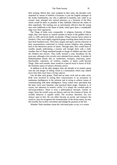their training. Before they were assigned to their tasks, the disciples were stupefied by means of hashish (»Assassin« is just the English analogue of the Arabic hashshashin, one who is addicted to hashish), and, while in an ecstatic state, plunged into sensual pleasure, as a foretaste of the bliss which would be theirs in paradise if they faithfully followed the orders of their superlords. The training was so marvelously effective that the young men were indifferent to the threat of death, which gave them a considerable edge over their opponents.

The Thugs of India were comparable. A religious fraternity of Hindu origin, they were known to commit murders in honor of the goddess Kali as early as 1290, and lived chiefly on plunder. (Thug=conceal, hence acheat in Sanskrit.) They were highly organized gangs traveling about India for more than three hundred years. They had a jargon and signs, and the character of their assassinations conformed to certain ancient religious rites, pointing back to the destructive power of nature. Through spies, they would learn of wealthy people undertaking a journey and strangle them with a cloth. Another class of Thugs murdered people in charge of children and then sold the children into slavery. They really formed a caste, hereditary for the most part, although a few recruits were admitted from outside. A number of Muhammadans joined. But no washermen, sweepers, musicians, poets, blacksmiths, carpenters, oil vendors, cripples, or lepers could become Thugs. After each murder, there would be a special ritual in honor of Kali, the feminine aspect of nature's demonic power.

In addition to all the other dangers, then, the disciple of an esoteric group runs the real danger of falling victim to a domination which may indeed leave him little more than a living cadaver.

Like all other such groups, Thule had an inner circle and an outer circle. Both were involved in raising their consciousness to an awareness of nonhuman intelligences in the universe and in trying to achieve means of communicating with these intelligences. Some writers have speculated that the inner circle were Satanists, who practiced black magic. Satanism is, of course, not unknown in esoteric circles. It is simply the crooked path to self-transcendence. There is even a philosophical rationale, Gnostic in origin: Since the world's ways are illusory and evil, the creation of Satan, all worldly behavior is equally sinful. The occultist, therefore, has two choices open to him. He can either become an ascetic and renounce the world or, since he recognizes the nonmateriality of the divine nature, he may feel morally free to defy convention and indulge his passions to the full.

Whether Thule members chose the »left-hand path« or not, it is certain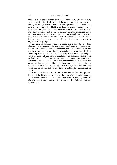### 36 GODS AND BEASTS

that, like other occult groups, they aped Freemasonry. One reason why secret societies like Thule imitated the earlier prototype, despite their enmity toward it, was that it had a history of guarding ancient secrets. In a series of pamphlets published in Germany in the early seventeenth century, at a time when the upheavals of the Renaissance and Reformation had called into question many verities, this mysterious fraternity announced that it possessed spiritual knowledge of supernatural truths which could be revealed only to specially prepared initiates. It became fashionable for wise men to belong to the Freemasons, and their rituals and techniques were widely copied by other groups.

Thule gave its members a set of symbols and a place to voice their alienation. In exchange for obedience, it promised protection. In the face of the unstable economic and social conditions, the initiate received assurance that there were forces which, through magic, he could make work for him. More important and immediately satisfying, the elaborate hierarchy in which the initiate advanced only if he did as he was told meant that one could at least control other people and assert his superiority over them. Membership in Thule set one apart from nonmembers, inferior beings. The advantage that accrued to Thule members more than made up for the totalitarian aspects: Without having to make independent decisions, they could become an elite cadre whose task was nothing less than saving the world.

To deal with that task, the Thule Society became the active political branch of the Germanen Orden after the war. Without undue modesty, Sebottendorff observed of his branch: »This decision was important, for Bavaria has thereby become the cradle of the National Socialist movement «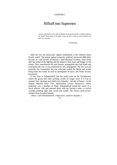### CHAPTER 5

## Riffraff into Supermen

As soon as the bonds of civic order lie shattered on the ground and law is trodden underfoot, the Sacred Vehme enters on its rights; it must not fear to smite the mass-criminals with their own weapons.

—Theodor Fritsch

After the war, the democratic regime symbolized, to the volkisch mind, Jewish control. The protest against economic, political, and social difficulties became an »anti-Jewish revolution.« Shell-shocked Germans came home after the ordeal of the fighting and the defeat to find chaos and hunger in the streets. They remembered the anti-Semitic propaganda they had heard and read before the war. It was reinforced by new propaganda: The Jew was the anarchist, the Communist, the one who had caused the defeat and would bring down the world. In such an atmosphere of terror, the Thule Society prospered.

It was clear to Sebottendorff that the small room on the Zweigstrasse where the group had been meeting would no longer serve if it was to expand. Now meetings were held every Saturday—the day of Saturn—in the elegant Munich hotel Vier Jahreszeiten (»Four Seasons«), whose proprietor was a member of Thule. Sebottendorff rented the rooms of a naval officers' club and adorned them with the Society's arms—a curved swastika pointing right, plus sword and wreath. The rooms could accommodate three hundred people.

»Here,« said Sebottendorff, »objectives could be attained.«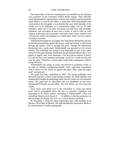The consecration of the new meeting place was attended by the chairman and committee of the Germanen Orden's Berlin chapter. They officially made Sebottendorff a representative of theirs and a Master, and accepted the name Thule as a cover for the Orden. A week later, when thirty people were consecrated to the first grade, it was decided that every third Saturday of the month was to be dedicated as a consecration lodge, and on all other Saturdays, talks were to be held. The group was kept busy with meetings, initiations, and excursions at least once a week, as well as talks on such subjects as divining rods, mysticism, and bardic ritual. Every member wore a bronze pin which was designed as a shield upon which were two spears crossing a swastika.

Sebottendorff bought the newspaper Der Munchener Beobachter because he felt that proselytizing against the enemy could not be done as effectively through the spoken word as through the press. Though Der Munchener Beobachter was a sports paper, Sebottendorff was attracted to it for several reasons. The readership was young; it was impossible to start a new paper because of the paper shortage and because the government did not allow new papers to appear; and, most important, »The Jew had no interest in sports, if it did not have any monetary advantage, so the Jew would not buy and read the paper. Therefore, a sports paper could make propaganda without being detected.«

Sebottendorff was wrong, of course, but showed no awareness of this, as he went on, blithely contradicting himself: »How right these calculations were is shown by the Jewish ire against the editor. They called the paper itself 'unimportant.' »

The paper had been established in 1887. The former publisher, now deceased, had been a client of the attorney Gaubatz, the Thule member; and Sebottendorff bought the publishing rights from his widow for five thousand marks. The paper had no subscribers and was distributed on the street. Sebottendorff himself was the editor. The first edition was five thousand copies.

Early issues were given over to the exhortation to »keep your blood pure« and to propaganda about the Jew as »parasitic capitalist« and participant in the black market. According to Sebottendorff: »This was something Munich never heard of. . . . In addition to the big questions, we did not forget the details. We were very critical about everything.«

By November 1, 1918, the Thule organization had 1,500 members in all Bavaria, 250 of them in Munich. The paid membership journeyed to Berlin to be indoctrinated in further propaganda.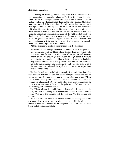The meeting on Saturday, November 9, 1918, was a crucial one. The war was ending, the monarchy collapsing. The Jew, Kurt Eisner, had taken control of the Bavarian government two days earlier. A series of revolts had just broken out which promised chaos for the whole country. Munich, in fact, was engulfed in revolution. The old order had proven itself bankrupt, not only in Germany and Austria, but in Russia. The bolshevism which had triumphed there was the big bugbear feared by the middle and upper classes in Germany and Austria. The toppled empire in Germany created a vacuum in which revolutionaries of the right and left fought for domination. Conspirators were everywhere. German radicals looked to Russia for guidance and financial support. Munich was one of the key cities for revolutionary activity, and the little anti-Semitic lodges now consolidated into something like a mass movement.

At the November 9 meeting, Sebottendorff told the members:

Yesterday we lived through the whole breakdown of what was good and holy to us. Instead of our blood-related Kaiser, there now reigns Juda. We have to fight the Jew.... He who cannot follow me, despite his oath of loyalty to me—he should get out. I won't be angry about it. He who wants to stay with me, he should know that there is no going back, but only forward. He who wants to stay should remember his oath even until his death. I myself assure you and swear to you by the holy sign, listen to the victorious sun. I also will be loyal to you. Trust in me as you have trusted in me before. . . .

He then lapsed into mythological metaphysics, reminding them that their god was Walvater, the self-born power and spirit, whose rune was the Aarune (Aryan; fire; sun; eagle; sun-wheel; swastika) and whose Trinity was Wodan [Wotan], Wili, and We. Lest the members find this a bit obscure, he admonished: »Never would a low-class brain comprehend the unity of a Trinity. Wili is, like We, the polarization [of] Walvater, and Wodan the godly immanent law.«

The Trinity originated, he said, from the first creation. It then created the world, and the first human pair. Wodan created the self or spirit of the life power. Wili gave the thought and the will, and We the feeling and emotions.

What did this odd mixture of ancient Eastern philosophy and Norse mythology have to do with the revolution raging outside the Vier Jahreszeiten? It provided a rationale for the dangerous mission the members were being called on to accomplish: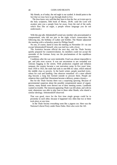My friends, as of today, the red eagle is our symbol. It should point to the fact that we may have to go through death to live.

The Jews know very well that they have to fear the Aar, as it even says in the holy scriptures, fifth book of Moses, 28:49, »and the Lord will awaken unto you a people from far away, from the end of the earth, which flies like an eagle, a people whose language you do not understand.«

With this pep talk, Sebottendorff cursed any member who procrastinated or compromised, who did not join in the eight o'clock consecration the following day, the birthday of Luther and Schiller. The Master adjourned the meeting with a schmaltzy poem by Philipp Stauff.

No one, of course, dared to miss the meeting on November 10—no one except Sebottendorff himself, who was laid low with a fever.

The Armistice became official the next day, and the Thule Society quietly prepared for counterrevolution. Its members could not accept the surrender of the German Army nor the proclamations of the republican government.

Conditions after the war were intolerable. Food was almost impossible to get, and jobs even scarcer. It was not uncommon to see wounded war veterans begging in the streets. With production crippled and inflation rampant, the country became a vast starvation camp. In five years' time, from 1918 to 1923, the mark had sunk to one-fifth its value, which reduced the middle class to poverty. In the harsh winter, people searched everywhere for coal and kindling. One observer remarked: »If a store offered dog biscuits a long line formed outside to procure them. People ate whatever they could find. Horsemeat became a delicacy, potato a luxury.«

But for the Thule Society there was a surprising upswing. Because of governmental suspicion about the possible conspiratorial nature of organizations, many Bunds were thrown out of their meeting rooms. Landlords wanted no trouble. The innocent-appearing Thule was left alone, and with its runic obsessions was able to play host to these other Bunds, who shared a similar ideology. Sebottendorff observed:

That was good, since for the first time single groups could be in proximity to each other, because it happened very often that two or three took place at one time.

In the Thule Society everything went like a pigeon coo. Here was the National Liberal Party under Hans Dahn. Here also were the All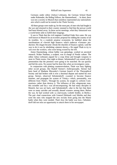Germans under editor [Julius] Lehmann, the German School Bund under Rohmeder, the Riding Fellows, the Hammerbund. ... In short, there was not a society in Munich that somehow represented any nationalistic aim which could not be tented in the Thule Society.

All these groups were made up, for the most part, of men who had fought in the war and returned to their country stunned to find that the prewar world had been blasted away. In these secret meetings, what they fantasized was a world better able to fulfill their longings.

It was to Thule that the civil engineer Gottfried Feder first came. He was well known in Munich for an eccentric proposal for ridding the country of all its troubles. As a crankish amateur economist, he babbled about the machinations of »Jewish high finance« which undercut »German« production. His slogan became »break the shackles of finance capital,« and the way to do it was by abolishing »interest slavery.« He urged Thule to try to win over the workers, who were being wooed by the left.

Anton Daumenlang, whose hobby was genealogy, worked on ancestral research. Walter Nauhaus, a sculptor, was in charge of Nordic culture. The editor Julius Lehmann argued for a coup d'etat and brought weapons to store in Thule rooms. One night at dinner, Sebottendorff was seized with a premonition that the premises were going to be searched. He ran quickly and hid the arms. No sooner had he done this when an investigator came.

In conjunction with plotting counterrevolution, Thule was busy fighting other occult groups, like Rudolf Steiner's Anthroposophs. Steiner had been head of Madame Blavatsky's German branch of the Theosophical Society and had broken with it over a doctrinal dispute and started his own group. Steiner, observed Sebottendorff, »wanted to become finance minister, and propagate his system of Trinity,« which, presumably, was different from Thule's. Through his system, he sought to »reform Communism« rather than destroy it. The influence of this »degenerate man, this swindler and liar,« was all-encompassing. He had many disciples in Munich, but was set back, said Sebottendorff, »due to the fact that there were so many suicides and sexually abused women« among them. Before the war, he had worked with »a clairvoyant, Lisbeth Seidler, in Berlin.« The pair »had connections with General [Helmuth von] Molrke and they were the ones who stopped the new recruits from going into the Marne battle when they were needed. That's how the battle was lost.« Sebottendorff did not miss an opportunity to attack them in his newspaper.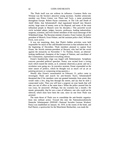The Thule itself was not without its influence. Countess Heila von Westarp was the Society's attractive young secretary. Another aristocratic member was Prince Gustav von Thurn und Taxis, a name prominent throughout Europe. Robert Payne comments, in The Life and Death of Adolf Hitler, that Sebottendorff »had ingratiated himself into Munich society, large sums of money were at his disposal, and many of the most influential people in Munich were his disciples.« This powerful occult circle included adepts, judges, lawyers, professors, leading industrialists, surgeons, scientists, and even former members of the royal entourage of the Wittelsbach kings. The Bavarian minister of justice, Franz Gurtner; the police president of Munich, Ernst Pohner; and the assistant police chief, Wilhelm Frick, were active.

It was not surprising, then, that Thule's hidden activities were held responsible for much of the cold-blooded terrorism in that turbulent time. In the beginning of December, Thule members planned to capture Kurt Eisner, the Jewish minister-president of Bavaria, who had led the revolt against the monarchy on November 7. To Thulists, Eisner, an ethereallooking intellectual, champion of the League of Nations, and conciliator of the Communists, represented everything odious.

Eisner's hundred-day reign was tinged with Bohemianism. Symphony concerts preceded political speeches. Poetry was recited from a roving truck which toured the streets, as if, someone observed,«a picnic and not a revolution were going on.« In executive sessions, Eisner expounded on the inner nature of politics, which he thought was as much »of an art as painting pictures or composing string quartets.«

Shortly after Eisner's assassination on February 21, police came to investigate Thule and search for anti-Semitic flyers. Sebottendorff threatened that if his members were not granted immunity from arrest, they would »take a Jew, drag him through the streets, and say that he stole a consecrated wafer. Then you will have a pogrom on your hands that will take you out of office at the same time.« When the police assured him he was crazy, he answered: »Perhaps, but my craziness has a mouth.« He meant, presumably, that he was a man of influence, one who could not be silenced, which must have been the case, since no one from Thule was arrested.

The main thrust of Thule was to consolidate the anti-Semitic organizations into militant action. Toward this end, the Nationalsozialistische Deutsche Arbeiterpartei (NSDAP—National Socialist German Workers' Party) was established on January 18, 1919, in the rooms of the hotel, and Karl Harrer, a sportswriter for the Munchener Beobachter, was made the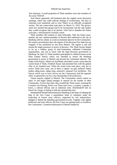first chairman. A small proportion of Thule members were also members of the early NSDAP.

Karl Harrer apparently still hankered after the original secret discussion meetings, where one could cultivate feelings of exclusiveness. His days as chairman were numbered, and so were Thule's as an officially recognized society. The last consecration took place on March 21, 1919. The government now insisted that groups had to be incorporated, and the only leaders they would recognize had to be elected. »One had to abandon the Fuhrer principle,« Sebottendorff wistfully noted.

Thule members did continue to meet informally. After the Eisner assassination, the new minister-president of Bavaria fled northward to the city of Bamberg with his cabinet, to avoid an imminent takeover by the Communists. He issued a proclamation that »the regime of the Bavarian Free State has not resigned. It has transferred its seat from Munich. The regime is and will remain the single possessor of power in Bavaria.« The Thule Society helped to set up a military group of anti-Communists, infiltrated Communist organizations, and was in touch with the legal Bavarian government in Bamberg. On April 13, Thule members participated in a debacle known as the Palm Sunday Putsch, which was intended to restore the Bamberg government to power in Munich and prevent the Communist takeover. The leader of the Putsch, Alfred von Seyffertitz, described a comic scene after the current head of Thule, Friedrich Knauf, had presented him with the gallant offer of six hundred men. When the actual event took place, only ten or twelve Thule men came, one of them a captain »in gala uniform! Patent leather riding boots, riding whip, monocle!« reported Von Seyffertitz. The Putsch which was to have driven out the Communists had the opposite effect. It opened the way for a true dictatorship of the proletariat.

Virtual anarchy reigned in Munich. The Communists seized control on April 14 and began taking hostages in reprisal for the murder of other Communists. Twelve days later, they invaded the Thule rooms, arresting the Countess von Westarp, Prince von Thurn und Taxis, a sculptor, a painter, a baron, a railroad official, and an industrial artist. Sebottendorff laid on Knauf the charge of failing to hide the membership lists.

Sebottendorff himself had journeyed to Bamberg in the hope of enlisting the help of the Free Corps, a paramilitary band of volunteers under the leadership of former army officers, supported by rich industrialists, pledged to defend the Bamberg government-in-exile. Together with rightist politicians and army officers, the Free Corps was getting ready to overthrow the Communists. Counterrevolutionaries in Munich helped by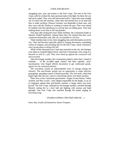smuggling men, arms and money to the Free Corps. The men in the Free Corps, unfit for civilian life, had a personal stake in the fight. For them, the war had never ended. They were still intoxicated with it. Some had come straight out of school into the trenches, where they had learned how to be hard and how to make sacrifices. Postwar Germany was despicable to these men, and they were with the Thulists in wanting to restore the past. They were joined by students who felt superfluous in a society that was falling apart. They had nothing better to do than to kill and plunder.

Four days after seizing the seven Thule members, the Communist leader in Munich, Rudolf Egelhofer, ordered them shot. He claimed that they were counterrevolutionaries and, after all, accountable to civil law.

Thule members had, in fact, been smuggling men and information out of the city. They had become especially gifted at forging documents, assembling caches of weapons, and recruiting men for the Free Corps, whose volunteers were laying plans to defeat the left.

While twenty thousand Free Corps men marched on the city, the hostages were taken to Luitpold High School, which the Communists were using as a barracks as well as a jail. They were lined up against the courtyard wall and executed.

After the hostage murders, the Communists posted a notice that a »band of criminals ... of the so-called upper classes« had been captured, »archreactionaries« who forged official documents to get confiscated goods, agents for the counterrevolution.

The executions caused an unprecedented wave of outrage among the citizenry. The anti-Semitic groups lost no opportunity to make effective propaganda, spreading rumors of fearful atrocities. The civil strife, which had begun right after the war, came to a horrifying climax over these murders.

Three Jews in the Communist government—Eugen Levine-Nissen, Tobias Axelrod, and Max Levien—were alleged responsible for the deaths, as an act of vengeance against their anti-Semitic enemies, a charge which was never proved. The Free Corps, inflamed by the hostage murders, stormed through Munich, setting fire to a beer hall and fighting with mortars and hand grenades. One Free Corps unit marched through the streets singing its marching song:

»Swastika on helmet, Colors black-white-red. ...«

Soon, they would call themselves Storm Troopers.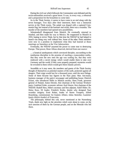During the civil war which followed, the Communists were defeated and the racist-nationalists received a great boost. It was, in every way, a rehearsal and a preparation for the brutalities to come later.

As to the Thule Society, it seems to have come to an end along with the seven hostages. Two days after their interment, there was a memorial service at the Thule rooms. The pulpit was draped with a captured Communist flag, but instead of the hammer and sickle, there was a swastika. The murder of the members had opened new possibilities.

Sebottendorff disappeared from Munich. He eventually returned to Istanbul, and then made his way to Mexico. He reappeared in Munich in 1933, hoping to revive Thule, but by that time the NSDAP he had helped to launch was doing very well without him. Some of the other Thule members were now in a position to implement what they had learned at those meetings on Saturdays at the Vier Jahreszeiten.

Eventually, the NSDAP assumed the power to come near to destroying Europe. That power, Rene Alleau observed, derived from one source:

... a fanatical autohypnosis which convinced disciples, succumbing to the totalitarian discipline in the promise of reaching a transcendent reality, that they were the new men the age was waiting for, that they were endowed with a secret energy which would enable them to take over Germany and the world. If they were properly prepared, mysteries would be revealed to them which would give them Satanic powers.

Incredible as it may seem, the members and guests of the Thule Society thought of themselves as potential masters of the earth, protected against all dangers. Their reign would last for a thousand years, until the next Deluge. Some of them became key figures in the Nazi party: Max Am-mann, business manager of the party's newspaper and publishing house; Dietrich Eckart, who introduced Hitler to Munich society; Hans Frank, governor general of Poland; Anton Drexler, first chairman of the German Workers' party; Gottfried Feder, economic adviser; Karl Harrer, first chairman of the NSDAP; Rudolf Hess, Hitler's secretary and first adjutant; Adolf Hitler; Dr. Heinz Kurz, SS leader; Friedrich Krohn, dentist who designed Nazi swastika insignia; Ernst Rohm, leader of Storm Troopers; Alfred Rosenberg, commissioner for Eastern Affairs; Julius Streicher, Gauleiter (party district-leader) of Franconia.

The philosophy behind this cult, never mentioned at the Nuremberg Trials, sheds new light on the atrocities which were about to come, on the tacit sanction of them by the German people, and on the Messiah who led them.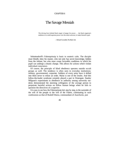### CHAPTER 6

## The Savage Messiah

The driving force behind black magic is hunger for power. .. . the black magician's ambition is to wield supreme power over the entire universe, to make himself a god.

—Richard Cavendish, The Black Arts

Sebottendorff's Fuhrerprinzip is basic to esoteric cults. The disciple must blindly obey his master, who not only has secret knowledge, hidden from the initiate, but who must create favorable conditions in which his pupil can undergo a drastic change. This allows for actions which violate individual conscience.

Of course, the principle of blind obedience operates outside occult groups as well. The tendency is often seen in everyday institutions: military, governmental, corporate. Soldiers of every army have it drilled into them never to refuse an order. Mylai is one of the results. And this follow-the-leader syndrome certainly played a part in Watergate. Stanley Milgram's experiments in obedience to authority among university students demonstrated the alarming willingness of the average person to perpetrate harmful actions on fellow human beings when he fails to question the directives of a superior.

It is easy to see how the Fuhrerprinzip led, step by step, to the surrender of the will of the people to the will of the Fuhrer, culminating in such confessions as that of Rudolf Hoess, commandant of Auschwitz, just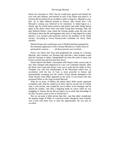before his execution in 1947, that he would have gassed and burned his own wife and children, and himself as well, if the Fuhrer had asked it. A German did not need to be an occultist in order to long for a Messiah to save him. As in other difficult periods in history, after World War I the Messiah's coming was believed to be imminent. A father-figure in a chaotic age, he would surely preserve and protect and make things bloom again in the desert where men were daily losing their bearings. Still, the poet Heinrich Heine's »man whom the German people await, the man who will bring to them the life and happiness they have so long hoped for in their dreams,« was awaited with particular zeal by the members of the Thule Society. According to Trevor Ravenscroft's confidant, Dr. Stein, Thule member

Dietrich Eckart and a small inner core of Thulists had been prepared for the imminent appearance of the German Messiah in a whole series of spiritualistic seances. . . . . ... all those present were terrified. . . .

Prince von Thurn und Taxis had prophesied the coming of a German Messiah, and Countess von Westarp had said that a false prophet would lead the Germans to defeat. Sebottendorff ran from the room in terror, but Eckart tackled him and knocked him down.

Eckart shared with Hitler a fascination with Ostara's erotic racism; had, in fact, been charged with plagiarism by Lanz von Liebenfels himself. After the Nazis were swept into power, Lanz was to write that his Order of New Templars was »the first manifestation of the Movement which now, in accordance with the law of God, is most powerful in history and unrestrainedly sweeping over the world.« Eckart already belonged to the Thule Society when Hitler appeared on the scene. It was Eckart who first promoted Hitler as the long-awaited Messiah.

What do we know of Hitler's life before then? With certain important exceptions, only what he wanted us to know: that he was the son of a harsh man, a civil servant, who wanted his son to follow in his footsteps; that he adored his mother, who died a lingering death of cancer while he was struggling in Vienna; that he did not make it as an artist; that knowledge of his true vocation came to him in World War I.

But we can paint a fuller picture than this—one that rather complicates the popular image of Hitler as a practical realist, though he most certainly was a man who knew how to seize his opportunities. He was also an occultist.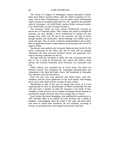The Library of Congress in Washington contains thousands of books taken from Hitler's personal library after the Allied occupation of Germany. One of them, Nationalismus, is by the Indian mystic Rabindranath Tagore. It bears an inscription dated April 20, 1921, signed by the unfamiliar name B. Steininger: »An Adolf Hitler, meinem lieben Armanen-bruder« (»To Adolf Hitler, my dear Armanen-brother«).

The Armanen, Guido von List's esoteric brotherhood, invented an ancient race of Germanic priests. Their wisdom was passed on through the centuries, not only through a secret brotherhood of initiates but also through clues which List, the last of the Armanen, was able to divine through intuition and clairvoyance. Sacred meanings were hidden away in words and signs. This, of course, is perfectly understandable to the occultist. But List apparently reached a wider audience by pioneering in the revival of pagan worship.

His theories were studied by the Germanen Orden and, later, by the SS. His books, confiscated by the Allies, bear the SS mark and are stamped Ahnenerbe, the Nazi Ancestral Research branch, and apparently were used in teaching candidates for the SS.

But apart from the inscription to Hitler, the only connecting link from him to List is made by Ravenscroft, who reports that Hitler's occult adviser, the Viennese bookseller Ernst Pretzsche, was associated with List.

Hitler's library also contained one of Lanz's books, Das Buck der Psalmen Teutsch: Das Gebetbuch der Ariosophen Rassenmystiker und Antisemiten (»The Book the Psalms Teach: The Prayerbook of Ariosophic Race Mystery and Anti-Semitism«).

Both List and Lanz were obsessed with blood purity, with anti-Semitism, with the secret significance of the Grail legend, with bringing about a new order. Both took the swastika for their symbol.

Membership in cults of this type are usually kept secret, so it is not surprising that we have no documentation of Hitler's membership. He may well have been a member of either the Armanen or the Order of New Templars, or both, however, for it is entirely in keeping with his character as presented by people who knew him in his younger days in Vienna.

Josef Greiner, the former lamplighter, who published his reminiscences in 1947, describes Hitler as an explorer of occult mysteries and a student of telepathy—knowledgeable about the rituals of the yogis and about fakirs who seem to control their heartbeats. He was intrigued, according to Greiner, by pseudosciences which appeal to the poorly educated.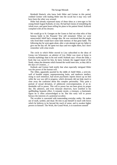Reinhold Hanisch, who knew both Hitler and Greiner in this period, credited Greiner with leading Hitler into the occult but it may very well have been the other way around.

Hitler had already expressed many of these ideas as a teen-ager to his young friend August Kubizek, in Linz. He had had visions of remodeling the whole town, and spent hours telling his plans to his patient friend. Kubizek complied with all his dreams:

We would go to St. Georgen on the Gusen to find out what relics of that famous battle in the Peasants' War still remained. When we were unsuccessful Adolf had a strange idea. He was convinced that the people who lived there would have some faint memory of that great battle. The following day he went again alone, after a vain attempt to get my father to give me the day off. He spent two days and two nights there, but I don't remember with what result.

The circle in which Hitler moved in Linz subscribed to the ideas of Georg von Schoenerer, an admirer of List. Hitler was more at home in German mythology than in his real world. Kubizek says: »From the Edda, a book that was sacred for him, he knew Iceland, the rugged island of the North, where the elements which formed the world meet now, as they did in the days of Creation....«

Kubizek and Greiner both testify that what especially intrigued Hitler was the power of the human will.

The Allies, apparently puzzled by the riddle of Adolf Hitler, a ne'er-dowell of humble origins, unprepossessing looks, and mediocre intellect, rising to such eminence, had secret psychiatric reports drawn up on him while the war was still in progress, which obviously did not help much to clear away the confusion about this complex personality. They paint a portrait of sexual deviation, of adolescent overcompensation, of an indomitable will to power. This will to power has not been given its proper due. His admirers, and even reluctant observers, have testified to his spellbinding, hypnotic effect. A romantic mystic, a visionary, a charismatic figure he is often acknowledged to be. But this early will to power betrays the interests of a potential occultist.

The occultist is concerned with transcending everyday reality. He makes use of myth, symbol, and ritual. He tries to put himself in touch with forces which he believes to be beyond the reach of sense, and to awaken higher powers in himself. The Work, the Grand Work, is to transform oneself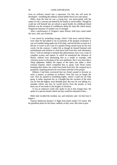from an ordinary mortal into a superman. For this, the will must be developed—something the ordinary mortal neither knows nor cares about.

Hitler, from the time he was a young boy, was preoccupied with the matter of will, a concern not shared by his family or social milieu. Though he could not will himself into art school or good health, his childhood friend Kubizek was the recipient of confidences about his inner life which betray Wagnerian fantasies of another sort of strength.

After a performance of Wagner's opera Rienzi, both boys stood under the stars, and, says Kubizek:

I was struck by something strange, which I had never noticed before, even when he had talked to me in moments of the greatest excitement. It was as if another being spoke out of his body, and moved him as much as it did me. It wasn't at all a case of a speaker being carried away by his own words. On the contrary: I rather felt as though he himself listened with astonishment and emotion to what burst forth from him with elementary force. I will not attempt to interpret this phenomenon, but it was a state of complete ecstasy and rapture, in which he transferred the character of Rienzi, without even mentioning him as a model or example, with visionary power to the plane of his own ambitions. But it was more than a cheap adaptation. Indeed, the impact of the opera was rather a sheer external impulse which compelled him to speak. Like flood waters breaking their dykes, his words burst forth from him. He conjured up in grandiose, inspiring pictures his own future and that of his people.

Hitherto I had been convinced that my friend wanted to become an artist, a painter, or perhaps an architect. Now this was no longer the case. Now he aspired to something higher, which I could not yet fully grasp. It rather surprised me, as I thought that the vocation of the artist was for him the highest, most desirable goal. But now he was talking of a mandate which, one day, he would receive from the people, to lead them out of servitude to the heights of freedom.

It was an unknown youth who spoke to me in that strange hour. He spoke of a special mission which one day would be entrusted to him....

Hitler later recalled the incident, too, and solemnly said: »In that hour it began.«

Typical adolescent dreams? A flight from harsh reality? Of course. But his grandiose plans for the future, unlikely as they were, did come to pass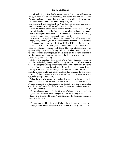after all, and it is plausible that he should have worked on himself systematically, in obedience to occult teaching. The occult tradition, as Madame Blavatsky pointed out, holds that what moves the world is »that mysterious and divine power latent in the will of every man, and which, if not called to life, quickened and developed by Yogi-training, remains dormant in 999,999 men out of a million, and gets atrophied.«

From the ancients to the most simplistic modern exponents of the magic power of thought, the doctrine is that one's attention and intense concentration can accomplish any desired end. If the end is not reached, it is simply because the mind has not sufficiently projected it.

In Vienna, Hitler's political thinking had been influenced by Mayor Karl Lueger, who, according to the Anthroposophist, Johannes Tautz, came to the Armanen. Lueger was in office from 1897 to 1910, and, in league with the Pan-German anti-Semitic groups, found favor with the lower middle class by attacking liberals and Jews. His anti-intellectualism was epitomized by one of his underlings, who said, »When I see a book I want to puke.« While List wrote pseudo-erudite tracts on the esoteric meaning of words, Lueger knew that to gain power he had to win over the largest possible segment of society.

Hitler was a peculiar fellow to his World War I buddies because he would sit listlessly by himself and let nobody stir him out of his concentration. He was apt to jump up abruptly and move around agitatedly, predicting that the Germans would be defeated. Recovering in the hospital from a gassing attack which left him temporarily blinded, he had a vision which must have been comforting, considering his dim prospects for the future. Writing of this experience in Mein Kampf, he said: »I resolved that I would take up political work.«

When he was discharged, he continued to work for the army, in the Munich branch, as an instructor in the Press and News Bureau of the Political Department. In the course of his duties he was sent to investigate one of the satellites of the Thule Society, the German Workers' party, and ended by joining it.

His membership number in the German Workers' party was originally 555, but for some reason it was changed to 7. The discrepancy is mentioned in a footnote to Reginald H. Phelps's monograph in the American Historical Review, July 1963:

Drexler, outraged by distorted official radio »history« of the party's origin, drafted a long, angry letter to Hitler late in January 1940. . . . In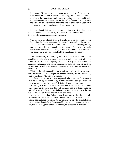### 52 GODS AND BEASTS

it he stated: »No one knows better than you yourself, my Fuhrer, that you were never the seventh member of the party, but at most the seventh member of the committee, which I asked you join as propaganda chief.« In this letter—never sent, since Drexler planned to forward it to Hitler after the war—are also statements about the size of the party in September 1919 and about the »forging« of Hitler's party card.

It is significant that someone, at some point, saw fit to change the number. Seven, in occult terms, is a much more important number than 555. List, for instance, expatiates on seven:

The seven is developed from a triangle. ... it is the secret of the beginning, the development and the change into the All in all respects . . . and so closes the circle of eternity. That is why all figures in geometry can be measured by the triangle and the square. The seven is a glyphe (secret word and secret connotation) as well as a numerical value, because it can be arrived at only by symbols of the triangle and the square.

This, incidentally, is a fairly typical, if not lucid, exposition. To the occultists, numbers have curious properties which are not just utilitarian. They all borrow from Pythagoras, who first gave mathematics a specialized meaning. The occult properties of numbers form the basis for serious study which, they believe, contains the key to laws of human and cosmic life.

Whether through superstition or cognizance of cosmic laws, seven became Hitler's number. The perfect number, in short, for the membership card of the future Messiah of Germany.

But how is it that such an unexceptional fellow became the Messiah? Was he chosen by the group or by a single member—perhaps Eckart—or did he create the role for himself? This is still an open question.

According to Kurt Ludecke, who knew both Hitler and Eckart in those early years, Eckart »was something of a genius, and to a great degree the spiritual father of Hitler and grandfather of the Nazi movement. Also, he was well-to-do, one of Hitler's first financial blessings.«

It is more likely that Eckart himself was not well-to-do but wellconnected. He had contact with rich members of Munich's social circle and was an accomplished fundraiser. At any rate, it was he who afforded Hitler the entree into that circle, with the grandiloquent announcement that here, at last, was the »long-promised savior.« In fact, he is reported to have said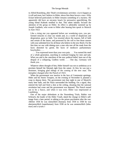The Savage Messiah 53

to Alfred Rosenberg, after Thule's revolutionary activities: »Let it happen as it will and must, but I believe in Hitler; above him there hovers a star.« Why Eckart believed particularly in Hitler remains something of a mystery. He apparently did have an uncanny knack for persuasive speechifying. His young friend Kubizek testified to that. This talent initially focused the attention of the group on Hitler. Its effect is admirably summed up by Joseph Goebbels, who wrote to Hitler after hearing him speak in Munich in June 1922:

Like a rising star you appeared before our wondering eyes, you performed miracles to clear our minds and, in a world of skepticism and desperation, gave us faith. You towered above the masses, full of faith and certain of the future, and possessed by the will to free those masses with your unlimited love for all those who believe in the new Reich. For the first time we saw with shining eyes a man who tore off the mask from the faces distorted by greed, the faces of mediocre parliamentary busybodies. . . .

. . . You expressed more than your own pain. . . . You named the need of a whole generation, searching in confused longing for men and task. What you said is the catechism of the new political belief, bom out of the despair of a collapsing, Godless world. . . . One day, Germany will thank you. . . .

Whatever others thought of him, Hitler himself was not so ambitious as to proclaim himself the Messiah right from the outset. At first, he was just a drummer, bringing glad tidings of the coming of the new man. The metaphor changed after the Putsch of 1923.

When the government was inactive in the face of Communist uprisings, Hitler and his Storm Troopers, on the evening of November 8, planned a coup to depose them. The government met that night in one of Munich's many beer halls, and the Nazis surrounded the building. On a signal, they entered the hall and fired a shot at the ceiling, shouting that the national revolution had come and the government was deposed. The Putsch turned out to be a fiasco, and when it was over, Hitler was imprisoned at Landsberg.

One of the major defendants at the Nuremberg Trials, Baldur von Schirach, the leader of the Hitler Youth, dated the change in Hitler's selfimage from a later period, in talking to the prison psychiatrist after the war: »Before 1934 he was menschlich [human]; from 1934 to 1938 he was ubermenschlich [superhuman]; from 1938 on he was unmenschlich [inhuman] and a tyrant.«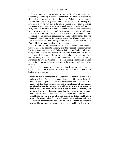But the consensus does not seem to be that Hitler's confinement, and particularly, according to some commentators, his intimate exposure to Rudolf Hess in prison, occasioned the change. Whatever the relationship between the two men may have been, Hitler did become something of a national idol by the very fact of his imprisonment. He, of course, enjoyed the legend which began to grow up around him, and capitalized on it in every way that he could. It is not uncommon, either, for breakthroughs to come to men as they meditate quietly in prison. He certainly had lots of time to think in the nine months he was in Landsberg. It was only after this, according to his intimate acquaintance, »Putzi« Hanfstaengl, that the Fuhrer cult began in earnest. Before then, he was Herr Hitler to everyone. At Hess's instigation, this now changed, first to der Chef and then to Mein Fuhrer. Hitler seemed to enjoy the transmutation.

In prison, he had written Mein Kampf, with the help of Hess. When it was published, his absolute authority over the National Socialist German Workers' party was established. Whereas before, Kurt Ludecke observes, »people said he would be destroyed for loyalty to friends,« he was now no longer one of the boys, but increasingly dictatorial and self-serving. From here on, Hitler, whatever steps he took, continued to see himself as sent by Providence to save the German people. This message communicated itself with striking power to his subalterns, to the masses, and even to his enemies.

Hermann Rauschning, who eventually defected from the Party, reports a typical conversation in which Hitler told Bernhard Forster, Nietzsche's brother-in-law, that he

would not reveal his unique mission until later. He permitted glimpses of it only to a few. When the time came, however, Hitler would bring the world a new religion. . . . The blessed consciousness of eternal life in union with the great universal life, and in membership of an immortal people—that was the message he would impart to the world when the time came. Hitler would be the first to achieve what Christianity was meant to have been, a joyous message that liberated men from the things that burdened their life. We should no longer have any fear of death, and should lose the fear of a so-called bad conscience. Hitler would restore men to the self-confident divinity with which nature had endowed them. They would be able to trust their instincts, would no longer be citizens of two worlds, but would be rooted in the single, eternal life of this world.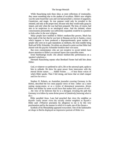While Rauschning took these ideas as mere reflections of irrationality, they mean something else to the student of occultism. Hitler's new religion was the same brand that Lanz and List had preached: a mixture of paganism, Gnosticism, and magic. Its true purpose could only be revealed to the initiated, and only at the proper time, because only they would really grasp its import, and only when the way had been prepared. The time, of course, had also to be auspicious in an astrological sense. And the initiated, whose consciousness presumably was sufficiently expanded, would be in a position to help usher in the new religion.

Many people have testified to Hitler's medium-like powers. Much has been made of the fact that he was born in Braunau am Inn in Austria, a town which happens to have produced a disproportionately great number of people who went on to gain reputations as mediums, the most notable being Rudi and Willy Schneider. Occultists are pleased to point out that Hitler had shared with the psychic Schneider brothers their wet nurse.

But even commentators who are not receptive to occult beliefs have drawn attention to Hitler's occasional lapses into trancelike states.

Ernst Hanfstaengl recalls »his almost medium-like performances on a speaker's platform.«

Hermann Rauschning repeats what Bernhard Forster had told him about Hitler:

God, or whatever we preferred to call it, life or the universal spirit, spoke to him in solitude. He drew his great power from intercourse with the eternal divine nature. . . . Added Forster. . . . »I hear those voices of which Hitler speaks. Then I feel strong, and know that we shall conquer and live for ever  $\alpha$ 

Stephen H. Roberts, an Australian journalist covering Germany in the thirties, described the two most popular views of him—either »as a mere ranting stump-orator, or as a victim of demoniacal possession, driven hither and thither by some occult force that makes him a power of evil. . . . the view of his believers that he is a demigod, revealing the path that Germany is to follow by some divine power of [intuitively] knowing what to do.«

Hitler parodied Jesus. Lanz had preached that »love thy neighbor as thyself« really meant »love thy racially similar neighbor as thyself.« Hitler said: »Whoever proclaims his allegience to me is by this very proclamation and by the manner in which it is made, one of the chosen.«

Symbols of his Messiahship appeared everywhere. One of the fashionable art shops in Berlin displayed an impressive portrait of Hitler in a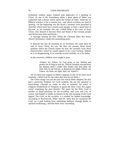prominent window space, flanked with duplicates of a painting of Christ. At one of the Nuremberg rallies a giant photo of Hitler was captioned with a phrase which opens the Gospel of John—believed, by Biblical scholars, to be a Gnostic text—and which occultists are fond of quoting: »In the beginning was the Word.« Sermons were preached in churches which must have caused some people, at least, a good deal of dis-ease, as, for example, this one: »Adolf Hitler is the voice of Jesus Christ, who desired to become flesh and blood of the German people and did become flesh and blood.«

A message bearing the title »What the Christian Does Not Know About Christianity« made this astonishing point:

If Jehovah has lost all meaning for us Germans, the same must be said of Jesus Christ, his son. He does not possess those moral qualities which the Church claims for him. He certainly lacks those characteristics which he would require to be a true German. Indeed, he is as disappointing, if we read the record carefully, as is his father.

In day nurseries, children were taught to pray:

»Fuhrer, my Fuhrer, by God given to me, Defend and protect me as long as may be. Thou'st Germany rescued from her deepest need; I render thee thanks who dost daily me feed. Stay by me forever, or desperate my plight. Fuhrer, my Fuhrer, my faith, my light, Hail, my Fuhrer!«

All of which lent support to Hitler's epigram in one of his more lucid moments: »What luck for the rulers that men do not think.«

The Christ image was not the only one which Hitler adopted. He also had a particular fondness for Grail symbols. He put the question to Rauschning: »Should we create an elite of initiates? An order? A religious brotherhood of Templars to guard the Holy Grail, the august vessel containing the pure blood?« The quest for the Holy Grail is another of those talismans for the occultists, and Lanz and List, of course, had helped to kindle an interest in the real meaning of the Grail legend. The Grail, to the occultist, is a symbol for hidden knowledge. According to Ravenscroft, Hitler told Dr. Stein that he visualized the Grail »as a path leading from unthinking dullness, through doubt, to spiritual awakening,« and that there were »ascending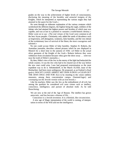grades on the way to the achievement of higher levels of consciousness, disclosing the meaning of the heraldry and armorial insignia of the Knights, which he interpreted as representing the various stages they had attained in the quest for the Grail.«

He went through an elaborate explanation of the various creatures which symbolized the different degrees, the highest being the eagle, emblem of the initiate who had attained the highest powers and faculties of which man was capable, and was at last in a position to »assume a world-historic destiny.« Hitler went on to say: »The real virtues of the Grail were common to all the best Aryan peoples. Christianity only added the seeds of decadence such as forgiveness, self-abnegation, weakness, false humility, and the very denial of the evolutionary laws of survival of the fittest, the most courageous and talented.«

No one could accuse Hitler of false humility. Stephen H. Roberts, the Australian journalist, describes colored pictures which he saw displayed in Munich for a short time in the autumn of 1936: »of Hitler in the actual silver garments of the Knight of the Grail.« Roberts believes they were withdrawn from circulation because »they gave the show away . . . were too near the truth of Hitler's mentality.«

By then, Hitler's view of the Jew as the enemy of the light had bedazzled the whole country. It was the Jew who had to be cleared out of the way before the new man could arise. Lanz had proposed extermination as the most expedient way to do it. Sebottendorff, in the March 10,1920, issue of the Beobachter, had been more ambiguous. He proposed, as an Endziel (»final goal«): MACHT GANZE ARBEIT MIT DEM JUDEN! (»CLEAN OUT THE JEWS ONCE AND FOR ALL!«) by resorting to the »most ruthless measures, among them concentration camps« (Sammel-lager) and »sweeping out the Jewish vermin with an iron broom.«

Like his teachers, Hitler saw the Jew as the embodiment of all evil, but among the qualities he considered evil were virtues such as intellect, conscience, intelligence, and pursuit of absolute truth. As he told Rauschning:

We are now at the end of the Age of Reason. The intellect has grown autocratic, and has become a disease of life. . . .

Conscience is a Jewish invention. It is a blemish, like circumcision.

A new age of Magic interpretation of the world is coming, of interpretation in terms of the Will and not the intelligence.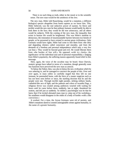There is no such thing as truth, either in the moral or in the scientific sense. The new man would be the antithesis of the Jew.

The new man, Hitler told Rauschning, would be a mutation, a different biological species altogether from homo sapiens as we know him. This, Hitler believed, was the real seductive power of nazism. So fierce and terrible would the new men be that ordinary humans would hardly be able to look them in the face; they would be the true aristocracy, and all others would be subjects. With the coming of the new man, the inequality that exists in human life would be heightened. This was Hitler's antidote to democracy, the restoration of insurmountable barriers between two breeds of people, as he presumed to have existed in ancient great civilizations. Only Germans would have rights. Hitler had come to free them from »the dirty and degrading chimera called conscience and morality, and from the demands of a freedom and personal independence which only a very few can bear.« They would be beyond good and evil. He would liberate them from »the burden of free will.« He opposed »with icy clarity« the significance »of the individual soul and of personal responsibility.« Judging from Hitler's popularity, the suffering masses apparently found relief in this message.

Here, again, the voice of the occultist may be heard. Since Darwin, esoteric groups have talked in terms of a mutation, though generally none but Satanists have perceived the new man as amoral.

To betray the Fuhrer, then, was also to betray the new civilization which he was ushering in, and he managed to convince the people of this. Over and over again, in mass rallies so carefully staged that they left no one immune, he pummeled home, with the force of a master magician such as has not been seen before or since, the startling doctrine that he and the people were one. Through torchlit night parades, striking military bands, cathedral-like arcs of light, and the patterns and colors of swastika flags, a religious fervor was created among audiences wearied with waiting for hours until he came before them, suddenly, late at night, thundered his oration, and left just as suddenly. So skilled a psychologist was he that he knew that if he invited alienated mass man to »step out of his workshop,« his smallness would disappear in the midst of a body of hordes »with a like conviction.«

It worked. For a time, the Aryan Germans were rid of anxiety, and Hitler's mutations dared to commit unimaginable crimes against humanity, in the name of a greater humanity.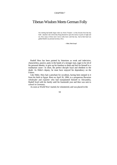### CHAPTER 7

# Tibetan Wisdom Meets German Folly

Our meeting had hardly begun when my Storm Troopers—as they became from that day forth—attacked. Like wolves they flung themselves upon the enemy in packs of eight and ten. How many of these men I never really knew until that day. And at their head was gallant Rudolf, my personal secretary, Hess.

—Hitler, Mein Kampf

Rudolf Hess has been painted by historians as weak and indecisive, characterless, passive, putty in the hands of a stronger man, eager to be rid of his personal identity, to give up his freedom to think and feel for himself to a totalitarian cause—in short, the perfect disciple loyal and obedient to the death. As Hitler's deputy, he must have enjoyed his dependency on the Fuhrer.

Like Hitler, Hess had a penchant for occultism, having been steeped in it from his birth in Egypt. Born on April 26, 1896, to a prosperous Bavarian wholesaler and exporter who had transplanted himself to Alexandria, Rudolf lived with his family until his fourteenth year and then was sent to school in Germany.

As soon as World War I started, he volunteered, and was placed in the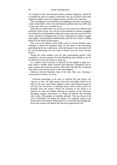1st Company of the 16th Bavarian Reserve Infantry Regiment, named the List Regiment, after its original commander. He was an officer in the same regiment as Hitler, who was a dispatch runner, but they never met then.

The List Regiment was in the thick of the fighting at the front. According to a letter which Hitler wrote to his old Munich landlord, they lost 2,900 men in four days. Hess was wounded twice.

When the war ended, Hess was twenty-two. He went back to Munich and joined the Thule Society. He was one of the hundreds of veterans smuggled out of Munich by Sebottendorff, along with money and arms, to join the Free Corps. Despite his hangdog look, he had a reputation for being a scrappy street fighter. He participated wholeheartedly with the Free Corps in ridding Munich of the leftist revolutionaries.

Hess was in the audience when Hitler came to German Workers' party meetings to deliver his grandiose plans for the future of the movement, predicting that the day would come »when the banner of our movement will fly over the Reichstag, over the Castle in Berlin, yes, over every German house.«

Seeing the small audience and the pale, gesticulating speaker, Hess wondered, as he later reported, Was this thundering orator foolish or was he the Messiah? Soon, his mind was made up.

As a student at the University of Munich, he was eligible to apply for a prize which a wealthy South American had endowed. Competitors were to write a theme that posed the question »How Must the Man Be Constituted Who Will Lead Germany Back to Her Old Heights?«

Delirious with the Messianic hope of the time, Hess won. Drawing a word portrait of Hitler, he wrote:

Profound knowledge in all areas of political life and history, the capacity to draw the right lessons from this knowledge, belief in the purity of his own cause and in ultimate victory, and enormous power of will give him the power of thrilling oratory which evokes joyful enthusiasm from the masses. Where the salvation of the nation is in question, he does not disdain utilizing the weapons of the adversary, demagogy, slogans, processions, etc. Where all authority has vanished, only a man of the people can establish authority. This was shown in the case of Mussolini. The deeper the dictator was originally rooted in the broad masses, the better he understands how to treat them psychologically, the less the workers will distrust him, the more supporters he will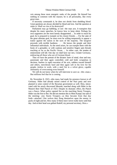win among these most energetic ranks of the people. He himself has nothing in common with the masses; he is all personality, like every great man.

If necessity commands it, he does not shrink from shedding blood. Great questions are always decided by blood and iron. And the question at stake is: Shall we rise or be destroyed?

Parliament may go babbling, or not—the man acts. It transpires that despite his many speeches, he knows how to keep silent. Perhaps his own supporters are the most keenly disappointed. ... In order to reach his goal, he is prepared to trample on his closest friends. ... For the sake of the great ultimate goal, he must even be willing temporarily to appear a traitor against the nation in the eyes of the majority. The lawgiver proceeds with terrible hardness. . . . He knows the people and their influential individuals. As the need arises, he can trample them with the boots of a grenadier, or with cautious and sensitive fingers spin threads reaching as far as the Pacific Ocean. ... In either case, the treaties of enslavement will fall. One day we shall have our new, Greater Germany, embracing all those who are of German blood. . . .

Thus we have the portrait of the dictator: keen of mind, clear and true, passionate and then again controlled, cold and bold, scrupulous in decision, fearless in rapid execution of his acts, ruthless toward himself and others, mercilessly hard and then again soft in his love for his people, tireless in work, with a steel fist in a velvet glove, capable ultimately of overcoming even himself.

We still do not know when he will intervene to save us—this »man.« But millions feel that he is coming.

By November 8, 1923, »this man« had made his presence known to all Germany. Hitler had already seized control of the Nazi party and now planned to seize control of the Bavarian government as well. Hess, intoxicated with his newly discovered Messiah, marched along with Hitler in the Munich Beer Hall Putsch of 1923. Despite its dramatic effect, the Putsch was a fiasco. When police opened fire on the marching Storm Troopers, Hitler was the first to flee. He did not mention this in Mein Kampf, but said of the meeting: »my Storm Troopers—as they became from that day forth—attacked. Like wolves they flung themselves upon the enemy in packs of eight and ten. How many of these men I never really knew until that day. And at their head was gallant Rudolf, my personal secretary, Hess.«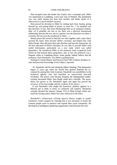Hess escaped across the border into Austria over a mountain pass. Hitler was imprisoned at Landsberg, a town just west of Munich. The punishment was very mild, lasting less than nine months, and Hitler spoke of it afterward as a much-needed vacation.

Hess proved his devotion to Hitler by coming back from Austria, giving himself up, and joining Hitler in prison, in room No. 7. So steadfast was that devotion, in fact, that Ernst Hanfstaengl hints at an unnatural relationship: »It is probably not true to say there was a physical homosexual relationship between the two, but in a passive way the attraction was there. I certainly did not trust the manhood of either. ...«

Shared prison life served to bind the two men together until a later fiasco severed the bond. Hess became Hitler's secretary and helped him with Mein Kampf. Hess did more than take dictation and type the manuscript. As the best educated of Hitler's disciples, he was able to provide Hitler with useful information, particularly on a new study which was called geopolitics. He introduced Hitler to the professor (and ex-general) from whom he had learned about geopolitics, and, in fact, the professor was a frequent visitor to Landsberg prison. Some people, indeed, believe that the professor, Karl Haushofer, was Hitler's guiding brain.

Writing in Current History and Forum in June 1941, Frederic Sondern, Jr., who had personal knowledge of the subject, reported:

Dr. Haushofer and his men dominate Hitler's thinking. That domination began 17 years ago when the World War general flattered the excorporal by paying him visits in prison. Haushofer saw possibilities in the hysterical agitator who had launched an unsuccessful beer-hall revolution. The prison visits became frequent; the distinguished soldierscientist fascinated Hitler, then finally made him a disciple. The ascendancy has grown as Dr. Haushofer again and again has proved the accuracy of his knowledge and the wisdom of his advice. . . .

It was Haushofer who taught the hysterical, planless agitator in a Munich jail to think in terms of continents and empires. Haushofer virtually dictated the famous Chapter XVI of Mein Kampf which outlined the foreign policy Hitler has since followed to the letter.

Haushofer's Lebensraum (»living space«) theory sought to justify Germany's world conquest by claiming that it was necessary to insure the German people room to preserve and expand their racial community. He developed an intelligence-gathering organization which became the envy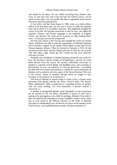and model for all others. He was called everything from »Hitler's idea man« to »the man who will in the end take the Fuhrer's place,« yet he seems to have kept a very low profile. But there is apparently much more to Haushofer than the geopolitician.

A love affair with the Orient began in 1908, when, as a field artillery officer in the Bavarian army, he was sent to Tokyo to study the Japanese army and to advise it as an artillery instructor. The assignment changed the course of his life. He traveled extensively in the Far East, and added the Japanese, Chinese, and Korean languages to his repertoire of English, French, and Russian. He could not be accused—as other leading Nazis were—of having a provincial background.

His four-year sojourn in the Far East also changed the course of German history. Haushofer was able to make the acquaintance of influential Japanese and to develop a rapport for the culture which helped account later for the German-Japanese alliance. When he returned to Germany in 1912, he had no reason at all to know that the Chinese proverb of which he was so fond, »He who rides a tiger cannot get off,« would one day have particular relevance for him.

Haushofer was introduced to Oriental teachings during his stay in the Far East. He had been a devout student of Schopenhauer, and now he could drink directly from the source. He became sufficiently conversant in Sanskrit to translate several Hindu and Buddhist texts, and according to Ravenscroft, he was »an authority on Oriental mysticism... concealing the other side of his nature and activities as a leader of a secret community of Initiates, and an authority on every aspect of the 'Secret Doctrine.' [He was] in the esoteric stream of satanism through which he sought to raise Germany to the pinnacle of world power.«

(The king of Satanists in America today is Anton LaVey, a former circus lion-tamer who greatly admires the Nazis. LaVey's book, The Satanic Bible, published in 1969, is dedicated to a puzzling mixture of people, with one entry reading: »To Karl Haushofer, a teacher without a classroom.«)

A number of unsupported theories about Haushofer's occult connections are all rejected by his son Heinz. Haushofer is known to have had a reputation for precognition, and a belief in astrology. Johannes Tautz adds to these the belief that he belonged to George Gurdjieff's esoteric circle, which was as well versed in the difficult exercises of the Order of Bektashi Dervishes as Sebottendorff was, and that he was also a secret member of the Thule Society. List's publishing house made a German translation of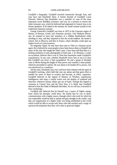Gurdjieff s biography. Gurdjieff traveled extensively through Asia, and may have met Haushofer there. A former disciple of Gurdjieff, Louis Pauwels, believes that Haushofer was a member of »one of the most important secret Buddhist societies« and was on a mission to restore the Indo-Germanic race, which he believed had originated in Central Asia, to its former greatness. If he failed in the mission, he would commit suicide in the traditional Japanese manner.

George Ivanovitch Gurdjieff was born in 1872 in the Caucasus region of Russia, of Russian, Greek, and Armenian ancestry. Like Madame Blavatsky, he claimed to have met members of a Hidden Brotherhood while traveling in Asia, and they imparted to him the occult tradition. He started a school, first in Moscow and then in France, where disciples could open up higher levels of consciousness.

An enigmatic figure, he may have been sent to Tibet as a Russian secret agent. He is believed by some people to have been known there as Dorjieff, the name of the man who taught the Dalai Lama. I have been told that there is a striking similarity in early photographs of both men. J. H. Brennan, a writer on occultism, believes that it was in Tibet that Haushofer made Gurdjieff's acquaintance. In any case, whether Haushofer knew him or not, it is clear that Gurdjieff was never a Nazi sympathizer. He and a group of disciples were in Berlin during the height of Nazi power and watched a street parade, which he proceeded to satirize. He was about to be hauled off to prison, but was dismissed as a madman.

All the same, Haushofer may very well have been imbued with the spirit of Gurdjieff's teaching, which held that men are asleep and that great effort is needed for some of them to awaken and become, in effect, supermen. Gurdjieff believed in the legend of Masters of Wisdom, superhuman intelligences who keep a careful watch over the destiny of mankind and intervene whenever human affairs get out of hand. Though this legend is common in Central Asia and the Near East, it is likely that Gurdjieff derived it from the Order of Bektashi Dervishes. As we will see, it recurred in Nazi mythology.

Gurdjieff also believed that he himself was a source of higher energy from which his disciples could draw. He hinted that he was in direct communication with a higher source, through which »the work for which he was responsible would be able to spread and gain strength in the world,« and that »an organization of a higher order was being established in the world which would be able to accept only those who had reached such a stage of spiritual development that they were able to generate higher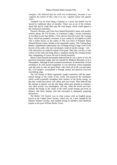energies.« He believed that his work was evolutionary, because it was »against the stream of life,« that is to say, »against nature and against God.«

Gurdjieff was far from being a Satanist or a racist, but neither was he bound by traditional ideas of morality. There was an air of the trickster about him and he could often play the cruel despot, which would appeal to the totalitarian mentality.

Pauwels, Brennan, and Tautz have linked Haushofer's name with another esoteric group, the Vril Society, or Luminous Lodge, a secret community of occultists in pre-Nazi Berlin. »Vril« derives from the novel The Coming Race, which has prophetic overtones. It was written by an English occultist who is better known as the author of The Last Days of Pompeii: Baron Edward Bulwer-Lytton. Written in the nineteenth century, The Coming Race details a superhuman subterranean race of beings living in huge caves in the bowels of the earth, who have developed a kind of psychic energy—vril with which they are made the equals of the gods. They plan, one day, to take control of the earth and bring about a mutation among the existing human elite, subjugating, of course, the rest of slavish humanity.

Baron Lytton himself presumably believed that he was a storer of vril. He practiced ceremonial magic and was claimed by Madame Blavatsky to be a Theosophist. Although he had examined mesmerism, he denied that vril had anything to do with animal magnetism. It was electricity whose properties were the same as »the one great fluid« with which all of life was pervaded. His »Vril people« accumulated it through mental and physical exercises resembling yoga.

The Vril Society in Berlin apparently sought connection with the supernatural beings in the center of the world, and practiced the techniques which would eventually strengthen their mastery of the divine energy, so that they would have power over others and over events. They believed that this attempt at mastery was the only thing which gave purpose to existence. Any other activity was meaningless. One day, when the world was transformed, the beings in the center of the earth would emerge and form an alliance with those initiates who had succeeded in adequately preparing themselves.

The Berlin Vril Society was in close contact with an English group known as the Golden Dawn Society, which was, for a time, headed by the Satanist Aleister Crowley, and counted among its members such illustrious people as the poet William Butler Yeats.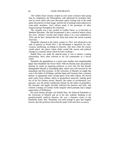The Golden Dawn Society created an even more exclusive inner group than its competitors, the Theosophists, with admission by invitation only, rule by secret chiefs who were discarnate spirits existing only in the astral plane, the practice of ritual magic, and the use of meeting rooms unknown to outer-order members. Such elitism made it the prototype of other magical groups throughout the continent.

The swastika was a key symbol to Golden Dawn, as it had been to Madame Blavatsky. She had incorporated it into a mystical brooch which she wore. Aleister Crowley had written about it in a tract published in 1910, and he later claimed that the Nazis had stolen the sacred swastika from him.

Haushofer returned to his native country in 1912, and advanced to the rank of general in World War I. He developed a reputation for clairvoyance, predicting, according to Pauwels, »the hour when the enemy would attack, the places where shells would fall, storms and political changes in countries about which he knew nothing.«

Rudolf Hess was made his aide-de-camp. It was to remain a lasting relationship. Hess often referred to his old commander as a Secret Chief.

Haushofer the geopolitician is a much more familiar and comprehensible figure than Haushofer the Secret Chief. With his Roman nose and patrician bearing, he made an imposing professor at war's end. He had already distinguished himself in formulating ideas which were well received by the nationalists and Pan-Germans. At the University of Munich, he taught that »war is the father of all things« and that Japan and Germany had a common destiny: to appropriate more »living space« from other nations. He moved quite easily from military affairs to geopolitical statecraft, making good use of his Far Eastern travels. Munich, the center of revolutionary conspiracies, was the perfect intellectual climate for the father of geopolitics. His disciples and pupils slavishly followed his theories and style, and evolved a strategy of German world conquest which presently had a unique opportunity of fulfillment.

His most famous disciple was Rudolf Hess. He followed Haushofer to the University of Munich and sat at his feet, ardently drinking in the pseudoscientific political theories. He was a frequent visitor to the Haushofer home. Mrs. Haushofer was kind enough to give him English lessons. But the professor described his pupil with merciless accuracy: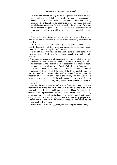He was one student among others, not particularly gifted, of slow intellectual grasp and dull in his work. He was very dependent on emotions and passionately liked to pursue fantastic ideas. He was only influenced by arguments of no importance at the very limits of human knowledge and superstition; he also believed in the influence of the stars on his personal and political life. . . .I was always disconcerted by the expression of his clear eyes, which had something somnambulistic about it.

Presumably, the professor was able to effect a change in his student, because he later claimed that it was only Hess who really understood his theories.

On Haushofer's visits to Landsberg, his geopolitical theories were eagerly discussed by all three men, and incorporated into Mein Kampf. Hess always remained loyal to both masters.

As for Hitler, he was released first, and wailed to Hanfstaengl about Hess, »Ach, mein Rudi, mein Hesserl, isn't it appalling to think he's still there?«

The common experience at Landsberg may have sealed a mystical brotherhood between the two men. Both Hitler and Hess were practiced in occult exercises. In the relatively isolated conditions of their prison room, they could have surrendered to the Grand Work of calling forth untapped powers in themselves. Hanfstaengl believed that Hitler's mind had become »impregnated with the limited doctrines of the Hess-Haushofer coterie« and that Hess had contributed to his »gradual divorce from reality with the inception of the Fuhrer cult.« Before the Putsch, Heil was just an old Austrian custom which the Nazis had appropriated as a way of saying »Good day.« After the Putsch, Party people »Heil Hitlered« as a sort of password.

Hess kept his job as secretary on his return from prison, only now it was secretary of the Nazi party. After 1932, when the Nazis came to power, he was made deputy leader, second in command under Hitler. He controlled the central political organization of the Party, supervised and coordinated policy throughout Germany, and was in charge of at least nineteen departments of the government. He was not popular with the other Party people. Kurt Ludecke refers to him as a »notorious« homosexual, and claims he was known as »Fraulein Anna.«

He had married at Hitler's suggestion, and according to Goebbels' wife,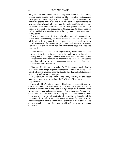for years Frau Hess announced that they were about to have a child, because some prophet had foreseen it. They consulted cartomancers, astrologers, and other magicians, who urged on them combinations of drinks and potions, until in the end a son was born. To commemorate the occasion, all the district leaders were urged to make an offering of a sack of earth from their respective districts. The earth was poured under the baby's cradle, as a symbol of his beginnings on German soil. As district leader of Berlin, Goebbels speculated on whether he ought not to have sent a Berlin paving-stone.

Hess was a man hungry for faith and ready to place it in pseudosciences like astrology, homeopathy, and every manner of divination. His fate was ruled entirely by the stars, by the pronouncements of soothsayers, by animal magnetism, the swings of pendulums, and terrestrial radiations. Demons had a terrible reality for him. Hanfstaengl says that Hess was considered

highly peculiar and went in for vegetarianism, nature cures and other weird beliefs. It got to the point where he would not go to bed without testing with a divining-rod whether there were any subterranean watercourses which conflicted with the direction of his couch. His wife used to complain: »I have as much experience out of our marriage as a candidate for confirmation.«

Himmler's Finnish physiotherapist, Dr. Felix Kersten, recalls finding Hess in bed under a huge magnet swinging over him from the ceiling. There were twelve other magnets under his bed, to draw harmful substances out of his body and restore his strength.

Still, Hess was a valuable man to the Party, probably for the reason stated in a character study published in Das Reich: »Hess can be silent and keep secrets.«

Meanwhile, Hess's original master, Haushofer the geopolitician, was soon transformed into elder statesman. He was made president of the German Academy and of the People's Organization for Germans Living Abroad, and became an important member of the Academy of German Law, which originated the legislation binding on conquered countries. Most impressive of all was his job as director of the Institut fur Geopolitik of the University of Munich. After Hitler came to power, he saw to it that Haushofer received unlimited funds for the expansion of his Institut. His was the head which conceived of the plan by which Germany was to conquer the world.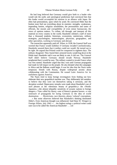He had long believed that Germany would give birth to a leader who would rule the earth; and astrological predictions had convinced him that this leader would accomplish his mission in an alliance with Japan. He often had premonitions, upon which he acted. He convinced Hitler that the Institut must find out everything about its enemies: strengths, weaknesses, impending famine, religious sensibilities, the personalities and tastes of officials, the morals and corruptibility of even minor bureaucrats, the views of opinion makers. To collate, sift through, and interpret all this material on every country in the world, Haushofer enlisted a staff of more than a thousand students, historians, economists, statisticians, military strategists, psychologists, meteorologists, physicists, geographers, and other specialists, working in Germany and abroad.

The researches apparently paid off. When, in 1938, the General Staff was worried that France would mobilize if Germany invaded Czechoslovakia, Haushofer assured them that it neither could nor would. He turned out to be right. He argued that Poland could be conquered in eighteen days. The military disagreed. They feared their armored trucks would bog down in the Polish mud. Haushofer said it was not likely to rain. It did not. The General Staff didn't believe Germany should invade Norway. Haushofer prophesied that it would be easy. The military wanted to invade France when war first started. Haushofer urged that they wait until German propaganda had made its full impact on the people. He also dictated when the campaigns in Africa and the Balkans would begin. It was his idea that the Nazis make temporary friends with Russia, despite widespread anxiety about collaborating with the Communists. He wooed Latin America for its usefulness against America.

The Nazis tried to keep foreign investigators from finding out how elaborate their new geopolitical machine was. They deliberately led outsiders to believe that they were not themselves taking it seriously, and the deception worked. Deprecatory remarks were made about Haushofer's use of such phrases as the »demoniac beauty of geopolitics,« the »Nordic Japanese,« »the almost telepathic sensitivity of oceanic nations to foreign dangers.« Time called his theory »one of history's greatest hoaxes—a vast nonesuch of propaganda for luring Germans to the idea of world domination. . . . Mysticisms, race theories, phony 'cultural' conceptions. . . .« But some observers believed that Haushofer's thinking dominated Hitler's. Even American thought was influenced. Said Hans W. Weigert in Foreign Affairs, July 1942: ». . .the highest eulogy a political writer could earn was to be called 'the American Haushofer' . . . col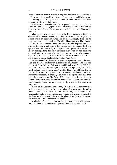leges all over the country hurried to organize 'Institutes of Geopolitics.'»

He became the geopolitical adviser to Japan, as well, and his house was the meeting-place for Japanese diplomats to come and talk over their alliance with German diplomats.

His eldest son, Albrecht, was also a geopolitician, and occupied the Chair of Political Geography at the University of Berlin. He worked closely with the Foreign Office, and was made Joachim von Ribbentrop's assistant.

Father and son kept up close contact with British members of the upper class—Golden Dawn people, according to Jean-Michel Angebert, a French writer on occultism. Once war broke out, though, there was no longer any way to communicate. The elder Haushofer used his influence with Hess to try to convince Hitler to make peace with England. The same mystical thinking which advised the German army to enlarge the living space of the Third Reich »by moving out from a powerful territorial hub and by accomplishing this conquest progressively, step by step, following the accelerating movement of a spiraling dextrogyre [clockwise rotation]« urged Hess, in the spring of 1941, to embark on an adventure which was to make him the most ridiculous figure in the Third Reich.

The Haushofers had planned for some time a personal meeting between Hess and the Duke of Hamilton, a good friend of Albrecht's. The duke had the ear of Prime Minister Winston Churchill and King George VI. If he could be instrumental in passing on a German peace proposal, it would be worth risking a secret rendezvous. The elder Haushofer told Hess that he had two dreams on two separate occasions. In one, Hess flew a plane to an important destination. In another, Hess walked along the tartan-tapestried halls of a splendid castle (the Duke of Hamilton happened to be Scottish). Twenty-four years earlier, Haushofer's premonitions had been celebrated for their accuracy. Hess was now ready to fly whenever the stars were propitious.

He took off for Scotland alone on May 10, 1941, in a Messerschmitt that had been especially designed for him, with just a few possessions, including visiting cards from each of the Haushofers, an assortment of homeopathic pills, a small hypodermic syringe, and a letter addressed to the duke. Whether or not Hitler knew his plans, if not the specific date of his departure, is still a matter of hot debate.

Hess landed in Scotland, but that was the only part of the trip which went as he and the Haushofers would have expected. The British government did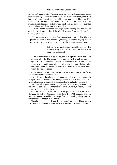not leap at his peace offer. The German government had to denounce him as mentally deranged, which caused it quite a bit of embarrassment, since Hess had been in a position of authority, with no one questioning his sanity. Hess remained an uncomfortable subject in both countries. British cabinet ministers sealed their lips so tightly that one Londoner quipped: »Never has so much been kept from so many by so few.«

The British would not allow Hess to go home, warning that he would be done in by his compatriots if he did. Hess sent Professor Haushofer a birthday greeting:

Do not worry over me. You, less than anyone, need do this. That my present situation is not exactly agreeable goes without saying. But, in time of war, we have to put up with many things that are not agreeable.

> Let the waves like thunder break, Be your very life at stake; May you crash or may you land E'er as your own pilot stand!

That I crashed is not to be denied, and it is equally certain that I was my own pilot! In this matter I have nothing with which to reproach myself. It was I who took the controls. You know as well as I do that the compass which guides our affairs is influenced by forces that are infallible—even when we know them not. May those forces be favorable to you in the years to come!

In the event, the »forces« proved no more favorable to Professor Haushofer than to Hess himself.

Not only were hospitals and streets named »Hess« ostentatiously changed after his unsuccessful attempt to end the war, but there was a wholesale routing of astrologers, seers, mediums, and nature therapists.

Hess, meanwhile, grew increasingly paranoid. He was being hypnotized by the Jews, he complained. Furthermore, so were Churchill, Secretary of State Anthony Eden, and the king of Italy.

Karl and Albrecht Haushofer fell from grace. A letter from Martin Bormann to Alfred Rosenberg dated June 17, 1942, suggests that the National Socialist Monthly gave the professor too much publicity, and that this should not happen in the future.

Albrecht Haushofer participated in a coup d'etat against Hitler on July 20, 1944. The Fuhrer escaped death. Karl Haushofer was sent to Dachau,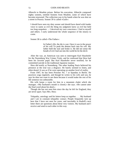### 72 GODS AND BEASTS

Albrecht to Moabite prison. Before his execution, Albrecht composed eighty sonnets, entitled Sonnets from Moabite, some of which have become renowned. The collection was in his hands when he was shot on a street in Prussia. Sonnet 39 is called »Guilt«:

I should have seen my duty sooner and should have dared with louder voice to name as evil the thing my judgment knew as evil but held too long unspoken. ... I deceived my own conscience. I lied to myself and others. I early understood the whole sequence of the misery to come.

Sonnet 38 is called »The Father«:

In Father's life, the die is cast. Once it was in the power of his will To push the demon back into his cell. My father held the seal and broke it. He did not sense the breath of evil And out into the world he let the devil.

After the war, an American was sent to interrogate Karl Haushofer for the Nuremberg War Crimes Trials, and he confessed that Hess had been his favorite pupil. But Karl Haushofer never testified, for he committed suicide in the traditional Japanese manner.

Hess did testify at Nuremberg. The other leading Nazis believed his presence at the trial was a disgrace. He barely seemed to listen, and often dozed. It was as if he were operating on another level of reality.

From 1947, he has been Prisoner No. 7 at Spandau in Berlin. He practices yoga regularly, and though he writes to his wife and son, he says he does not want to see them because it would make the rest of his life sentence too unbearable.

His wife keeps a room for him in a mountain chalet which she manages. »My husband's mouth is closed,« she says. »He cannot utter the final word about his deed.«

Though she has not seen him since the day he left for England, they are never apart. Says Mrs. Hess:

Telepathy, astrology and his letters keep us together. . . . My husband and I are in constant telepathic contact. People frequently turn up here that I have not seen for years, and inevitably in Rudolf's next letter there are questions about these very visitors. My husband and I receive and send to each other in this way.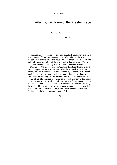#### CHAPTER 8

## Atlantis, the Home of the Master Race

Some say the world will end in ice. . . .

—Robert Frost

Science hasn't yet been able to give us a completely satisfactory answer to the question of how the universe came to be. The occultists are much bolder. From time to time, they have advanced different theories—always colorful—about the origin of the world and of human beings. The Nazis favored the occult cosmology of an Austrian named Hans Hoerbiger.

Born in 1860 to a poor family in Carinthia, Hoerbiger became a blacksmith's apprentice as a youth, and when he scraped together enough money, studied mechanics in Vienna. Eventually, he became a mechanical engineer and inventor. As a boy, he was fond of lying out of doors at night and gazing up at the sky, and the intuition came to him that the moon was an ocean of ice. He extended the vision as a young engineer, in the instant when he saw molten steel poured onto snow and the ground explode violently. He took this as a microcosm for the kind of cataclysm that might have given birth to the universe. In the next two decades, he explored the tension between cosmic ice and fire, which culminated in the publication of a 772-page book, Glazialkosmogonie, in 1913.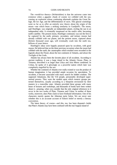The »world-ice theory« (Welteislehre) is that the universe came into existence when a gigantic chunk of cosmic ice collided with the sun, causing an explosion whose continuing aftermath explains the Great Deluge, the Ice Age, and the differentiation of races. This glacial cosmology went so far as to offer an entirely new theory about the origin of the moon—one which bears a striking similarity to Gurdjieff's. The moon, said Hoerbiger, was originally an independent planet, circling the sun in an independent orbit. It eventually trespassed on the earth's orbit, becoming earth's satellite. The present moon, Hoerbiger continued, was not the first to be captured by the earth; primary, secondary, and tertiary moons had already collided with our planet, and the present moon, captured about thirteen thousand years ago, will eventually crash into the earth too, billions of years hence.

Hoerbiger's ideas were happily pounced upon by occultists, with good reason. He believed that on the three previous occasions when the moon had collided with the earth, the catastrophes which resulted were recorded in the legends about the Flood, about the lost continent of Atlantis, and about the Twilight of the Gods.

Atlantis has always been the favorite place of all occultists. According to ancient tradition, it was a large island in the Atlantic Ocean. Plato, in Timaeus, described it as larger than Libya and Asia Minor combined. In Critias, he spoke of it glowingly as a powerful nation which later was completely engulfed by the sea.

Whether the continent of Atlantis ever really existed or was the product of human imagination, it has provided ample occasion for speculation. To occultists, it became associated with man's search for hidden wisdom. The supposed Atlanteans, like the Vril people, presumably developed supernormal powers. They were the models upon which esoteric groups patterned themselves, usually according to a blueprint envisioned by their masters in a trancelike state. Atlantis provided these groups with many hours of lectures and workshops, and thousands of books have been written about it—amazing, when you consider that the only original references to it occur in the two works of Plato, Timaeus and Critias. In neither of these works, moreover, does Plato claim to have firsthand information. One of his characters merely quotes the Athenian jurist Solon. We are never sure whether this is an accurate account of Solon's belief or merely a literary convention.

The latest theory, of course—and this, too, has been disputed—holds that Plato's Atlantis may have been confused with the real Aegean island of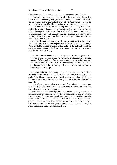Thera, devastated by a tremendous volcanic explosion in about 1500 B.C.

Enthusiasts have sought Atlantis in all sorts of unlikely places. The German volkisch occult groups placed it in Thule, the northernmost part of the earth, and made it the original home of the Aryan master race. They were delighted to have Hoerbiger explain why that home had disappeared.

The glaciers caused by the last falling moon, when they melted, engulfed the whole Atlantean civilization in a deluge, memories of which exist in the legends of all people. This was the fall of man; from this period he degenerated. The occult tradition teaches that some wise and powerful members of the highly developed race went underground and saved themselves from the Great Flood.

Disciples of Hoerbiger also were pleased to point out that the age of giants, set forth in myth and legend, was fully explained by his theory. When a satellite approaches nearer to the earth, the gravitational pull of the earth becomes greater, tides become stronger, and, as Peter Kolisimo explains in Timeless Earth,

as a second consequence, human beings and creatures in general will become taller. . . . this is the only possible explanation of the huge species of plants and animals that have existed on earth, and of a race of men sixteen feet tall. The increase of men's stature, and likewise of their intelligence, is also due, according to this theory, to an increase in the intensity of cosmic rays.

Hoerbiger believed that cosmic events recur. The Ice Age, which seemed to him to recur in cycles of six thousand years, was about to come again. Only this time, supermen who had learned to control cosmic fire and ice would have the option to stop the cycle and make their civilization immortal.

But Hoerbiger was not all cosmic ice and fire. Indeed, his metaphysics also took in the view that there was a world apart from this one, where the laws of cosmic ice were not operable.

The Judeo-Christian notion of primitive man slowly inching his way up to civilization did not accord well with the volkisch Hoerbigerians. To them, it was precisely the other way round: Moons ago, Aryan men had created a marvelous civilization which had been destroyed by the Ice Age; we had yet to approach their splendor. Traces of the lost paradise existed, for those who had eyes to see, in ancient giant monuments, statues, and complex mathematical and engineering constructions.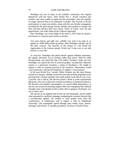Hoerbiger was one of many in the scientific community who aligned themselves with the Nazis. After World War I, Jewish scientists and scholars were more readily accepted into the universities, since the republic no longer allowed them to be arbitrarily excluded. The increase in Jewish participation in major universities, along with the anti-Semitic propaganda, accounted for the push among German scholars and scientists to »purge« the Jews and thus advance their own careers. Some, of course, were not just opportunistic, but really believed the volkisch arguments.

Hans Hoerbiger was at the height of his fame in 1925 when he issued a declaration to Austrian and German scientists:

You must choose, and right now, whether you want to be with us, or against us. While Hitler cleans up politics, Hans Hoerbiger will take care of the false sciences. The doctrine of the eternal ice will herald the regeneration of the German people. Watch out! Come over to our side before it is too late!

At sixty-five, Hoerbiger had pitted himself against orthodox astronomy. His appeal, obviously, was to emotion rather than reason. With his white flowing beard, very much like that of his fellow Viennese, Guido von List, Hoerbiger, too, played the role of mystical prophet, warning that »objective science is a pernicious invention, a totem of decadence.« He sought to replace it with an inspired piercing of the mysteries. Illumination would come intuitively with the development of »higher« consciousness.

In the post-World War I period, Albert Einstein was the most famous scientist in Germany. Hostility toward him increased in direct proportion to his growing fame. German scientists were made acutely aware that he was a Jew, a pacifist, and a radical. His theories posed a threat to some experimental physicists, who saw in them the eventual ascendancy of theoretical physics. His theories were labeled »meaningless« or »unveri-fiable abstractions,« or else he was accused of not being original. Men who championed the National Socialist cause concentrated on him as their chief scapegoat. Hoerbiger was one of these men.

His success as an engineer had set him up well financially, and he started what amounted to a political campaign, trumpeting his visionary theories like a revolutionary agitator. He wanted to wean people away from the »uselessness« of mathematics and to replace it with an enlightened »knowing.« His propaganda spread through mass media, tracts, posters, meetings, and lectures. A monthly periodical, The Key to World Events,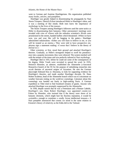went to German and Austrian Hoerbigerians. His organization published many books, articles, and pamphlets.

Hoerbiger was greatly helped in disseminating his propaganda by Nazi Storm Troopers. Dietrich Eckart introduced Hitler to Hoerbiger's ideas, and it was a meeting of like minds. Both men knew the importance of mythology in the lives of the masses.

The Storm Troopers among Hoerbiger's followers used the same tactics as Hitler in disseminating their fantasies. Other astronomers' meetings were invaded with cries of »Down with the orthodox scientists!« Rivals were proselytized in the streets, handed leaflets which threatened: »When we have won, you and your like will be begging in the gutter.« Hoerbiger admonished industrialists: »Either you will learn to believe in me, or you will be treated as an enemy.« They were told to have prospective employees sign a statement reading: »I swear that I believe in the theory of eternal ice.«

Other scientists, at first, stood their ground and attacked Hoerbiger's theories. Gradually, as Hitler's strongmen helped to swell his pseudoscience into a popular movement, they were silenced. The system meshed well with the temper of the times and was perfectly tailored to Nazi mythology.

Hoerbiger died in 1931, before he could see some of the consequences of his dogma. Hitler Youth were recruited to spread the word. In 1935, Heinrich Himmler, an admirer, established the Ahnenerbe (»Ancestral Research«) branch of the SS for the purpose of subsidizing researches into occult theories of ancestral origins of Aryanism. He sent the German playwright Edmund Kiss to Abyssinia, to look for supporting evidence for Hoerbiger's theories, and made another Hoerbiger disciple, Dr. Hans Robert Scultetus, head of the Ahnenerbe branch which was to concentrate on weather forecasts resting on the world-ice cosmology. Literature about this cosmology was handed out freely to high-ranking Nazis. A German expedition to Tibet tried to find fossilized remains of giants. Anyone who attacked Hoerbiger was promptly suppressed by the Ahnenerbe.

In 1936, despite rumors that he was a Freemason and a Roman Catholic, Hoerbiger's son, Hans Robert Hoerbiger, was appointed cosmic-ice Fuhrer by Himmler, who insisted that if the theory were shorn of its fantastic elements, which might hurt his flawless reputation, it would be »scientific« enough to constitute a »really Aryan intellectual treasure.« A Nazi pamphlet announced that cosmic ice stood in the same relation to Einstein's theory of relativity as the Edda did to the Talmud.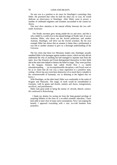No one was in a position to do more for Hoerbiger's cosmology than Hitler. He promised that when he built his ideal city in Linz, he would dedicate an observatory to Hoerbiger. After Hitler came to power, a number of celebrated engineers and scientists succumbed to the cosmic-ice theory.

One tract drew attention to the natural affinity between the two selfmade Austrians:

Our Nordic ancestors grew strong amidst the ice and snow, and this is why a belief in a world of ice is the natural heritage of Nordic men. It was an Austrian, Hitler, who drove out the Jewish politicians, and another Austrian, Hoerbiger, will drive out the Jewish scientists. By his own example Hitler has shown that an amateur is better than a professional; it was left to another amateur to give us a thorough understanding of the Universe.

The few times that these two Messianic leaders met, Hoerbiger actually outtalked Hitler in his harangue against modern science, which not only did not understand the why of anything but had managed to separate man from the spirit. Jews like Einstein and Freud distinguished themselves in their fields and at the same time helped to destroy the belief in magic. They were pacifists in the bargain. Einstein had called World War I »a fateful misunderstanding . . . an incomprehensible deception,« and Freud went so far as to claim that all war was a mass regression to a primitive state, writing: »Never has any event been destructive of so much that is valuable in the commonwealth of humanity, nor so debasing to the highest that we know.«

With Hoerbiger, on the other hand, Hitler was comfortably in the realm of Wagner and Nietzsche. The magic of myth would be reestablished in Germany, with its giants and dwarfs, masters and slaves, transgressions, sacrifices, and punishments.

Hitler took great pride in being the enemy of »Jewish, liberal« science. He confessed to Rauschning:

I thank my destiny for saving me from the State-granted privilege of acquiring blinkers in the form of a so-called scientific education. I have been able to steer clear of many naive assumptions. Now I am reaping the benefit. I approach everything with a vast, ice-cold freedom from prejudice.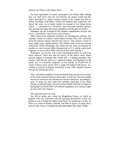He often expounded on cosmic catastrophe at the dinner table, holding that »we shall never raise the veil between our present world and that which preceded us« unless intuition teaches exact science the path to follow. Hoerbiger, said Hitler, ranked with Ptolemy and Copernicus. His theory that water »is in reality melted ice (instead of ice's being frozen water) . . . amounted to a revolution, and everybody rebelled against« him, proving once again that science grappled »with the spirit of routine.«

Hoerbiger was not accepted by the scientific establishment because »the fact is,« said Hitler, »men do not wish to know.«

Hitler based some important decisions on Hoerbigerian premises. For example, cosmic ice experts caused delays, because they were concerned about the delicate balance between fire and ice. They feared a rocket in space might cause a global disaster. (The military head of the first German rocket tests, Walter Dornberger, also relates that the work was delayed for months at a time because Hitler dreamed that no V-2 rocket would reach England. As an occultist, Hitler took his dreams quite literally.)

Hoerbiger's was not the only occult cosmological theory in which the Nazis believed. There was also the theory of the hollow earth, which received support in Germany after World War I. A leading proponent, Karl Neupert, held that the earth was a spherical bubble, with humanity on the inside, not, as commonly supposed, on the outside. In World War II, certain German naval circles tried to apply the hollow-earth theory. According to an article in Popular Astronomy in June 1946, entitled »German Astronomy During the War«:

They considered it helpful to locate the British fleet, because the curvature of the earth would not obstruct observation. Visual rays were not suitable because of refraction; but infrared rays had less refraction. Accordingly a party of about ten men under the scientific leadership of Dr. Heinz Fischer, an infrared expert, was sent out from Berlin to the isle of Riigen to photograph the British fleet with infrared equipment at an upward angle of some forty-five degrees.

The experiment did not work.

Nor did an earlier one, called the Magdeburg Project, in which an engineer who was connected with the municipal government of that city devised a way of testing the hollow-earth theory by sending up a rocket. As Willy Ley writes in Rockets, Missiles, and Men in Space, »it began like a story by Jules Verne. A mentally decrepit 'philosopher' had written a badly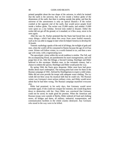printed pamphlet about the true shape of the universe, in which he insisted that the earth is the universe, that we live inside a hollow globe of the dimensions of the earth, that there is nothing outside that globe, and that the universe of the astronomers is only an optical illusion.« If the rocket crashed at the opposite end of the earth, that would prove people lived inside a hollow globe. The rocket cost 25,000 marks, and another 15,000 were spent on a city holiday. Several tests ended in disaster. Either the rocket did not get off the ground, or it smashed, or it flew away, never to be seen again.

After the war, Dr. Fischer protested that the Nazis had forced him »to do crazy things,« which had taken him away from more fruitful research, such as he was able to engage in later when he helped America to develop the H-bomb.

Teutonic mythology speaks of the end of all things, the twilight of gods and men, when the world will be consumed in flames because the age of evil has come. Winter will follow winter, in a world chained in ice, and then a new age will come, with a regenerating race.

The apocalyptic vision within the occult tradition is similar. The Fall, and the accompanying Flood, are punishments for man's transgressions, and will purge him of sin. After the Deluge, a Second Coming. Hoerbiger and Hitler believed in this mystique. Modern man, in the twentieth century, had a chance to redeem the species. Hoerbiger and Hitler would point the way.

By spring 1944, the Nazis grew desperate. Hitler must have had grave doubts about man's redemption. The turning point had come for them in the Russian campaign of 1941. Advised by Hoerbigerians to expect a mild winter, Hitler did not even provide his troops with adequate warm clothing. The icy winds did not blow away his mystical faith that he could win. The Russian winter was Germany's most serious military crisis, and Hitler would never admit that he had been wrong. The Russian campaign mystified everyone else.

Hitler had promised, in his early days, that Germany would never surrender again. If she could not conquer her enemies, she would drag them down to destruction with her. Once Hitler was convinced that Germany could not be saved, he made good his promise. When the American and Russian troops were outside of Berlin, Hitler ordered all food and clothing stores, all bridges and dams, all military, industrial, transportation, and communication facilities in the whole country destroyed. Any Germans who stood in the way were to be killed.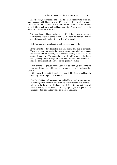Albert Speer, nonmystical, one of the few Nazi leaders who could still communicate with Hitler, was horrified at the order. He tried to argue Hitler out of it by appealing to a concern for the future. After all, many of those bridges, highways, and buildings were Speer's own creations, as the chief architect of the Third Reich:

We must do everything to maintain, even if only in a primitive manner, a basis for the existence of the nation. . . . We have no right to carry out demolitions which might affect the life of the people. . . .

Hitler's response was in keeping with the superman myth:

If the war is to be lost, the nation also will perish. This fate is inevitable. There is no need to consider the basis of even a most primitive existence any longer. On the contrary, it is better to destroy even that, and to destroy it ourselves. The nation has proved itself weak, and the future belongs solely to the stronger eastern nation. Besides, those who remain after the battle are of little value; for the good have fallen.

The Germans had proved themselves not to be ready yet to become the master race. Hitler's leadership had been wasted on them. They deserved to perish.

Hitler himself committed suicide on April 30, 1945, a deliberately chosen day, according to J. H. Brennan:

The Dark Initiate had remained true to his black creed to the very last, had arranged his affairs so that even his suicide should be a sacrificial tribute to the Powers of Darkness. April 30 is the ancient Feast of Beltane, the day which blends into Walpurgis Night. It is perhaps the most important date in the whole calendar of Satanism.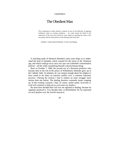#### CHAPTER 9

## The Obedient Man

This combination of ideas offered a solution of sorts to the difficulty of applying traditional values to existing conditions. ... he could sustain his belief in the superiority of the class from which he came simply by equating the values of his own group with the characteristics of the dominant and moral man.

—Bradley F. Smith, Heinrich Himmler: A Nazi in the Making

A searching study of Heinrich Himmler's early years helps us to understand the kind of mentality which yearned for the return of the Atlantean age, and which could go on to carry out Lanz von Liebenfels' extermination policies—all the while considering himself a decent human being.

Born on October 7, 1900, the second son of a Bavarian professor who became tutor to the son of the prince of Wittelsbach, Himmler grew up in the Catholic faith. At nineteen, he was earnest enough about his religion to have noted in his diary an internal conflict over a common fraternity practice: »During the sermon I had to endure an inner struggle more serious than any before. The dueling business constantly keeps cropping up. In the evening I prayed. I had, of course, earlier partly overcome it. God will continue to help me to overcome my doubts.«

He must have decided that God was not opposed to dueling, because he regularly practiced it. Two decades later, as Reichsfuhrer SS, he expressed no such qualms over the Jewish massacre.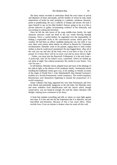His diary entries recorded in meticulous detail the exact times of arrival and departure of buses and people, and the number of swims he took, banal impressions of books he read, pointing to a pedantic, assiduous character, prone to pontificating. He was a collector of stamps and secrets. He took it upon himself to spy on his elder brother's fiancee, going so far as to hire a private detective to gather incriminating evidence of her disloyalty and succeeding in ending the betrothal.

Once he left the safe haven of his snug middle-class family, his rigid character structure could not bend to the raw winds blowing through Germany. Never a careful thinker, he anguished over the impossibility of finding a respectable niche in the conventional society which gave him comfort. He had been an officer candidate during the war, but when it was over, there were rumors about attacks on officers in Bavaria by Communist revolutionaries. Himmler wrote to his parents, urging them to send civilian clothes so that he could travel unmolested. He also begged them: »Buy all of the coal you can and also all the food, even if you have to buy it by the pound. In 14 days there will be no more coal and no more electric light. ... Father, you must join the Bayerisch Volkspartei, it is the only hope.«

A postscript, only for his father's eyes, cautioned: »Don't let mother go out alone at night. Not without protection. Be careful in your letters. You can't be sure.«

In self-defense, Himmler slowly adopted more and more of the ideology of the radical right, to the distress of his moderate family. Sentimental novels extolling the traditional virtues gave way, in his reading, to vitriolic accounts of the origin of World War I. Like Sebottendorff, they blamed Germany's troubles on a Jewish-Freemasonic world conspiracy. The world-conspiracy theoreticians were themselves beginning to assume the proportions of a world conspiracy.

Some Catholics had long supported the view that Freemasons and Jews were liberal and potentially dangerous to the old order, but Himmler more and more withdrew from identification with the church which, though conservative, was not fanatical enough. He read the »hate« literature with delight, making terse comments in his diary:

A book that explains everything and tells us whom we must fight against next time. It is true and one has the impression that it is objective, not just hate-filled anti-Semitism. Because of this it has more effect. These terrible Jews. Even an initiate is shaken when he reads all this with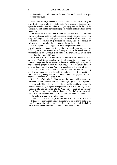understanding. If only some of the eternally blind could have it put before their eyes.

Writers like Fritsch, Chamberlain, and Gobineau helped him to justify his own frustrations, while the whole culture's increasing infatuation with spiritualism made it possible for him to bridge the gap between the death of the old religious faith and his personal longing for evidence of the existence of the supernatural.

The books he read signified a deep involvement with and leanings toward spiritualism and the occult. He labeled occult theories »unbelievably deep and significant« and particularly enjoyed Karl du Prel's Der Spiritismus (»Spiritualism«) because it »really lets me believe in spiritualism and introduced me to it correctly for the first time.«

He was impressed by the arguments for transmigration of souls in a book on life after death, and noted that it gave him »meaningful new grounds« for believing in it. This interest in and sympathy with the occult endured throughout his life. Without it, his role as Reichsfuhrer SS would have been played out quite differently.

As in the case of Lanz and Hitler, his occultism was bound up with eroticism. To all three, sexuality was decadent, and the loose morality of Western Europe after the war seemed to them to travel like a plague, spread by the »decadent« people, namely, the Jews. They believed Jews were bestial in their passions, corrupting pure German womanhood and making all women join the radical cause of feminism. They also saw the Jews as cunning, practical pimps and pornographers, able to profit materially from prostitution and from the growing interest in »filth.« These were popular volkisch themes, and Himmler accepted them.

Right after World War I, Himmler was in contact with a number of Bavarian volkisch groups which were working to get rid of the republican government. In 1923 he joined the Free Corps, and he must have enjoyed the sense of participating in a grand design which was to lead Germany back to greatness. He was welcomed into the Nazi party because, as his superior, Gregor Strasser, put it, »the fellow's doubly useful—he's got a motor-bike and he's full of frustrated ambition to be a soldier.« Himmler soon realized that he had a penchant for secret service.

When, in 1925, the SS (Schutzstaffel) was formed as a special bodyguard for Hitler in each district, Himmler was put in charge of his local unit. It brought him little glory at first. Its petty duties included soliciting for Party newspaper subscriptions. But in 1927, when the SS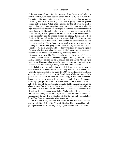Order was nationalized, Himmler, because of his demonstrated administrative abilities, was made deputy leader, and in 1929, Reichsfuhrer SS. The nature of the organization changed. It became a central bureaucracy for dispensing terrorism, an elitist political police, giving Himmler powers second only to Hitler. What fitted Himmler for the job were his skill at pigeonholing people and assigning categories to them, and especially, the rigid personality defenses he had developed as a student. As Bradley Smith has pointed out in his biography, »the pose of omniscient hardness« which he developed early made it possible for him to overcome his awkwardness in social encounters and to impose himself on others, despite his lack of charisma. His »social mask« became a weapon habitually used to make others subordinate to his wishes. Thus, despite his colorlessness, he was able to compel his Black Guards to go against their own standards of morality and justify horrifying murder tactics as Utopian idealism. He said proudly of his black-uniformed SS: »I know that there are many people in Germany who feel sick when they see this black tunic; we can understand that and do not expect to be beloved by overmany people.«

Sometimes he saw his Black Guards as an elite cadre of Teutonic warriors, and sometimes as medieval knights protecting their lord, Adolf Hitler. Himmler's interest in the Germanic past and in the Middle Ages went back to his youth, when he used to spend summer vacations looking for ancient stones and artifacts, a hobby he learned from his father.

His belief in the transmigration of souls led him to think he was the reincarnation of the tenth-century German king Heinrich I the Fowler, with whom he communicated in his sleep. In 1937, he had the monarch's bones dug up and placed in the crypt of Quedlinburg Cathedral, after a holy procession. He chose the town of Quedlinburg, in the Harz Mountains, because it had been founded by the king. Himmler invited Germans to make a pilgrimage to the tomb to honor Heinrich the Fowler. Yearly, on July 2, the date of the king's death, Himmler held a midnight ritual in the clammy crypt. One of the great charms which the medieval monarch had for Himmler was his anti-Slav crusade. On the thousandth anniversary of Heinrich's death, Himmler stood before Wehrmacht officers and braided and medaled SS dignitaries and pledged to continue the crusade for German expansion in the east. It was not clear whether he was really talking about himself or about his namesake when he praised him.

Like List and Lanz, Himmler was obsessed with the secret medieval society called the Order of the Teutonic Knights. There, a candidate had to prove pure noble German ancestry for eight generations on both sides of the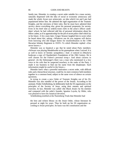family tree. Himmler, in creating a secret order suitable for a mass society, naturally dispensed with the idea of social or economic aristocracy and made the whole Aryan race aristocratic, an idea which List and Lanz had popularized before him. He admired the rigid organization of the Teutonic Knights, and the strictness of their rules. But he must have admired their secrecy above everything else, given his personal propensity for secrets. Even in his brief stint as orderly-room clerk in the army's officer candidates' school, he had collected odd bits of personal information about his fellow cadets, as if in apprenticeship for the job of secret police chief which lay in his future. A few years later, Gregor Strasser laughed him to scorn when he heard about this, asking: »Whatever use do you suppose will derive from knowing who did fatigue duties for insubordination in the 119th Bavarian Infantry Regiment in 1919?« To which Himmler replied: »One never knows.«

Himmler was so fanatical a spy that he noted about Party members: »Schwarz was playing Mendelssohn on his gramophone when I arrived. It is as well to know of Semitic sympathies.« And: »I noticed in [Mucke's] bookcase a copy of Chamberlain's Foundations of the 19th Century. He is well chosen for the Fuhrer's personal troop.« And about citizens in general: »In the fishmonger's there was a man who mentioned in a low voice to his wife that he suspected treachery in the ranks of the Party. I made it my business to find out his name from the shopkeeper. Such information might be useful in the future.«

Himmler knew what a powerful motivation a secret order, with difficult rules and a hierarchical structure, could be; its mere existence held members together in a common bond, subject to the same vows of silence on certain questions.

In trying to create a new Order of Teutonic Knights out of his SS, Himmler was also mindful of the power of the Jesuits. According to his assistant, Walter Schellenberg, he deliberately built the SS organization on the principles of the Society of Jesus, using their statutes and spiritual exercises. In fact, Himmler was called »the Black Jesuit« by his enemies and compared with the order's founder, Ignatius Loyola, by Hitler, who was pleased to have his fanatical devotion.

Schellenberg testified at the Nuremberg Trials that Himmler had

the best and richest library on the Jesuit Order, whose literature he perused at night for years. Thus he built up his SS organization according to Jesuit principles. Its basis was the constitution and the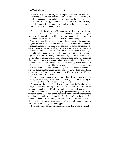exercises of Ignatius de Loyola: Its supreme law was absolute, blind obedience. . . . Himmler himself, as SS General, was the Order's General Commander. In Westphalia, near Paderbora, he kept a medieval castle, the Wevelsburg, which served, so to say, as the SS monastery. . . . The roots of this attitude . . . go back to his father's education and his severe Catholic conduct of life.

The essential principle which Himmler borrowed from the Jesuits was the oath of absolute blind obedience. In this, he outdid the Jesuits. Though he sought to eliminate all competition to his own esoteric order and officially abominated the Jesuits, they and the SS had a common enemy.

This enemy was the Freemason, who, in his resistance to the dogmas of Original Sin and Grace, in his tolerance and humanism, became the symbol of the Enlightenment, with its belief in the possibility of human perfectibility on earth. His was a rival universal superstate which threatened to replace the less flexible Catholic Church. It was rumored that the Jesuits had destroyed the eighteenth-century Order of the Illuminati by infiltrating the group, a mystical association started by Adam Weishaupt, a former Jesuit student, and diverting it from its original aims. The same suspicions were circulated about Jesuit intrigue in Masonic lodges. The introduction of hierarchical »higher degrees« into Freemasonry was scorned by some Masons as evidence of a Catholic spirit. There were papal bulls of condemnation against the Freemasons, but their power and political influence continued to increase throughout the Enlightenment. The new spirit, which was actually one of reason and an interest in material well-being, was viewed by the Church as a threat to the Faith.

The Jesuits used science in the service of faith, for their aim was never the dispassionate study of astronomy or biology, but the combating of »Satan,« from the nineteenth century on, in the guise of materialism.

Germany was the home of the first Jesuit settlement. In Bavaria, particularly, the order stood firm against Lutheranism and held that section of the country, so much so that Munich was called »a German Rome.«

The Counter Reformation in Germany was greatly helped by the erection of numerous schools. The zeal of the Jesuits filled the Lutherans with fear and trembling, and a vicious battle ensued; as Rene Fulop-Miller points out in The Power and Secret of the Jesuits, »it became more and more customary in Germany for men to express the strength of their religious convictions by filthy insults directed against their opponents.«

It was in Bavaria, too, that the Jesuits introduced their unique system of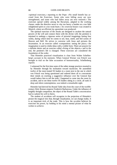»spiritual exercises,« reporting to the Pope: »No small benefit has accrued from the Exercises. Some who were falling away are now strengthened, and some who had fallen away are now restored.« The exercises spread widely among the Bavarians, adapted to the working classes, under the directive never to »lay too heavy a burden on a too little enlightened spirit or a too weak heart.« An »exercise house« was created in Munich, where an efficient lay apostolate was produced.

The spiritual exercises of the Jesuits are designed to awaken the natural powers of the will and connect them with the divine will; the penitent is enjoined to undergo a rigorous series of pictorial imaginings lasting four weeks, during which time he comes to see, hear, smell, and feel scenes of Heaven and Hell. He strives to converse with Jesus and pictures the Incarnation. In an exercise called »composition: seeing the place,« the imagination is used to clothe ideas with a visible form. There are prayers for a definite desire and an exercise called »fixing of the objects,« and in the end, the penitent's life is changed. These exercises are considered the foundation of the order.

That Himmler practiced visualization is clear from Walter Schellenberg's account in his memoirs. When General Werner von Fritsch was brought to trial on the false accusation of homosexuality, Schellenberg reports:

I witnessed for the first time some of the rather strange practices resorted to by Himmler through his inclination toward mysticism. He assembled twelve of the most trusted SS leaders in a room next to the one in which von Fritsch was being questioned and ordered them all to concentrate their minds on exerting a suggestive influence over the General that would induce him to tell the truth. I happened to come into the room by accident, and to see these twelve SS leaders sitting in a circle, all sunk in deep and silent contemplation, was indeed a remarkable sight.

Himmler had derived his Round Table idea from the court of the twelfthcentury Holy Roman emperor Frederick Barbarossa. Under the influence of knightly thought compulsion, the object of the Round Table's concentration had to submit his will to theirs.

The student of occultism will recognize in the projection of Himmler's picture the magical view that, through visualization, we can change reality. It is an important trick of the trade. This is how the occultist believes he exercises his power, by holding in his mind a mental picture of what he wishes to achieve.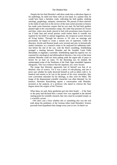Despite the fact that Himmler's odd ideas made him a ridiculous figure to his underlings, he ruled over them with an iron hand. In a quieter time, he would have been a harmless crank, cultivating his herb garden, studying astrology, graphology, antiquity, mesmerism. His pursuit of these interests in the midst of and even in the service of the most awful atrocities in history has made some historians suspect that he was mad. He had herb gardens planted right in the concentration camps. His order that prisoners be frozen and then, when near death, placed in bed with prostitutes (non-Aryan) to see if body heat and sexual passion could restore them to warmth was inspired by his belief in animal magnetism, the reciprocal action between all living bodies. Through his decrees to SS men on marriage and procreation, he hoped to create a mutant race of supermen. Under his direction, Jewish and Russian heads were severed and sent, in hermetically sealed containers, to a research center to be analyzed for subhuman traits. Just before the end of the war, with the Reich crumbling, Schellenberg arranged a meeting between Himmler and the Swedish Count Folke Bemadotte, to negotiate a surrender. Schellenberg urged his superior not »to expound his astrological and philosophical theories,« but even at that tense moment Himmler could not resist putting aside the urgent talk of peace to lecture for an hour on runes. To the discerning eye, he insisted, the uninterrupted script of the Northmen of the Dark Ages resembled Japanese ideograms. This was evidence that the Japanese, too, were Aryans.

The image that Himmler apparently had of himself was that of an idealistic man of science. Yet it was a piece of role-playing, and one is never sure whether he really deceived himself as well as others with it. As fanatical and earnest as he was in the pursuit of his crazy researches, they were convenient rationales for his ideology, as they were for Hitler. The image of the dispassionate scientific researcher was often distorted. So, for instance, Hermann Rauschning reports a conversation with Himmler, incensed at the audacity of a professor who dared to criticize the Nazi dogma about the origins of the Teutons:

What ideas, he said, these gentlemen got into their heads! ... if the State or the party had declared that a certain view was regarded as the desired starting-point for scientific research, that view must be accepted simply as a scientific axiom. . . .

»We don't care a hoot whether this or something else was the real truth about the prehistory of the German tribes [said Himmler]. Science proceeds from hypotheses that change every year or two. So there's no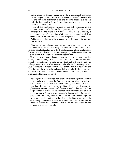earthly reason why the party should not lay down a particular hypothesis as the starting-point, even if it runs counter to current scientific opinion. The one and only thing that matters to us, and the thing these people are paid for by the State, is to have ideas of history that strengthen our people in their necessary national pride.

»In all this troublesome business we are only interested in one thing—to project into the dim and distant past the picture of our nation as we envisage it for the future. Every bit of Tacitus, in his Germania, is tendentious stuff. Our teaching of German origins has depended for centuries on falsification. We are entitled to impose one of our own...

Prehistory is the doctrine of the eminence of the Germans at the dawn of civilization.«

Himmler's views and deeds were not the excesses of madness, though they were not always rational. They owe more to the dissociations of the fanatical occultist than they do to the divided personality. If he spent much of his own time and that of his men in investigating crankish researches, this did not diminish his talents for efficient organization.

If his reality was non-ordinary, it was not because he was crazy, but rather, as his masseur, Dr. Felix Kersten, tells us, because he was »extremely superstitious.« He believed in »good and evil spirits« and was »always afraid of an invisible power« to which he would »one day have to give an account of himself.« When Dr. Kersten asked him how, with this view, he could do the things he had to do, believing as he did that according to the doctrine of karma his deeds would determine his destiny in his next incarnation, Himmler answered:

You oughtn't to look at things from such a limited and egotistical point of view; you have to consider the Germanic world as a whole—which also has its Karma. A man has to sacrifice himself, even though it is often very hard for him; he oughtn't to think of himself. Of course it's pleasanter to concern yourself with flower-beds rather than political dustheaps and refuse-dumps, but flowers themselves won't thrive unless these things are seen to. I try to reach a compromise in my own life; I try to help people and do good, relieve the oppressed and remove injustices wherever I can. Do you think my heart's in all the things which have to be done simply from reasons of state? What wouldn't I give to be Minister for Religious Matters like [Bernhard] Rust and be able to dedicate myself to positive achievements only! . . .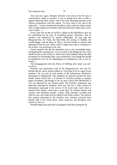Over and over again, Himmler referred to the work of the SS men in concentration camps as sacrifice. It was as though they had to suffer a greater ordeal than their victims. One of his most interesting speeches to his officers sympathizes with this ordeal: »To have stuck it out, and at the same time ... to have remained decent fellows, that is what has made us hard. This is a page of glory in our history which has never been written and is never to be written. ...«

Every cause has its idea of sacrifice, calling on the individual to give up his well-being for the sake of something greater. Himmler's idea of sacrifice was influenced by Eastern philosophy. He had read the Bhagavad-Gita, the Vedas, the Rig-Vedas, the sayings of Buddha, the Visudi-Magga, and the Book of Purity, and had learned to practice that detachment from his acts which, while it might seem silly or monstrous to the foolish, was purifying to the wise.

Karma required only that the individual carry on his unavoidable duties, disregarding the consequences. As it is written in the Bhagavad-Gita: »One should not give up the activity to which one is born (sahajam karma: the duty incumbent on one through birth, caste, profession), even though this should be attended by evil; for all undertakings are enveloped by evil, as fire by smoke.«

The disengagement from the effects of fulfilling one's duties was selfsacrifice.

Himmler was particularly fond of the Bhagavad-Gita, and told Dr. Kersten that he »never moved without it.« He prized it for its »great Aryan qualities.« He was also an avid student of the Arthasastra), Hinduism's anticipation of Machiavelli. This handbook of statecraft reached the West shortly before World War I. It seemed to Christian scholars to embody pagan wickedness, and though it was no more cynical than Machiavelli, it was not redeemed by his Western spirit. The Kautilya Arthasastra was especially cherished by Himmler. Here was laid out a crafty system for international espionage in the service of the tyrant state, from which a fanatical Nazi flunky could learn a good deal. Its Oriental despots and warriors were Himmler's people—Aryans. Their amorality accorded well with his own, and could even be linked to the divine essence. The artifices and cunning advocated by the Kautilya were nowhere practiced more heartily than in the Third Reich, where hypocrisy and deception were raised to a fine art.

Himmler began more and more to propagate occult ideas among the SS.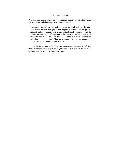### 92 GODS AND BEASTS

When several astronomers were courageous enough to call Hoerbiger's theory an outmoded concept, Himmler answered:

I advocate unrestricted research of whatever kind and that includes unrestricted research into glacial cosmogony. I intend to encourage that research and in so doing I find myself in the best of company . . . as the Fuhrer, too, is a convinced supporter of this theory so much abominated by scientific hacks. ... the Ministry . . . must put these opinionated schoolmasters in their place. There are a great many things we should like to see researched, even by non-scientists.

Under his supervision in the SS, a great many things were researched. The crank succeeded eventually in having millions of men explore his fanatical notions, sending to their ruin millions more.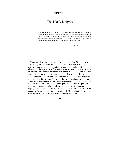#### CHAPTER 10

# The Black Knights

The selection of the new Fuhrer class is what my struggle for power means. Whoever proclaims his allegiance to me is, by this very proclamation and by the manner in which it is made, one of the chosen. This is the great significance of our long, dogged struggle for power, that in it will be born a new master class, chosen to guide the fortunes not only of the German people but of the world.

—Hitler

Though we have not yet learned all of the secrets of the SS and may never learn them, we do know some of them. We know that it was an occult society. This may enlighten us as to how more than a million SS men could change, in the space of a few years, from ordinary citizens to mass murderers. Some of them must have participated in the Final Solution just to get on, in a period when it was surely not easy just to get on. But we cannot fail to comment on the zealousness—the overzealousness—with which most men approached their tasks. Fear of punishment does not quite account for it. There were many options, not picked up, to quietly sabotage the SS machine without detection. One could seem perfectly willing to perform an unpleasant task and yet raise questions as to its efficacy. So, for example, the deputy head of the Nazi Health Bureau, Dr. Kurt Blome, wrote to his superior, Arthur Greiser, on November 18, 1942, about the order to exterminate all the Polish population who were tubercular: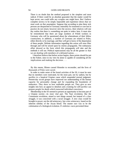#### 94 GODS AND BEASTS

There is no doubt that the method proposed is the simplest and most radical. If there could be an absolute guarantee that the matter would be kept secret, one could stifle any scruples one might have. But I believe complete secrecy to be simply impossible and experience shows that we must work on that assumption. Suppose that according to plan these sick persons are despatched to Germany ostensibly for treatment or cure but in practice do not return; however strict the secrecy, their relatives will one day realize that there is »something not quite in order« here. It must also be remembered that there are large numbers of Polish workers in Germany who will be questioned about the whereabouts of their fellow countrymen; in addition, a number of Germans are related to Poles, either directly or by marriage, and they will get to know of the deportation of these people. Definite information regarding this action will soon filter through and will be seized upon by enemy propaganda. The euthanasia affair showed us the form which this propaganda will take and the methods it will use. Political repercussions may be all the greater in that we are dealing with members of a defeated nation. . . .

I therefore believe that before action begins, these points should be put to the Fuhrer, since in my view he alone is capable of considering all the implications and making the decision. . . .

By this means, Blome caused Himmler to reconsider, and the lives of thousands of Poles were saved.

In order to make sense of the brutal activities of the SS, it must be seen that its members were motivated, for the most part, not by sadism, but by sacrifice in a fanatical Utopian cause which suspended normal judgment. Present-day occult groups have improved our understanding of the human capacity for personality change and for expanding the boundaries of endurance. They show us how malleable people are. They give us new insights into how an appeal to idealism and a training for self-sacrifice can prepare people for deeds which transcend individual conscience.

Membership in the SS seemed to present an opportunity to become part of a Utopian society—its most vital part. The Nazi revolution, like the Communist revolution, aimed to turn things around, but instead of a class struggle, it was concerned with a racial struggle. A new class would be brought to power, not the old aristocracy, but a new aristocracy, based on the inherent nobility of the Aryan blood. The master race was to be the culmination of a biological evolution. If »inferior« races prevented these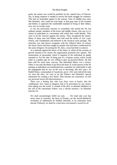goals, the master race would be justified, by the »natural law« of Darwinism, in doing whatever it needed to survive the harsh struggle for existence. This had an immediate appeal to the masses. Sons of middle-class men, like Himmler, who could not even hope, in that gray time of the twenties and thirties, to approach the comfortable standard of living of their fathers, now saw an escape route.

It was not necessarily outcasts or scoundrels who joined the SS, but ordinary people, members of the lower and middle classes, who saw in it a chance to participate in a movement with which they could identify. They were to be the warriors against the enemy. They recognized the enemy. Many of these men had fathers who had read the books of List, Lanz, Fritsch, and Chamberlain and believed in the mystical racist package. The churches, too, had shown sympathy with the volkisch ideas. In school, the future Nazis had been taught by people who had been conditioned by the same Zeitgeist. On joining the SS, then, a man had little to unlearn.

As a bulwark against the horror of the future, in which all the avenues of growth seemed to be closed, the organization promised new options. The renunciation of personality which it required of the individual he gladly assented to. For the sake of being part of a Utopian society which would usher in a golden age, he was willing to give up personal liberty. He had been told for some time, anyway, that individual liberty was a fiction. Often, it was only the liberty to go down the drain. If, in the process of the SS training, an individual was transformed into a machine, he could justify it with the propaganda that he was on the way to becoming »the new man.« As Rudolf Hoess, commandant of Auschwitz, put it: »We were told all the time we were the elect, we were to be the Fuhrer's and Himmler's special instrument for creating a new Reich. They became our conscience, we lost our personal moral self-determination.«

There was a feeling that »the Last Days were at hand,« that the »subhuman« Jew, Satan in disguise, had to be prevented, by any means, from taking over the world. A crusade of the elect, in absolute obedience to the will of the charismatic Fuhrer, was a »divine mission.« As Himmler told the SS:

We shall unremittingly fulfill our task. . . . We shall take care that never more in Germany, the heart of Europe, can the Jewish-Bolshevik revolution of subhumans be kindled internally or by emissaries from abroad. Pitilessly we shall be a merciless executioner's sword for all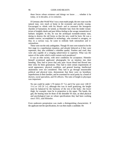these forces whose existence and doings we know . . . whether it be today, or in decades, or in centuries.

If Germany after World War I was a man-made jungle, the new man was the natural man, very much at home in the economic and psychic swamp. Encouraged to »think with his blood« and to renounce the bourgeois shackles of humanism, he turned, as Himmler had, from the tender romanticism of knightly deeds and pure fellow-feeling to the savage romanticism of barbaric slaughter. In this, he was the archetypal twentieth-century man, daring to destroy the old forms so that the new could be born. He was a modern warrior, accomplished in technology, who reverted to savagery, so that, in a curious way, he came to embody both rationalism and irrationalism.

These were not the only ambiguities. Though SS men were trained to be the first stage in a superhuman mutation, and already behaved as if they were supermen, they also exhibited a robotlike quality. Fearless and cruel, they were also capable of a cringing subservience to superiors. What was the nature of the order which could contain such paradoxes?

It was an elite society, with strict conditions for acceptance. Himmler himself scrutinized applicants' photographs for an intuition into their breeding. They had to prove that only pure Aryan blood had flowed into their veins for three generations. They had to meet certain requirements of racial appearance, physical condition, and general bearing. Intellectual attainments were not considered. They had to go through innumerable political and physical tests, demonstrate that there were no hereditary imperfections in their families, and be examined for racial purity by a board of doctors, racial specialists, and SS officers. The ratio of height to physique was important:

No one could be under 1.70 meters [5' 7«], and if he were over 1.80 [5' 11«] or 1.85 [6' 1«], although this was in itself gratifying, the height must be balanced by the harmony of the rest of the body—the lower thigh, for example, must be in proportion to the upper. The hands, the gait, the bearing must be those of the desirable SS man, an ideal physical and psychological type on whose specifications they had been working since 1931, said Himmler.

Even underarm perspiration was made a distinguishing characteristic. If the applicant met the specifications, he was then made a candidate. He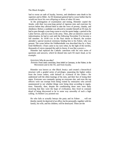had to swear an oath of loyalty, bravery, and obedience unto death to his superiors and to Hitler. An SS lieutenant general had to swear further that he would not favor his own offspring or those of other SS men.

In the prolongation of examination and testing, Himmler copied the Jesuits, with their two-year-long period of rigorous tests and exercises for novices before they allowed them to take the vows of poverty, chastity, and obedience. Before a candidate was allowed to consider himself an SS man, he had to pass through a year-long course to win his sports badge, a period in the Labor Service, and two years in the army. Then, after an intensive course of indoctrination, he had to wait until the following November 9 to become a full member. At 10:00 P.M. in the Nazi shrine in Munich, the acolyte attended a special mystical ceremony binding him to his Fuhrer, who was present. The scene before the Feldherrnhalle was described thus by a Nazi, Emil Helfferich: »Tears came to my eyes when, by the light of the torches, thousands of voices repeated the oath in chorus. It was like a prayer.«

Himmler had replaced the Catholic catechism with his own series of questions and answers, which he dinned into each SS man's head, as for example:

### QUESTION:Why do you obey?

ANSWER: From inner conviction, from belief in Germany, in the Fuhrer, in the Movement and in the SS, and from loyalty.

Himmler was known as »the Black Jesuit,« and created a hierarchical structure with a graded series of privileges, separating the higher orders from the lower orders, with himself as »General of the Order.« He understood well the elitist leanings of his men, and their fear of losing their status. Everyone was constantly spying on everyone else, and even the top officers were not exempt from being visited by emissaries who arrived unannounced to see whether things were being done according to regulations. Naturally, then, despite the conditioning these men were daily receiving that they were the hope of civilization, they lived in constant dread of being discovered to be in some way unworthy of such a high calling. As Robert Ley pointed out:

He who fails or actually betrays the party and its Fuhrer . . . will not thereby merely be deprived of an office, but he personally, together with his family, his wife, and his children, will be destroyed. These are the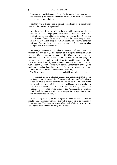harsh and implacable laws of an Order. On the one hand men may reach to the skies and grasp whatever a man can desire. On the other hand lies the deep abyss of annihilation.

Yet there was a fierce pride in having been chosen for a superhuman task, and the romanticism persisted:

And how they drilled us till we howled with rage—over obstacle courses, crawling through pipes; pack drills and long route marches in the heat, with the taps all turned off so that we could not drink. Yet no one would dream of asking for a transfer, such was the comradeship. One got so that one lost all criticism; one just lived in this life; one was simply an SS man. One lost the thin thread to the parents. There was no other thought than Kadavergehorsam.

Kadavergehorsam—cadaver obedience—was achieved not just through fear but through the creation of a religious fanaticism which separated SS members from everyone else. The SS order was a state within a state, not subject to national law, with its own laws, courts, and judges. A curtain separated Himmler's empire from the outside world; other Germans, no matter how lofty their position, could not penetrate it. SS men were discouraged from contact with others. Concentration-camp guards could not be stationed near home, were shifted to new locations every three months, and could never be transferred to street duty.

The SS was a secret society, as the journalist Heinz Hohne observed:

. . . intended to be mysterious, sinister and incomprehensible to the ordinary citizen, like the Order of Jesuits which the SS officially abominated but actually imitated down to the smallest detail. The Lords of this black-uniformed secret Order deliberately cultivated the fear evoked by their mere existence. . . . [Reinhard] Heydrich [deputy chief of the Gestapo] . . . boasted: »The Gestapo, the Kriminalpolizei (Criminal Police) and the security services are enveloped in the mysterious aura of the political detective story.«

Even as early as 1927, the SS's slogan was: »The aristocracy keeps its mouth shut.« Members were not allowed to take part in discussions at Party meetings. They were to remain silent, and refrain from smoking or leaving the room. One of the early orders was: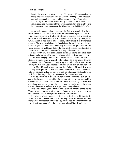Even in the face of unjustified criticism, SS men and SS commanders are strictly forbidden to converse with SA [Sturm Abteilung [Storm Troopers] men and commanders or with civilian members of the Party other than as necessary for the performance of duty. Should criticism be voiced in a small gathering, members of the SS will immediately and silently leave the room with a curt comment that the SS carries out Adolf Hitler's orders.

As an early memorandum suggested, the SS was organized to be »a secret Order within the Party to hold the movement together in an iron grip.« An inner circle of twelve SS officers of top rank met in secret for conference and meditation in a monastery in Wevelsburg, Westphalia, which Himmler had turned into a castle, refurbishing it at tremendous expense. The town was built on the foundations of a burgh that went back to Charlemagne, and Himmler supposedly searched the province for this castle because he had heard that in the next confrontation with the East, a Westphalian castle would be the only stronghold to survive.

In the 100-by-145-foot dining room, circling a round oak table, each officer-knight sat on a high-backed pigskin chair, a silver plate engraved with his name hanging from the back. Each wore his own coat-of-arms and slept in a room done in period style suitable to a particular German hero—Himmler, of course, choosing King Heinrich I, whose spirit apparently gave him invaluable counsel. Himmler would say, on occasion: »In this case King Heinrich would have acted as follows.« Heinrich I was not the only great spirit of the past with whom Himmler was able to communicate. He believed he had the power to call up others and hold conferences with them, but only if they had been dead for hundreds of years.

In the bowels of the castle was a funereal room containing a sunken well and a hollowed-out stone pillar. When one of the twelve top-ranking officers died, his ashes were placed in a cremation urn by the well. His escutcheon was burned on top of the pillar and the smoke would rise above the well, because of a cleverly arranged ventilating scheme.

For a week once a year, Himmler and his twelve Knights of the Round Table, in an atmosphere of secret confinement, gave themselves over completely to mental and spiritual exercises of visualization.

A professor of anthropology at Occidental College in California, C. Scott Littleton, provided me with astonishing details of another SS ceremony which has not been corroborated by anyone else, but which may well be true. A professor friend of his, he claims, saw original Nazi depositions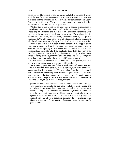taken for the Nuremberg Trials, but never included in the record, which told of a periodic sacrifice wherein a fine Aryan specimen of an SS man was beheaded and the severed head made a vehicle for communion with Secret Masters in the Caucasus. These beings, presumably, were not believed to be earthly, and were looked to for guidance.

Whether this is true or not, we do know that in schools of instruction at Wevelsburg and other, less completed castles at Sonthofen in Bavaria, Vogelsang in Rhenanie, and Krossinsee in Pomerania, candidates were systematically prepared to participate in atrocities. Each school had its dormitories, refectories, chapel room, meditation cloister, and private cemetery. In Wevelsburg, a library of twelve thousand volumes comprising all of the known literature relating to the cult of race was made available.

Rene Alleau relates that in each of these schools, men, stripped to the waist and without any defensive weapons, were taught to become hard by such ordeals as fighting off for twelve minutes attack dogs that were unleashed and incited to kill. If the candidates took flight, they were shot. Another gruesome preparation for pitilessness, according to Alleau, consisted of tearing out the eyes of three cats with one's bare hands. Throughout these barbarities, one had to show utter indifference to sorrow.

Officer candidates were often told to pull a pin out of a grenade, balance it on their helmets, and stand at attention until it exploded.

Such training gave men the ability to walk unmoved among corpses. And such ferocities were coupled, in the classroom, with racist educational courses designed to separate the SS man further from the outside world, because they were deliberately anti-Christian and quickly created a climate of neo-paganism. Christian names were replaced with Teutonic names. Christmas was brought forward to the winter solstice and celebrated as Yuletide, which, an SS manual assured, was the

greatest festival of our forebears. They advanced towards the Yule-night with firebrands to liberate the sun from bondage of wintry death, and thought of it as a young hero come to rouse and free them from their death-like sleep. ... On Christmas eve the main ingredients of festive fare must be carp, roast goose and wild boar—drawn respectively from the sphere of water, air and earth. . . . in view of the fact that [this] is the greatest clan festival—it is becoming customary to . . . exchange ideas about the success of the steadily deepening research into family genealogies.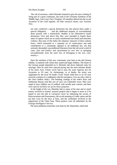The cult of ancestors, which Himmler fostered to give his men a feeling of being part of a great continuum, also took in the Germanic forebears of the Middle Ages. Like Lanz's New Templars, SS members delved into the occult mysteries of the Grail legends. All their mystical rituals, says Joachim Fest,

not only conferred a special distinction but also placed them under a special obligation. . . . had the additional purpose of overwhelming those present with a melancholic shudder at his [Himmler's] innate demonism. Over and above this, they were intended to inspire those states of rapture which are so easily transformed into brutal and merciless violence. But none of this belies the initiatory character of these solemn hours, which amounted to a repeated act of consecration and total commitment to a community opposed to all traditional ties, one that seriously demanded »unconditional liberation from the old social world of caste, class and family« and »proclaimed its own 'law' as springing unconditionally from the mere fact of belonging to the new community.«

Since the members of this new community were heirs to the old German nobility, it mattered with whom they mated and begot children. The future of the German people depended on it. Himmler laid down elaborate rules for marriage. How he must have enjoyed prying into the most intimate details of his men's lives. Future wives had to pass the same rigorous test for Aryanism as SS men. At christenings, as at deaths, the priest was supplanted by the local SS leader. Every fourth child born to an SS man received a present of a candlestick with the inscription »You are only a link in the clan's endless chain.« The breeding catalogs of the order's Race and Settlement Bureau read like one of Lanz von Liebenfels' tracts. Men were urged to have children out of wedlock with racially pure women, and there were special facilities set up for these purposes.

At the height of the war, Himmler had so many of his men and so much money involved in esoteric research projects that it began to seem as if he hoped to turn the tide in Germany's favor by fathoming the secrets of Rosicrucianism and Freemasonry, the occult meaning of Gothic spires and the top hats worn by the boys at Eton, and the symbolism involved in the suppression of the Ulster harp. These projects were all undertaken by the Foreign Intelligence Service.

The most ambitious researches were done by the Ahnenerbe, which had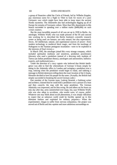a group of financiers called the Circle of Friends, led by Wilhelm Keppler, pay enormous sums for a flight to Tibet to look for traces of a pure Germanic race which might have been able to keep intact the ancient Nordic mysteries. The Ahnenerbe also had archeologists digging up all of Europe for remains of Germanic culture. More than fifty departments in this branch succeeded in spending over a million marks (\$400,000) on such »vital« matters.

But the most incredible research of all was set up in 1939 in Berlin. An astrologer, Wilhelm Wulff, who was made prisoner of the SS and coerced into working for it, described the Berlin Institute's scientific research center as being used »to harness, not only natural, but also supernatural, forces. All intellectual, natural, and supernatural sources of power—from modern technology to medieval black magic, and from the teachings of Pythagoras to the Faustian pentagram incantation—were to be exploited in the interests of final victory.«

In March 1942, the astrologer joined this »very strange company, which included spiritualist mediums and sensitives, pendulum practitioners (dowsers who used a pendulum instead of a dowsing rod), students of Tattwa (an Indian pendulum theory), astrologers and astronomers, ballistics experts, and mathematicians.«

Under the direction of a navy captain who believed that British Intelligence was able to find the whereabouts of German U-boats simply by sitting in the Admiralty office in London and swinging a pendulum over a map, noticing when the pendulum would begin to rotate, and radioing a message to British destroyers telling them the exact location of the U-boats, Himmler decided to have his people do the same. (Actually, the British had simply succeeded in breaking the secret German code.)

One member of the German team, Ludwig Straniak, a Salzburg writer and architect, claimed that he could hold a pendulum over a picture of a boat and then »search« the map with the same pendulum. The German Admiralty was impressed, and let him swing. He and others sat for hours on end, day after day, arms outstretched over maps, but, says Wilhelm Wulff, who was also adept in occultism, »the results were, of course, pitiful. Whatever one may think about occult phenomena, it was simply ridiculous to expect that an unknown world could be forcibly opened up in this dilettante fashion and exploited for military purposes.« When the experimenters »began to suffer from nervous exhaustion,« the project was moved out of Berlin and into »quieter and more salubrious surroundings on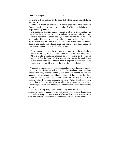The Black Knights 103

the island of Sylt, perhaps on the basis that a little ozone would help the 'vibrations.' »

Wulff, as a student of Vedanta and Buddhist yoga, went on to work with German soldiers, instilling in them »the Zen-Buddhist beliefs which inspired the Japanese.«

The pendulum swingers surfaced again in 1943, after Mussolini was arrested by the government of Pietro Badoglio. Although Hitler was most anxious to rescue him, German Intelligence could not find out where he was held captive. The same occultists who had been arrested after Hess's flight were now released and taken to a villa in Wannsee, where Himmler ordered them to use pendulums, clairvoyance, astrology, or any other means to locate the missing dictator. As Schellenberg recounts:

These seances cost a mint of money because what the »scientists« needed in the way of good food, drinks and smokes was enormous.... After a while a pendulum maestro said . . . island to the west of Naples. In fact the Duce had first been taken to one of the small Ponza islands that he indicated. It must be stated in all justice that the man had no contact with the outside world at the time of the experiment.

Though this experiment is innocuous enough, it is a further demonstration that an occult climate existed in the SS. Its members could not have accepted the crazy ideology which goaded them into ridding the world of supposed evil by wiping out millions of people if they had not first been turned into robots, methodically and successfully, so that one of their leaders, Robert Ley, could announce to them: »When I look at you my men, I know that the principles on which we mustered you are right. Externally you already look alike and in a short time you will be alike inside as well.«

We are learning now, from contemporary cults in America, that the process of turning human beings into robots can actually begin quite innocently. Among SS men, it was so effective that even at the end of the war, they were still able to call their unscrupulous acts sacred deeds.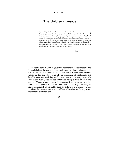### CHAPTER 11

### The Children's Crusade

My teaching is hard. Weakness has to be knocked out of them. In my Ordensburgen a youth will grow up before which the world will shrink back. A violently active, dominating, intrepid, brutal youth—that is what I am after. Youth must be all those things. It must be indifferent to pain. There must be no weakness or tenderness in it. I want to see once more in its eyes the gleam of pride and independence of the beast of prey. ... In this way I shall eradicate the thousands of years of human domestication. Then I shall have in front of me the pure and noble natural material. With that I can create the new order.

—Hitler

Nineteenth-century German youth was not yet hard. It was innocent. And it usually belonged to one or another youth group, whether religious, athletic, nature, cultural, or a combination of these. Some of them built medieval castles in the air. They were all an expression of restlessness and bewilderment, and well they might have been, for Germany, especially after World War I, was a place which was losing its hold on sense and purpose. Young people not only felt estranged from the government, but from adults in general. Though the same could be said of youth throughout Europe, particularly in the middle class, the difference in Germany was that it did not, for the most part, attach itself to the liberal cause, the way youth movements elsewhere did.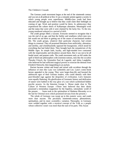The German youth movement began at the end of the nineteenth century and was not at all political at first. It was a romantic protest against a society in which young people were superfluous. Middle-class youth had been educated and brought up to believe that they could claim their birthright on coming of age. Work and position would be theirs. In adolescence they experienced the culture shock of Kafkaesque alienation. Meaningful work and the status that went with it were claimed by the lucky few. To the rest, young manhood ushered in a period of drift.

The youth groups filled a vacuum. Everyone seemed to recognize that it was the end of an age, and that the futility and smallness which men now felt would not aid them in getting out of the snares of mechanized modern life. The youth groups, whatever their particular character, had certain things in common: They all promised liberation from artificiality, alienation, and sterility, and wholeheartedly opposed the bourgeoisie, which stood for everything that had failed them. They brought back the romanticism of the Middle Ages. Its simple faith, loyalty, and high-minded love contrasted with the impersonality and decadence around them. But it was not to be all feudal music and peasant crafts. The youth movement early on fell under the spell of third-rate philosophers with extremist notions, men like the occultist Theodor Fritsch; the Orientalist Paul de Lagarde; and Julius Langbehn, who believed he had sufficient magical powers to exorcise the demons from Friedrich Nietzsche, then languishing in an asylum.

Racism became violent and brutal and mixed with occultism through the influence of men like Lanz von Liebenfels and List. Lanz's comic-book heroes appealed to the young. They were larger-than-life and boosted the adolescent egos of their German readers, who could identify with their pure-blooded rage against the despoilers of civilization. List's fantasies were equally flattering. His glorification of Germanic history and deification of nature were bathed in the rosy glow of a sun which symbolized hidden psychic powers. As the historian George L. Mosse made clear in The Culture of Western Europe: »These men believed that their ideals possessed a tremendous magnetism for the hopeless, rationalistic world of the present. . . . Some took to the spiritualism of Madame Blavatsky or to the fad for Oriental sects which promised nirvana from the present.«

The whole of Germany was swept up in this esoteric wave, and youth more than anyone. The peculiarly nineteenth-century phenomenon, spiritualism, and its more »scientific« variation, Theosophy, in Germany were welded together with a mystical concept of the Volk as a people whose collective »soul« was more than the sum of its parts. This Aryan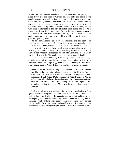»soul,« Germans believed, united the individual German to his geographical place. Every tree and rock of German soil was holy, and spoke to the people, shaping them and causing their creativity. The intuitive wisdom of which the Aryans, rooted in their land, were capable was hidden from the Jews, those eternal wanderers, who had no organic place of their own and, therefore, tried to usurp the fatherland of others. On this account, the Jew was most comfortable in the city, alienated from nature and the Volk. Spiritualism joined itself to the idea of the Volk, in that nature emitted a vital ether, a life force, with which only the Aryan was in touch. He alone could contact an extrasensory world which would yield up its secrets and give him special powers.

The new romanticism was, above all, irrational, and this seemed to guarantee its easy acceptance. It peddled itself as more substantial than the discoveries of science, because science itself did not claim to understand the dark mysteries of the force which drove nature, whereas Madame Blavatsky and others like her did. List, borrowing her Theosophy, also did. Her »ancient wisdom,« transposed by him into Germanic wisdom which had been destroyed by Christianity, could be revived through intuition, and would explain the essence of things. German mystics developed an ideology, a hodgepodge of the occult, racism, and romanticism which, while ridiculous, went down surprisingly well with youth hunting for certainties. Many young people, Walter Z. Laqueur points out in Young Germany,

joined one of the many new religious and occult sects whose prophets grew like mushrooms in the volkisch camp between the First and Second World War. Of such were Mathilde Ludendorff's [the general's wife] Tannenberg Bund, Arthur Dinter's group, the Asgard Circle, or Gustav Muller's sect, which believed that the human soul was an amalgamation of three or four animal souls (»according to reliable reports from beyond«), and that the planet Mars was the place where man first appeared.

To children whose fathers had been killed in the war, the leaders of these groups became surrogates. To adolescents disturbed by a fragmented society, they offered solidity. To students who knew that nothing awaited them upon graduation from school, they offered immersion in the group. To alienated youth drifting into dreary, unfriendly cities, they offered companionship. To young people bewildered by the intricacies of sex, they offered the solution of rigorous puritanism. To children who could no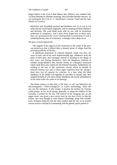longer believe in the God of their fathers, they offered a new, modern God. To those thirsting for absolute meanings, they provided absolute answers. As one participant put it (in E. Y. Hartshorne's German Youth and the Sazi Dream of Victory):

Mysticism and everything mystical had dominion over us. It was in our ranks that the word Fuhrer originated, with its meaning of blind obedience and devotion. The word Bund arose with us, too, with its mysterious undertone of conspiracy. And I shall never forget how in those early days we pronounced the word Gemeinschaft [»community«] with a trembling throaty note of excitement, as though it hid a deep secret.

He goes on more objectively:

The tragedy of the appeal of this mysticism to the youth of the postwar period was that it offered them a dreamy haven of refuge from the pressing problems of the day.

A significant proportion of cultured idealistic youth was thus, for years on end, and at the most impressionable age, withdrawn from the tasks of their time, and estranged. Instead of learning to see things as they were, and freeing themselves from the dangerous tradition of German escape-idealism, they became victims of a deceptive mysticism which made them easy victims for the National Socialists. Furthermore, by yielding to the lure of this mysticism, toward which an attitude of rational criticism was sure to mean angry expulsion from the »group,« these boys lost all capacity for criticism. At a time when the blind obedience of the soldier was regarded as unworthy of rational men, they adopted the habit of a far more sinister obedience: the servile subordination of the mind under the yoke of an ideology.

The divine essence, or elan vital, or life force, or vril, was believed to be electromagnetic—«Theo-zoological,« in Lanz's terminology. Since the sun was the repository of this energy, it became the fashion for German youth groups, as for occult groups generally, to adopt the emblem of the swastika, a symbol for the sun. The festival of the changing sun, an old pagan ritual, was given a new occult twist by the Sera Circle, in that the cosmic rays were thought to emit esoteric knowledge along with warmth. List's Armanen believed that the solar symbol held the key to an ancient »secret science« and that by communing with the ghostly spirits present in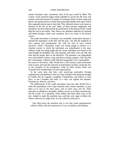certain Germanic ruins, mysterious veils of the past would be lifted. The Cosmic Circle practiced pagan rituals intended to arouse the life force and awaken clairvoyant powers in people of Germanic blood. In their songs and dances, the groups tried to recreate that primordial kinship with nature which they supposed ancient man to have had. They abhorred science and reason as enemies of the life of the soul. Many of them became vegetarians and teetotalers, for they believed that the purification of the physical body would help the soul to see reality. They threw over orthodox medicine for spiritual and herbal healing, which were somehow felt to be closer to the primal source.

The youth movement in Germany was essentially conservative because it stressed the importance of the link with the past—not with the traditions of one's parents and grandparents, but with the rites of one's remote ancestors. While Communist youth was being taught to believe in a classless society in which the individual was subordinated to the state, volkisch youth was being taught that the Aryan individual was bound to the state through his hereditary ties, that peasantry and rulers were one folk and each had his proper place in the hierarchy. The peasantry was rhapsodized over and imitated in dance, song, and dress as being »organic« folk. But like the Communists, volkisch youth held the bourgeoisie to be contemptible the source of all misery. After World War I, the German youth movements took on more and more the character of anti-Semitic societies, seeing the Jew as the exemplar of the bourgeoisie. Little by little, Jewish youth was excluded from membership in youth organizations.

At the same time that they were practicing spirituality through vegetarianism and abstinence from sex, boys and girls were being encouraged by leaders like de Lagarde, Langbehn, Chamberlain, and Fritsch to extol force, as the Crusaders had done, in a holy war against the enemies: Freemasons, liberals, and Jews.

The politicization of the youth movement came just after World War I, when the paramilitary Free Corps attracted many former members, to pass them on in turn to the Nazi party, and in some cases, the SS. Their education in obedience, discipline, selfless service to an ideal, romanticism, and the occult—in a patriarchy where fathers had been taken away to the war—helped to make the transition easy, and they were eager to follow the Fuhrer wherever he might lead. As one volkisch youth put it:

One often hears the question why it was that youth spontaneously rallied to Hitler. But the experiences of war, revolution, and inflation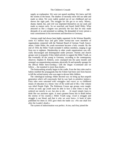supply an explanation. We were not spared anything. We knew and felt the worries in the house. The shadow of necessity never left our table and made us silent. We were rudely pushed out of our childhood and not shown the right path. The struggle for life got to us early. Misery, shame, hatred, lies, and civil war imprinted themselves on our souls and made us mature early. So we searched, and found Adolf Hitler. What attracted us like a magnet was precisely the fact that he only made demands of us and promised us nothing. He demanded of every person a total commitment to his movement and therefore to Germany.

German youth had always been highly organized. In the Weimar Republic some 4.5 million boys and girls under twenty-one were members of organizations connected with the National Board of German Youth Associations. Under Hitler, the youth movement became a holy crusade. By the end of 1934, the Hitler Youth included 6 million members, ranging in age from ten to eighteen. Membership in other youth organizations was officially discouraged and disintegrated under pressure. Parents and church groups were in jeopardy if they failed actively to support the Hitler Youth, so that eventually all the young in Germany, according to the contemporary observer, Stephen H. Roberts, were »stamped into the same mould« and emerged »as unquestioning automata, physically fit and mentally sponges for the official Hitler hero-worship,« with the slogan »Command and we follow ... the standard is more than death.«

The brainwashing actually began in the cradle. Even the fairy tales read to babies instilled the propaganda that the Fuhrer had been sent from heaven to kill the wicked enemy who was eager to devour little children.

The »ideological training« Hitler decreed was »to bring up that unspoilt generation which will consciously find its way back to primitive instinct.« Fairy tales were saturated with »struggle« and »race« as »a childhood means of education to a heroic view of the world and of life.« One volume was titled People Fight. The Robinson Crusoe age groups were taught: »From an early age youth must be able to face a time when it may be ordered not merely to act, but also to die . . . [it must] simply learn to think like our ancestors again. A man's greatest honor lies in death before the enemy of his country.« Hitler Youth sang: »God is struggle and struggle is our blood, and that is why we were born.« A book of tales published for them in 1935 gave them the battle cry: »No one shall live after the Leader's death «

The system of indoctrination was perfect. At ten, each boy joined the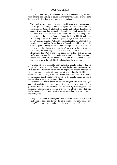### 110 GODS AND BEASTS

Young Folk; and each girl, the Union of German Maidens. They received uniforms and took a pledge to devote their lives to the Fuhrer. His will was to be their will. Hitler knew well how to accomplish this:

This youth learns nothing else than to think German, to act German, and if these boys enter our organization at the age of 10,... then 4 years later they come from the Jungfolk into the Hitler Youth, and we keep them there for another 4 years, and then we certainly don't give them back into the hands of the originators of our old classes and estates, but take them straight into the party, into the Labour Front, the SA or the SS, the NSKK, and so on. And if they are there for another 2 years or a year and a half and still haven't become complete National Socialists, then they go into the Labour Service and are polished for another 6 or 7 months, all with a symbol, the German spade. And any class consciousness or pride of status that may be left here and there is taken over by the Wehrmacht for further treatment for 2 years, and when they come back after 2, 3, or 4 years, we take them straight into the SA, SS, and so on again, so that they shall in no case suffer a relapse, and they don't feel free again as long as they live. And if anyone says to me, yes, but there will always be a few left over: National Socialism is not at the end of its days, but only at the beginning!

The child who was willing to assert himself as a leader in this system no longer had to worry about his future. He knew that he could rise to the top of an elitist cult. His family usually did not object, out of fear, ambition, or ignorance. Many did not realize until too late that a dreadful Pied Piper had taken their children away from them. Hitler himself remarked that it was a »quite special secret pleasure« to see »how the people around us fail to realize what is really happening to them.«

Not every child throve under the training program. The more intelligent and individualistic must have found it unbearable to be watched like prisoners. Innocuous conversations were recorded by eavesdroppers. True friendship was impossible, because everyone was afraid to say what they really thought. One Labor Service inmate described what conversation inevitably was:

Camp conversations would begin somewhat in this fashion, when one was fairly sure of being able to trust the other person. »The camp's fine, isn't it?« »Yes, very«—with emphasis on the word »very«—«There's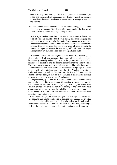such a friendly spirit, don't you think, such spontaneous comradeship?« »Yes, and such excellent leadership, isn't there?« »Yes, I am thankful to be able to share such a valuable experience and to see eye to eye with my leaders.«

But most young people succumbed to the brainwashing, even if their inclinations went counter to Nazi dogma. One young teacher, the daughter of a liberal professor, joined the Party under pressure:

At first I just made myself do it. The Nazi accounts were so fantastic plots of world-Jewry, etc.—that I could hardly keep from laughing as I read them; but of course I had to be careful. It was somewhat of a shock to find how readily the children accepted these Nazi fabrications. But the most amazing thing of all was, that after a few years of going through the routine, I began to believe the stories myself and could no longer distinguish in my own mind between propaganda and truth.

Paragraph 2 of the Law Relating to the Hitler Youth read that »all young Germans in the Reich area are, except in the parental home and at school, to be physically, mentally and morally reared in the spirit of National Socialism for service to the nation and the national community in the Hitler Youth.« For most young people, there was little resistance. The enthusiasm for the Fuhrer canceled out all other interests. Even when church groups or parents pleaded with children to keep away from the Hitler Youth, their hearts and souls had been captured by the uniforms, the fife and drums, and the example of their peers, so that not to be included in the Fuhrer's glorious movement became the worst kind of punishment.

The generation gap became a battle for the mind in some families, where parents who opposed the regime found it impossible to express their ideas to their idolatrous children. Parents rejecting Nazi dogma while their children shifted loyalty to the family to loyalty to the Party must have experienced great pain. In many households, one's offspring became one's worst enemy. It was not at all uncommon for children to denounce their parents as traitors to the state.

Children worshipped the Fuhrer as a god. To be singled out to see him and speak to him was to be elevated to demigod. The training fostered this kind of fanaticism while at the same time discarding intellectual inquiry. Philosophy was held to be morbid. Universal education was, according to Hitler, »the most corrosive and disintegrative poison ever devised by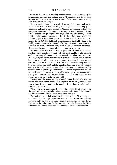liberalism.« Each stratum of society needed to learn what was necessary for its particular purposes, and nothing more. All education was to be under constant surveillance, with the »broad mass of the lowest class« receiving »the blessings of illiteracy.«

Hitler was right. His pedagogy was hard, not only for German youth but for all mankind. He took the prevailing knowledge about mass propaganda techniques and applied them zealously. Almost every moment in the youth camps was regimented. The mind was led step by step through an intensive drill to accept Nazi principles. The days were long and active, and the political indoctrination was particularly effective when minds were tired. Without physical force, then, youth was brainwashed from the 5:45 A.M. reveille to the 9:30 P.M. lights-out, with lectures on the healthy family, the healthy nation, hereditarily diseased offspring, Germanic civilization, and Lebensraum theories instilled along with a love of heroism, toughness, silence, and loyalty, and above all, a contempt for weakness.

By these tactics, the Nazis created a generation of youth so brutalized that they were capable of roaring with hysterical laughter while watching civilians in occupied countries being executed and, when they ran out of civilians, hanging kittens from miniature gallows. A British soldier, writing home, remarked: »It is not even organized terrorism, but cruelty and bestiality practised for its own sake, the worst offenders being German boys between the ages of 16 and 18.« Another observer, a Swiss who lived in Germany in 1943, noticed in these boys »an acquired military rigidity together with a quivering nervousness . . . bright laughter side by side with a desperate seriousness, and a self-assured, grown-up manner alternating with childish and uncontrollable behavior.« The boys he was describing were ten to eighteen years old.

The impact of the »hate« training is brought home dramatically when we realize that these young hoods, when captured in the war, refused blood transfusions if they could not be certain of the donor's racial purity, preferring to die instead.

When they were questioned by the Allies about the atrocities, they shrugged off their responsibility: »I saw women and children killed, but did not pay any attention to it; I have no opinion, I obey.«

By Nazi standards, their education had been perfect. All morality and intelligence had been propagandized out of them. Before Hitler came, Germany had been one of the most respected countries in the world for its high standard of education. By February 11, 1941, the illiteracy that Hitler prized was an accomplished fact, according to an official press account,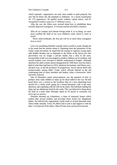which reported: »Apprentices not only seem unable to spell properly, but also fall far below the old standards in arithmetic. At a recent examination for 179 apprentices, 94 spelled names without capital letters, and 81 misspelled Goethe's name [in 17 different ways]. . . .«

After the war, the Allies were worried about how to rehabilitate these morally depraved youngsters. A German teacher provided a solution:

Why do we conquer such distant foreign lands if, in so doing, we must leave untilled the field of our own children's souls which is close at hand?

Never mind textbooks, the first job will be to teach these youngsters how to love!

Love was something Himmler actually tried to instill in youth, though not in the sense that the teacher meant it. Departing from the puritanism of the earlier youth movement, he urged that the mating of vigorous young males with healthy females was so important to the future of the Aryan race that procreation was no longer a private matter, but a duty to the state. Irresponsible youth was encouraged to produce children out of wedlock, and unwed mothers were elevated to hitherto undreamed-of heights. Although abortions for adult women almost disappeared (in 1940 there were less than a third of what there had been in 1931), abortions for fourteen- and fifteen-yearold girls rose, as did the incidence of pregnancies. Secret reports dealt with homosexuality among Hitler Youth, which officials blamed on the old youth-group past of many members and leaders, when a homoerotic ideal had been fostered.

One of Himmler's major preoccupations was the question of how to produce more male children to make up for those killed in the war. He had heard there was a custom in the Swabian Alps of a man abstaining from alcohol for a whole week, going for a twenty-kilometer walk in the early afternoon, and copulating with his wife on his return. She had done nothing but sleep and eat wholesome food for the week. This was believed to bring about the birth of a male child. Himmler asked an SS doctor to comment, but never got an answer.

Himmler dreamed up Lebensborn, a chain of maternity homes which looked after unwed mothers and provided foster homes for illegitimate babies. He believed the organization would result in several thousand more choice births annually. Every SS officer had to join it and support it with his dues, 5 to 8 percent of his salary. Other SS men were not forced to become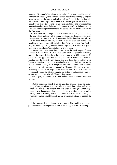members. Himmler believed that »Nietzsche's Superman could be attained by means of breeding« and warned his men that »without multiply, ing our blood we shall not be able to maintain the Great Germanic Empire that is in the process of coming into existence.« He encouraged his »valuable and racially pure men« to become »conception assistants« and overcome their bourgeois qualms about fathering children out of wedlock. Lebensborn, he said, was »a unique phenomenon and can be the basis for a new advance of the Germanic race «

He tried to create the impression that he was learned in genetics. Citing »the marvelous authority of German folklore,« he theorized that when conception took place in a Nordic cemetery, babies inherited the spirit of »all the dead heroes who lay therein.« Lists of such cemeteries were published regularly in the SS periodical Das Schwarze Korps. One English wag, on learning of this, punned: »One might say that these lists give a new ring to the phrase 'poking about in graveyards.' »

Himmler must have been disappointed with the total output of »new beings« at Lebensborn. In 1938, two years after the program officially started, the seven Lebensborn homes accepted only 653 mothers, 40 percent of the applicants who had applied. Racial requirements were so exacting that the majority were turned away. In 1939, however, there were homes in Steinhoring, Polzin, Klosterheide (Mark), Hohehorst, and in the Vienna woods. Later, more hospitals, children's homes, and sanitoria were added from former Jewish properties. Directing offices were set up in Bromberg, as well as in Belgium and Holland. But, for all that, after nine operational years, the official figures for births at Lebensborn were recorded as 12,000, of which half were illegitimate.

Louis Hagen, in Follow My Leader, reports one Lebensborn mother as saying:

At the Tegernsee hostel, I waited until the tenth day after the beginning of my period and was medically examined; then I slept with an SS man who had also to perform his duty with another girl. When pregnancy was diagnosed, I had the choice of returning home or going straight into a maternity home. . . . The birth was not easy, but no good German woman would think of having artificial injections to deaden the pain.

Girls considered it an honor to be chosen. One maiden announced proudly to fellow passengers on a train: »I am going to the SS Ordensburg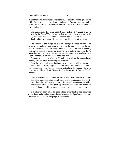The Children's Crusade 115

in Sonthofen to have myself impregnated.« Naturally, young girls in the Hitler Youth were encouraged to try motherhood. Rewards were exemption from Labor Service and financial bonuses. One Labor Service internee wrote to her fiance:

The first question they ask a Labor Service girl is, who's going to have a baby for the Fuhrer? Then the girls go into a camp and have to stay there for a year. First be used by SS men, then stay for a year and have a child. If you do all right they slip you RM [reichsmarks] 1,000 and let you go....

The leaders of the camps gave their blessings to these liaisons. One wrote to the mother of a pregnant girl, to bring the glad tidings that she was soon to »present the Fuhrer with a child.« If parents did not particularly care for this manner of bestowing gifts, there was nothing they could do. As one Labor Service inmate cautioned her family: »You better not beat me if I come home with a baby, or I'll denounce you!«

To get the right kind of offspring, Himmler even ordered the kidnapping of racially pure children from occupied countries.

Thus, the methodical indoctrination of a whole nation with a conglomeration of irrational ideas—mystical, occult, racist, and anti-human—led to the robotization of the German people, particularly the young, who were most susceptible. As J. G. Siebert, in The Remaking of German Youth, remarks:

The reason why German youth allowed itself to be tricked lies in the fact that it had itself submitted to self-escapement, irrationalism and mysticism, that it had willingly given away its rational powers and its will to independent action. It had given up mastery over itself, and when the Nazis fell upon it with their demagogery, it became an easy victim.

In a relatively short time, the good effects of civilization had been bred out of them, and they had shown themselves capable of performing the most atrocious deeds without any pangs of conscience.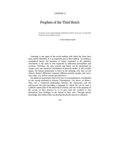### CHAPTER 12

## Prophets of the Third Reich

Awareness of one's national heritage and blood ties with the Aryan race are indivisibly bound up with astrological science.

—German astrological magazine

Astrology is one aspect of the occult tradition with which the Nazis have been openly identified. It is an important part of that tradition. According to astrological theory, the harmony of nature expressed in the planetary movements is the same as that expressed in individual personalities and societies. Therefore, the past, present and future can be interpreted by certain cyclic and numerical calculations of heavenly bodies. If, the occultist argues, the human temperature is lower in the morning, why may we not observe distinct differences between different periods, people, and races, since they, too, follow certain periodicities?

Occultists are particularly fond of the law of correspondences, exemplified by the saying attributed to Hermes Trismegistus: »As above, so below.« They see a reciprocal relationship between the microcosm and the macrocosm, the stars providing a language by which life can be read, a symbolic master-plan of the hierarchical cosmos; and one of the purposes of the occult, as they perceive it, is to give men the wisdom to free themselves from bondage to the fortune in their stars. Through special knowledge, they believe they can develop the psychic powers to influence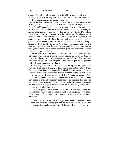events. To understand astrology is to be able to use a kind of mental alchemy by which the negative aspects of life can be transmuted into good—if one is properly initiated, of course.

From the late nineteenth century on, the Germans were eager to use astrology in their daily lives. They had been particularly impressed with Franz Anton Mesmer's attempts to place astrology on a scientific footing. An Austrian who had studied medicine in Vienna, he applied his theory of animal magnetism to heavenly bodies in his first book, De Influxu Planetarum in Corpus Humanum (»Of the Influence of the Planets on the Human Body«). The universe he described was held together by an »aetheric continuum,« of which the stars and planets were a constituent part, and from which flowed »animal magnetism.« Illness was simply failure to draw effectively on one's aetheric continuum reserves, and Mesmer's apparatus was designed to help people tap this source—this intangible universal force which pervaded space and exercised a hidden influence on human affairs.

Mesmer learned of the researches of Empress Maria Theresa's court astrologer, who enjoyed amazing luck in treating the ill on the basis of Paracelsus' theory of correspondences, or sympathies. What the court astrologer did was to apply magnets to the affected part of the patient's body. Mesmer broadened this theory.

Animal magnetism was more widely practiced by doctors in Germany than anywhere else in Europe, as the eminent tum-of-the-century British clergyman, Frank Podmore, observed in his book, From Mesmer to Christian Science. There was no centralized medical academy to impose its rules on the »profession.« Mesmerism was studied in German universities. Court physicians and medical professors wrote learned treatises on it. Experiments were repeated endlessly. Podmore reported: »The magnetic fluid could be seen radiating as a stream of light from the eyes and the fingers of the operator and the poles of a magnet, from the heart of a living frog or the spinal marrow of a newly killed ox.«

German magnetists threw themselves enthusiastically into clairvoyance and somnambulism. Since the animal fluid could magnetize over space, many instances of extrasensory communications were noted. According to Podmore:

Clairvoyance at a distance was apparently much commoner in Germany and northern Europe generally at this time than in France. The cases quoted are rarely, however, recorded with sufficient detail to serve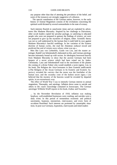any purpose other than that of attesting the prevalence of the belief, and some of the instances are strongly suggestive of collusion.

The special contribution of the German nation, however, to the early history of Animal Magnetism consists of the revelations concerning the spiritual world dictated by several somnambules in the state of ecstasy.

Such interests flourish in cataclysmic times and are exploited by adventurers like Madame Blavatsky. Inspired by her challenge to Darwinism, other occult leaders copied her peculiar package, so satisfying to educated people who were not prepared to gainsay the findings of science, yet were not prepared to give up the mysteries of religion, either. Scientific theory was not so well understood by the layman that it could hold its own against Madame Blavatsky's fanciful ramblings. In her variation of the Eastern doctrine of human cycles, she read the Atlantean zodiacal record and predicted the end of certain races whose »time was up.«

Men like Lanz von Liebenfels, Guido von List, and the master astrologer, Rudolf von Sebottendorff, elaborated on this, and German astrology became intimately bound up with racism. Its ideologists borrowed heavily from Madame Blavatsky to show that the ancient Germans had been keepers of a secret science which had been wiped out by Judeo-Christianity. Lanz and Sebottendorff read in the movement of the planets the coming of a divine Fuhrer who would establish a racist regime. List, in his book, Die Religion der Ario-Germanen in ihrer Esoterik undExoterik (»The Religion of the Aryan Germans in Its Esoteric and Exoteric Aspects«), revealed the »secret« that the moon was the forefather of the human race, and the swastika »one of the holiest secret signs.« List believed that the mystery of the heavens would be revealed by departed spirits, in an extrasensory way.

The effect of World War I was to intensify German interest in animal magnetism, Theosophy, and astrology. Inflation drove some to suicide and others to the »sure« knowledge contained in horoscopes. The German astrologer Wilhelm Wulff reports in his book, Zodiac and Swastika:

... by the November Revolution of 1918, inflation was making headway, well-established businesses were crashing, and suicides were a daily event. In this period of tremendous economic and political uncertainty, hypnosis, mesmerism, clairvoyance, and every form of occultism flourished. Such interests are promoted by catastrophic situations. In post-war Germany, hypnotists, clairvoyants and mind readers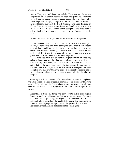were suddenly able to fill huge concert halls. There was scarcely a single large music hall or cabaret that did not stage a telepathic act. Enormous placards and newspaper advertisements pompously proclaimed: »The Most Important Parapsychologist,« »The Woman with a Thousand Eyes« (Madame Karoli at the Busch Circus), »The Great Enigma, an Outstanding Achievement in the Sphere of Occult Science, the Lady Who Tells You All,« etc. Swindle or not, both public and press found it all fascinating. I was very soon revolted by this fairground occultism.

Konrad Heiden adds this personal observation of the same period:

The churches raged. . . . But if one had accused these astrologers, quacks, necromancers, and fake radiologists of witchcraft and sorcery, most of them would have replied indignantly that they occupied themselves with science—naturally, a science that the »experts« did not understand, for it was the science of the future, perhaps a science predicated on experiments that were still imperfect. . . .

. . . there was much talk of intuition, of presentiment, of what they called »vision« and the like. But nearly always it was considered an »advance« by abnormally endowed natures into certain fields of the spirit that in the near future would be investigated by conventional methods. The stock explanation in that world of deception and selfdeception was that everything was done« along strictly scientific lines,« which shows to what extent the cult of science had taken the place of religion. . . .

One magus, Erik Jan Hanussen, who received notoriety as the »Prophet of the Third Reich« and the »Magician of Berlin,« was credited with having taught Hitler all mat he knew about mass psychology, which was considerable. Walter Langer, a psychiatrist, wrote in his secret report to the Allies:

According to Strasser, during the early 1920's Hitler took regular lessons in speaking and in mass psychology from a man named Hanussen, who was also a practicing astrologer and fortuneteller. He was an extremely clever individual who taught Hitler a great deal concerning the importance of staging meetings to obtain the greatest dramatic effect. ... It is possible that Hanussen had some contact with a group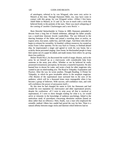### 120 GODS AND BEASTS

of astrologers, referred to by von Wiegand, who were very active in Munich at this time. Through Hanussen Hitler, too, may have come in contact with this group, for von Wiegand writes: »When I first knew Adolf Hitler in Munich, in '21 and '22, he was in touch with a circle that believed firmly in the portents of the stars. There was much whispering of the coming of 'another Charlemagne and a new Reich.' »

Born Herschel Steinschneider in Vienna in 1889, Hanussen pretended to descent from a long line of Danish noblemen, although his father actually was a small-time itinerant Jewish vaudevillian. The son followed in the dancing footsteps of the father and joined a traveling show at twelve, as trapeze artist, lion tamer, stable boy, and folk singer. And these roles did not begin to exhaust his versatility. In Istanbul, without resources, he created an ersatz Franz Lehar operetta. On his way back to Vienna, to freeload aboard ship, he impersonated a singer and agreed to work his way home, but a scratchy throat prevented singing. Once home, he blackmailed people to keep their names out of a paper he edited, and made money from others by giving them free publicity.

Before World War I, he discovered the world of magic illusion, and in the army he set himself up as a clairvoyant, with considerable help from someone in the army post office. Whether or not he believed he really possessed extrasensory perception, he became a masterful hypnotist. He also learned how to dowse for water, and wrote a book for other magicians who wanted to put on mind-reading acts: The Road to Telepathy: Explanation and Practice. After the war, he wrote another, Thought Reading: A Primer for Telepathy, in which he gave invaluable advice to the neophyte magician: »The illusion of the supernatural must surround him in the eyes of his audience, which will be a thousand times more manageable when it has become a group of believers. With success, self-confidence rises, and with self-confidence the power of persuasion itself.«

By this time he had changed his name to Erik Jan Hanussen and had created his own reputation for clairvoyance and other supernatural powers, despite his confession: »If I were to strip away all that is mystical or supernatural, if I were to show thought reading for what it is, we would arrive at virtuosity in the knowledge of audience psychology, linked to the meticulous study of procedures concerning ideomotor motions [based on ideas rather than on reflexes].« Here, finally, was a man who employed the scientific method. Others less candid had paved the way for him. There is a natural affinity between magic tricks and fakirism which believers had no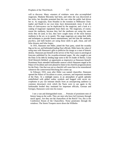will to discover. Many »masters of wisdom« were also accomplished magicians. Madame Blavatsky had been, and when she was discovered at her tricks, her disciples protested that this was what the public had driven her to. As magicians, from Houdini in the twenties to Milbourne Christopher and Randi in our own time, have demonstrated, most, if not all, feats of clairvoyance can be duplicated by the magician, and a look at a catalog of magicians' equipment bears them out. The magicians, of course, resent the mediums, because they feel the mediums are using the same tricks they do (and, in fact, they have caught many of the most famous mediums in the act, so to speak). The stage magicians are using their skills and techniques to provide honest entertainment, and feel that the mediums, psychics, and faith healers are using those skills to gull, cheat, and sell false dreams and false hopes.

In 1931, Hanussen met Hitler, joined the Nazi party, raised the swastika flag on his car, and befriended leading Nazi officials. Hitler knew the value of using men with Hanussen's gifts to publicize his image as a man of historic destiny. Hanussen put himself at the service of the Nazi cause in astrological forecasts published by his swastika-trimmed paper. He also sought to put the Party in his debt by lending large sums to the SA leader of Berlin, Count Wolf Heinrich Helldorf, an opportunist as impressive as Hanussen himself. Prominent Nazis attended fashionable seances which Hanussen staged at his Palace of Occultism and were pleased to listen to his cheerful prognostications for the Party. One that was not so cheerful will cause him to be remembered whenever the controversial Reichstag fire comes up.

In February 1933, soon after Hitler was named chancellor, Hanussen opened the Palace of Occultism to actors, actresses, and important members of the Party. At a midnight seance, in an atmosphere of garish splendor embellished with gilded zodiac symbols and bugged with secret microphones to pry out intimate details from an unsuspecting audience (a common showman's trick which the Nazis were to use again in the fashionable brothel they instituted for important officials, German and foreign), Hanussen went into his trance:

I see a vast and distinguished room. . . . Portraits of prominent men of history hang on the walls. They are men who have led Germany through much agony. Are they not the chancellors of the Reich? Yes, this is the Conference Room of the Chancellery. Noise penetrates through the windows. The Storm Troopers move down the Wilhelm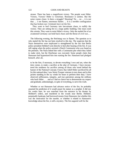strasse. There has been a magnificent victory. The people want Hitler. Victory, Victory! Hitler is victorious. Resistance is useless. But the noise comes closer. Is there a struggle? Shooting? No ... no ... it is not that. ... I see flames, enormous flames. ... It is a terrible conflagration that has broken out. Criminals have set the fire.

They want to hurl Germany into last-minute chaos, to nullify the victory. They are setting fire to a large public building. One must crush this vermin. They want to resist Hitler's victory. Only the mailed fist of an awakened Germany can hold back chaos and the threat of civil war... .

The following evening, the Reichstag was in flames. The question as to who started the fire has not been resolved to this day. The suspicion that the Nazis themselves were implicated is strengthened by the fact that Berlin police president Helldorf went directly to bed after hearing of the fire. It was still raging when the police arrested a Dutch Communist who was found on the premises. The Nazis linked him with a Communist plot which they failed to make stick, but the Dutchman was executed. Some people claim that Hanussen had hypnotized him into starting the fire. Hanussen had pledged himself, after all,

to be the first, if necessary, to devote everything I own and am, when the time comes, to make a sacrifice at the altar of Germany. I have encountered the readiness for sacrifice among all those who stood behind the banner of the National Concept; I know that Adolf Hitler sacrificed his all for this national idea; I saw Storm Trooper veterans in torn shoes and in thin jackets standing in the icy winds for hours to perform their duty; I have observed selflessness, integrity, and true patriotism among the millions who back Hitler. . . . and so I had no choice but to demonstrate my respect and gratitude, unhesitatingly, in spite of everything, to serve the truth.

Whether or not Hanussen had advance notice of the fire, he probably assumed his prediction of it would assure his stature as a prophet. It did not. Six weeks later, he was snatched from the entrance to his theater by Helldorf's orders, and murdered in the woods near Berlin. Helldorf, perpetually bankrupt, had borrowed money from Hanussen, but whether this was the motivation for the murder, or whether it related to Hanussen's knowledge about the fire, is still a mystery. The fire augured well for the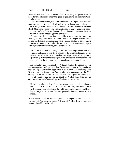Nazis, on the other hand. It enabled them to do away altogether with the need for free elections, under the guise of preventing an imminent Communist takeover.

Once firmly entrenched, the Nazis continued to call upon the services of soothsayers, even though official policy was to harass and banish them. The astrologer Gerda Walther, in an article in Tomorrow entitled »Hitler's Black Magicians,« observed a »complete lack of unity« regarding occultism. »Not only is there an absence of 'coordination,' but often there are different and even opposing points of view.«

As soon as Hitler came into the public eye, he was the target for astrological prognostications. But after 1933, an astrologer tempted fate if he cast the Fuhrer's horoscope, and none were so bold as to dare. Fearing unfavorable predictions, Hitler decreed that police regulations equate astrology with fortunetelling, and Paragraph 2 read:

For purposes of these police regulations fortune-telling is understood as a prediction of future events, the divination of the present or the past, and all other forms of revelation not based on natural processes of perception. It specifically includes the reading of cards, the casting of horoscopes, the explanation of the stars, and the interpretation of omens and dreams.

As Himmler later confessed to Wilhelm Wulff, the reason for the strictures against astrologers was that if they were not Nazis, they might see their calling as universally applicable to all humans, whether they were Negroes, Indians, Chinese, or Aryans, »in crass opposition« to the Nazi concept of the racial soul. »No one doctrine,« argued Himmler, »can cover all cases.« But he left no doubt in Wulff's mind that he was committed to a belief in astrology and related occult studies:

He told me about a few of his own experiences and observations at certain phases of the moon. His ancestors, he said, had been familiar with peasant lore, calculating the right time to plant crops.  $\dots$  He  $\dots$ began projects at certain, but not generally known, phases of the moon

He was fond of citing the important place of astrologers and fortunetellers in the court of Frederick the Great. A friend of Wulff's, Ellic Howe, who was employed by the British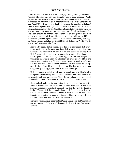### 124 GODS AND BEASTS

Secret Service in World War II, discovered, by reading astrological studies in Gestapo files after the war, that Himmler was in good company. Wulff repeats his assertion that »German astrology was supreme in the 1930's« and it engaged the attention of other important Nazis, like Walter Schellen-berg and Rudolf Hess. It was largely thanks to Hess that the so-called »witchcraft act« of 1934 against astrologers and occultists was circumvented. When a former planetarium director on Alfred Rosenberg's staff in the Department for the Promotion of German Writing made an official declaration that astrology should be banned, Hess disagreed, on the grounds that there might be something to it. It was this bias, some believe, which caused Hess to make the mysterious flight to Scotland. Howe reports in his book, Astrology: A Recent History Including the Untold Story of Its Role in World War II, that a confidant revealed to him:

Hess's astrological foible strengthened his own conviction that everything possible must be done and hazarded in order to end hostilities without delay, because at the end of April and beginning of May 1941 Hitler's astrological aspects were unusually malefic. Hess interpreted these aspects to mean that he, personally, must take the dangers that threatened the Fuhrer upon his shoulders in order to save Hitler and restore peace in Germany. Time and again Hess's astrological »advisor« had told him that Anglo-German relations were threatened by a deepseated crisis of confidence. . . . Indeed, at this time there were very dangerous [planetary] oppositions in Hitler's horoscope.

Hitler, although he publicly ridiculed the occult tastes of his disciples, was equally superstitious; and his chief architect and later minister of armaments and war production, Albert Speer, related that he himself witnessed a number of instances of this, such as the occasion when

Hitler had solemnly laid the cornerstone for the House of German Art in Munich. He delivered the ceremonial hammer blows with a fine silver hammer Troost had designed especially for this day. But the hammer broke. [Troost died three months later and] Hitler remarked to us: »When the hammer shattered I knew at once it was an evil omen. Something is going to happen, I thought. Now we know why the hammer broke. The architect was destined to die.«

Hermann Rauschning, a leader of the Danzig Senate who fled Germany in 1940, also attests to Hitler's occult leanings. In The Voice of Destruction, he writes: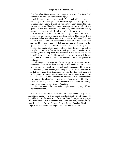One day when Hitler seemed in an approachable mood, a far-sighted woman in his circle said to him warningly:

»My Fuhrer, don't touch black magic. As yet both white and black are open to you. But once you have embarked upon black magic it will dominate your destiny. It will hold you captive. Don't choose the quick and easy successes. There lies before you the power over a realm of pure spirits. Do not allow yourself to be led away from your true path by earthbound spirits, which will rob you of creative power.«

Hitler was fond at times of this sort of mystical talk. Only in such guise could any serious warning be offered to him. This woman friend expressed in her way what everyone who came in touch with Hitler was bound to feel: Hitler was abandoning himself to forces which were carrying him away—forces of dark and destructive violence. He imagined that he still had freedom of choice, but he had long been in bondage to a magic which might well have been described, not only in metaphor but in literal fact, as that of evil spirits. And instead of a man emerging step by step from the obscurity of his youth, and freeing himself from its dross in his upward course, we witnessed the development of a man possessed, the helpless prey of the powers of darkness.

Black magic, white magic—Hitler is the typical person with no firm foundation, with all the shortcomings of the superficial, of the man without reverence, quick to judge and quick to condemn. He is one of those with no spiritual tradition, who, being caught by the first substitute for it that they meet, hold tenaciously to that, lest they fall back into Nothingness. He belongs also to the type of German who is starving for the unattainable. For all those who have been unsuccessful in the battle of life National Socialism is the great worker of magic. And Hitler himself is the first of these; thus he has become the master-enchanter and the high priest of the religious mysteries of Nazidom.

Hitler's henchmen make more and more play with this quality of his of supreme magician. . . .

After Hitler's rise, someone in Himmler's department was given an astrological forecast by a Swiss friend, Karl Ernst Krafft, an astrologer with a predilection for the same sort of theories about the »spirit of language« and »word magic« which distinguished Guido von List. Krafft was well versed in Latin, Greek, German, French, Italian, Spanish, Dutch, and English. He had used his astrological talents to forecast trends on the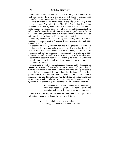commodities market. Around 1938, he was living in the Black Forest with two women who were interested in Rudolf Steiner. Hitler appealed to Krafft as »the conqueror of the mechanistic way of life.«

Krafft predicted to his friend that Hitler's life would hang in the balance between November 7 and 10, 1939. During that time, Hitler attended an anniversary celebration of the 1923 Putsch in the Munich Hofbrauhaus. He left just before a bomb went off and tore apart the beer cellar. Krafft zealously wired Hess, thrusting his prediction under his nose, and adding that the stars still indicated that Hitler would not be safe for a few more days. Krafft was promptly arrested.

Himmler, meanwhile, was working on tracking down the failed assassin by interviewing a Viennese trance medium who had been ordered to his office.

Goebbels, as propaganda minister, had more practical concerns. He just happened, at that particular time, to have developed an interest in Nostradamus, the sixteenth-century French prophet, not for his verse quatrains, but for his propaganda possibilities. He must have been delighted to find in Krafft a man who was not only familiar with Nostradamus' obscure verses but who actually believed that Germany's triumph over the Allies—and over future enemies, as well—could be deciphered from them.

Krafft came to work for the propaganda ministry and began using his special knowledge of Nostradamus as a means of psychological warfare. Nostradamus had been deliberately obscure, to keep his secrets from being understood by any but the initiated. The infinite permutations of possible interpretations had made his quatrains popular propaganda devices for centuries. Thus Krafft had an embarrassment of riches from which to choose so as to interpret Germany's victory. Quatrain III-76 presumably predicted the birth of National Socialism:

> In Germany will be born diverse sects, approaching very near happy paganism. The heart captive and receipts small; they will return to paying the true tithe.

Krafft was in deadly earnest when he interpreted a passage like the following to mean great discomfort for Great Britain:

> In the islands shall be so horrid tumults, That nothing shall be heard but a warlike surprise,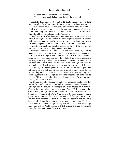So great shall be the insult of the robbers, That everyone shall shelter himself under the great look.

Goebbels' diary entry for November 22, 1939, reads: »This is a thing we can exploit for a long time. I forbid all printing of these forecasts by Monsieur Nostradamus. They must be disseminated only by handbills, hand-written, or at most typed, secretly, and in the manner of snowball letters. The thing must have an air of being forbidden. . . . Naturally, all this silly rubbish must also go out to France. ...«

Pamphlets of Krafft's interpretations were sent in advance of the military through occupied France and were highly successful in getting their message across. Krafft's exegeses were translated into many different languages, and the output was enormous. They were even »surreptitiously stuck into people's pockets as they left the movies—as far away as in Iran!« according to Gerda Walther.

Romania's minister to London, an anti-Nazi awed by Krafft's seemingly prophetic gifts, wrote him to renew an old acquaintance and to ask for his astrological predictions about the war. Krafft showed the letter to his Nazi superiors, and they drafted an answer predicting Germany's victory. When the Romanian minister received it, he assumed that Krafft must be advising Hitler, and got the idea of convincing the British to hire the best astrologer they could find and have him try to second-guess Krafft. If the British could get their astrologer to find out how Krafft was arriving at the sources for his advice, they could, first of all, know what Hitler was thinking, and secondly, influence his thought by preparing forecasts similar to Krafft's but pro-Allies, and slipping them into Hitler's hands. For the purpose, Ludwig von Wohl was hired.

A Roman-Catholic Hungarian author of religious books who left Berlin for London in 1935, he had a reputation among believers in astrology for his accurate horoscopes of Hitler, Mussolini, Churchill, Chamberlain, and other prominent people. One of Hitler, in particular, cast in 1931, brought him to the attention of the international set. Just before the beginning of World War II, at a Spanish embassy dinner party, he entertained the British secretary of foreign affairs, Lord Halifax, with astrological predictions, and was assured that he would have a job if war broke out when he said it would and if Hitler's invasion of Poland was as rapid as he predicted. The war was three days early. Ludwig von Wohl became a British citizen, changed his name to Louis de Wohl, and joined the British army.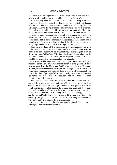In August 1940 an employee of the War Office came to him and asked: »How would you like to work on a highly secret assignment?«

He liked it very much. Made a captain, paid in cash, and set up in a suite at Grosvenor House, he worked on his unique task. British Intelligence believed that Hitler was being advised not only by Krafft but by four other astrologers, and that he never made a military move without their advice. Churchill was agreeable to the idea of trying to intercept what Hitler was being told every day. »Why not try it?« he said. »It could be fun.« In allowing the bizarre appointment, Churchill was assumed to be indulging one of his mischievous caprices. »After all,« he is reported to have said, »why should Hitler have a monopoly on astrologers?« One commentator remarked that he may also have »relished the idea of subjecting some stuffy high-powered official to an astrologer's scrutiny.«

Since De Wohl knew all five astrologers who were supposedly advising Hitler, had worked for some time with Krafft, and was familiar with his formula, he could guess what he presumed they were telling Hitler. In his first memo to the British War Office in the beginning of September 1940 he advised that the Germans would not invade England, because he was sure that Hitler's astrologers were counseling him against it.

One of De Wohl's tasks was to put out a bogus copy of an astrological magazine called Der Zenit, which looked exactly like the genuine article. It was intercepted by the Nazis; and Wulff relates that he told Himmler's assistant, Walter Schellenberg, »that from an astrological point of view it was a first-class production and indicated that it was the work of experts. Some very skillful bits of propaganda had been casually inserted in an otherwise apparently innocuous text. We deduced that this fake had been manufactured in England.«

Wulff was consulted several times by Himmler during 1944 and 1945, particularly as defeat seemed imminent. Wilhelm Hoetl, who joined the German Secret Service in 1938, says of Himmler: »His predilection for the occult sciences also went far beyond the confines of a harmless hobby; it can with truth be said that all his major decisions hung upon the advice given to him by his clairvoyant. ...« According to Hoetl, Schellenberg, anxious to end the war, had Wulff draw up a horoscope »which would give Himmler the necessary courage and convince him that he was destined by Fate to become the Fuhrer and the saviour of the German people. ...«

Not only Himmler, but the German people pinned their hopes on astrology. Speer relates that they had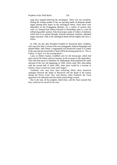long since stopped believing the newspapers. There was one exception: During the closing months of the war growing bands of desperate people began pinning their hopes on the astrological sheets. Since these were dependent on the Propaganda Ministry, for a variety of reasons they were, as I learned from [Hans] Fritzsche at Nuremberg, used as a tool for influencing public opinion. Fake horoscopes spoke of valleys of darkness which had to be passed through, foretold imminent surprises, intimated happy outcomes. Only in the astrological sheets did the regime still have a future.

In 1945, the day after President Franklin D. Roosevelt died, Goebbels, who may have been a victim of his own propaganda, ordered champagne and phoned Hitler: »My Fuhrer, I congratulate you! Roosevelt is dead. It is written in the stars that the second half of April will be the turning-point for us. This is Friday 13 April. It is the turning-point.«

Later, in Hitler's bunker, Goebbels sent for the horoscopes which had been cast for the Fuhrer and for Germany on his accession to the chancellery. They had been given to Himmler for safekeeping. Both predicted the entire outcome of the war: the beginning, in 1939; victory until 1941; then defeat until the second half of April 1945, when there would be a reversal of fortune. Peace would not come until August.

Goebbels, who may have been humoring Hitler, drew historical analogies between the death of Roosevelt and the death of the tsarina during the Seven Years' War with Russia, when Frederick the Great appeared to be defeated until the death turned things around.

But in the end, all the prophets failed them, and the Nazis learned that they could not be saved by the stars.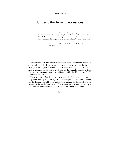### CHAPTER 13

# Jung and the Aryan Unconscious

Even Jung's much-debated interpretation of what was happening in Hitler's Germany in the thirties was not without insight, though his conduct justifies the suspicion that he himself, like all too many equally intelligent contemporaries in Europe, had momentarily turned to the same demonic powers for salvation and let himself be carried away by them.

> —Lewis Mumford, »The Revolt of the Demons,« The New Yorker, May 23, 1964

It has always been a mystery why intelligent people outside of Germany in the twenties and thirties were attracted by the Nazi movement. Before the atrocity stories began to leak out, the Nazis were persona grata with a certain type of mystical temperament which saw in the romantic aspects of their ideology a refreshing return to »thinking with the blood,« as D. H. Lawrence called it.

The psychologist Carl Jung is a case in point. His interest in the occult ran very deep, and began very early. In his autobiography, Memories, Dreams and Reflections, he told of his initiation, in dreams of childhood, to »the secrets of the earth« and »the realm of darkness,« »overpowered by a vision of the whole cosmos,« where »lived the 'Other,' who knew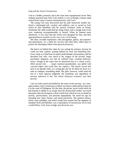God as a hidden, personal, and at the same time suprapersonal secret. Here nothing separated man from God; indeed, it was as though a human mind looked down upon Creation simultaneously with God.«

The young Carl soon discovered that his jolly housewife mother harbored a submerged self, »archaic and ruthless,« just as sacred as God, which he later identified with the ancient Germanic realm of Wotan. Sometimes the child would find her doing chores with a strange look in her eyes, muttering incomprehensibly to herself. When he listened more attentively, it was clear that the words were designed for him, and their appropriateness reached »to the very core« of his being.

Her diary recorded experiences with precognition, ghosts, and supranormal phenomena. As a child, her services had often been called upon to protect her theologian father from spectral presences:

She had to sit behind him when he was writing his sermons, because he could not bear »spirits« passing behind his back and disturbing him. Every week, at a fixed hour, he used to hold intimate conversations with his deceased first wife, very much to the chagrin of the second! Jung's psychiatric diagnosis was that he suffered from »waking hallucinations,« though at the same time he dismissed this as a »mere word.« [His] second wife, . . . Jung's maternal grandmother, was gifted with »second sight« and could also see »spirits.« The family traced this back to an episode when, as a young girl, she lay for thirty-six hours in a state of catalepsy resembling death. Her gifts, however, could stand the test of a more rigorous judgment: she sometimes saw apparitions of persons unknown to her, but whose historical existence was later proved.

Carl was both scared and thrilled by the sense of the uncanny. As a teenaged student at the Gymnasium in Basel, he found a philosophical basis for it in the work of Pythagoras. By this time, the private, secret world which he had learned to inhabit as an escape from his all-powerful mother was much pleasanter than the bourgeois school world from which he was excluded by poverty, provincialism, and personal unpopularity. He saved his ego by retreating into ritual, fantasy, and nature-mysticism. The greatest fantasy, which came unbidden, and which would have earned him the applause of Jonathan Swift and Rabelais, was a masterpiece of unconscious wit in such a stolid fellow: God, from on high, sent down his own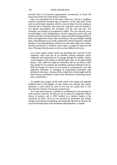personal blast of excrement, appropriately monumental, to bomb the newly decorated roof of the Basel Cathedral.

Jung was convinced that he had been chosen by God for a prophetic mission to herald the dawning Age of Aquarius. At the same time, he felt privy to ancient dark mysteries, which he was not about to reveal, wanting to avoid the fate of Nietzsche, who went mad. Jung had a sense of himself as two distinct personalities, the schoolboy and the wise old man. The schoolboy was himself as he appeared to others. The wise old man was a powerful figure of the Enlightenment, and the young boy owed to this odd presence his sense of being selected for a great work and of being perfectly at home with eighteenth-century ideas and artifacts. The psychologist, looking back at this dichotomy in his youth, insisted that it did not represent a diseased disunion. A recurring daydream, which he was later able to play out in reality, had him ensconced in a medieval castle where, as judge, he ruled over the town. What gave him the power to rule was that, hidden in the tower,

was a thick copper column whose top, branching into a network of tiny capillaries, drew from the air an ineffable spiritual substance which, condensed and transformed by its passage through the metallic column, would reappear at the bottom as finished gold coins. In his gold-making fantasy, Carl, unlike the medieval alchemists, did not use lead or other base metals for raw material, but something »spiritual« diffused in the air. With his hunger for omens, he was bound to retrospectively view this adolescent daydream as presaging his long-lasting fascination with alchemy in later years. A person of less exalted turn of mind might read the same fantasy as pointing to Jung's future adroitness in extracting money from »spirituality.«

As outsider and as pagan, he felt much closer to the animal and vegetable kingdoms than to the kingdom of man. Nature was suffused with »numinousness,« a term which he came to love and use a great deal. It well described his family's extrasensory experiences.

As it came time, however, to decide on a profession, he was governed by more practical concerns. He did not care to repeat his clergyman father's history of poverty, and in 1895 enrolled as a medical student at the University of Basel. There he was attracted by spiritualists like Johann Zoellner and Emanuel Swedenborg, discussing their theories by the hour. He was far from being alone in his fascination with spiritualism. A number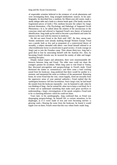of respectable scientists believed in the existence of occult phenomena and were investigating them. Jung arranged mediumistic seances. In his autobiography, he described how a medium, his fifteen-year-old cousin, made a sturdy antique table and a knife in a drawer break apart. (The family saved the fragmented pieces of knife.) This medium became the subject for Jung's doctoral dissertation, »The Psychology and Pathology of Supposed Occult Phenomena.« In it, he talked about the relation of the unconscious to the conscious mind and referred to Sigmund Freud's new theory of hysterical identification. Jung made up his mind to become a psychiatrist and unite his interest in the soul with his interest in medicine.

He did not meet Freud in the flesh until 1907. By then, strong anti-Semitic sentiments were already skulking through Western Europe. Freud was a pariah, both as Jew and as proponent of a controversial theory of sexuality, a subject shrouded with taboo—one Freud himself referred to as »that troublesome factor so unwelcome in good society.« It took courage on Jung's part to join the Freudian camp. Then almost thirty-two, Jung had a good deal to lose by associating himself with the Austrian Jew. Also, by becoming Freud's favorite son, he incurred the enmity of older and longerstanding disciples.

Despite mutual respect and admiration, there were insurmountable differences between Jung and Freud. The older man could not share the younger's passion for occultism. When Jung came to visit Freud in Vienna, they discussed precognition and parapsychology in Freud's study. Freud dismissed the matter as »nonsensical,« and there came a loud cracking sound from his bookcase. Jung predicted that there would be another in a moment, and interpreted the noise as evidence of the paranormal. Returning home, he wrote Freud that the visit, »most happily, freed me inwardly from the oppressive sense of your paternal authority.« Freud replied that the »poltergeist business« left him incredulous. Since Jung's visit, he had heard the sounds from the bookcase repeatedly—not, he hastened to add, when he was thinking of Jung—but he warned his »dear son to keep a cool head, for it is better not to understand something than make such great sacrifices to understanding.« Jung's »investigations of the spook complex« Freud took to be »a charming delusion« which he could not share.

Years later, in his autobiography, Jung confessed that, as Freud was disparaging parapsychology, he himself felt »a curious sensation« in his diaphragm, as if it »were made of iron and were becoming red-hot—a glowing vault.« Hearing the noise from the bookcase, he feared it would topple over on them. Freud's retort that this was »sheer bosh« made Jung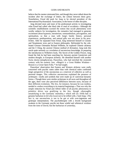believe that his mentor mistrusted him, and though they never talked about the incident after the exchange of letters, the schism between them grew. Nonetheless, Freud did push for Jung to be elected president of the International Psychoanalytic Association, to the horror of other disciples.

Jung devoted more and more of his professional activity to investigating what Freud had called »the black tide of mud of occultism.« Although the scientific establishment scorned the notion that occult phenomena were worthy subjects for investigation, the romantics had managed to generate excitement about hypnosis, mesmerism, somnambulism, precognition, and spiritualism, so that a man with Jung's family history, personal experiences, predisposition, and natural gifts was not alone in his proclivities. After he separated from Freud, Jung immersed himself in Gnostic and Neoplatonic texts and in Eastern philosophy. Befriended by the celebrated German Orientalist Richard Wilhelm, he explored Chinese alchemy and the I Ching, the ancient Chinese method of divination. Jung took this oracle quite seriously as a revelation of unconscious knowledge. In preparing the introduction to Wilhelm's book, The Secret of the Golden Flower, Jung found the link he had been searching for, between ancient Gnosticism and modern thought, in European alchemy. He identified himself with another Swiss doctor-metaphysician, Paracelsus, who had enriched the sixteenth century with his esoteric lore. »Magick is a Great Hidden Wisdom— Reason is a Great Open Folly,'\* he had taught.

Paracelsus' observation that Eastern and Western alchemy were really concerned with psychic states rather than with chemical states confirmed Jung's perspective of the unconscious as a reservoir of collective as well as personal images. This collective unconscious explained the presence of archetypes—myths and symbols that were made up of »universal dynamic forms.« Though there were similar archetypes in all races and throughout all the ages, there were also perceived differences between races, because of their different evolutions. The Jew, for instance, because he was rootless, needed to »reduce everything to its material beginnings.« That was why the simple reduction by Freud and Alfred Adler of all psychic phenomena to primitive drives was gratifying to the Jew, though »thoroughly unsatisfying to the Germanic mentality,« which still (in 1918) had »a genuine barbarian in [it] who [was] not to be trifled with.« Said Jung: »The fact is, our unconscious is not to be got at with over-ingenious and grotesque interpretations. The psychotherapist with a Jewish background awakens in the Germanic psyche not those wistful and whimsical residues from the time of David, but the barbarian of yesterday,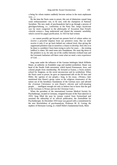a being for whom matters suddenly become serious in the most unpleasant way....«

By the time the Nazis came to power, this sort of distinction caused Jung some embarrassment—not, to be sure, with the champions of National Socialism. The new study of psychoanalysis had to go through a process of gleichgeschaltung, i.e., conformity to the Party line. Jung's mysticism was far more congenial to the philosophy of Aryanism than Freud's »Jewish science.« Jung understood and shared the romantic sensibility which craved for pagan purification. In 1923 he had written:

... we cannot possibly get beyond our present level of culture unless we receive a powerful impetus from our primitive roots. But we shall receive it only if we go back behind our cultural level, thus giving the suppressed primitive man in ourselves a chance to develop. How this is to be done is a problem I have been trying to solve for years. ... the existing [edifice] is rotten. We need some new foundations. We must dig down to the primitive in us, for only out of the conflict between civilized man and the Germanic barbarian will there come what we need: a new experience of  $God. \ldots$ 

Jung came under the influence of the German Indologist Jakob Wilhelm Hauer, an authority on Kundalini yoga and number-symbolism. Hauer was head of the Nordic Faith movement, which barred Freemasons, Jews, and colored people from membership. He lectured at Eranos, a Swiss esoteric school for Jungians, on the racial unconscious and its symbolism. When the Nazis came to power, he gave an impassioned talk on the SS hero and Hitler, the »genius of our people.« Jung, in his essay, »Wotan,« later mentioned that Hauer's group »aims at the religious renaissance of the nation out of the hereditary foundations of the German race« and advised the »German Christians« to join Hauer's »decent and well-meaning people . . . intelligent enough not only to believe but to know that the god of the Germans is Wotan and not the Christian God.«

When the president of the international German Medical Society for Psychotherapy, located in Germany, resigned because of the Nazi takeover in 1933, Jung filled the post by remote control from Switzerland and assumed the editorship of its official publication, the Zentralblatt fur Psychotherapie. Its December 1933 issue was graced with a commitment by the new Reichsfuhrer of psychoanalysts, Professor M. H. Goring, the nephew of Hermann Goring, to »Adolf Hitler's fundamental book, Mein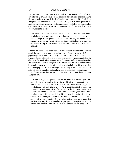Kampf« and »to contribute to the work of the people's chancellor to educate the German people for the spirit of heroism and sacrifice.« And Goring gratefully acknowledged: »Thanks to the fact that Dr. C. G. Jung accepted the presidency on June 21st, 1933, it has been possible to continue the scientific activity of the Association and of its periodical.« For that same issue, Jung wrote an introduction which he later had many opportunities to defend:

The differences which actually do exist between Germanic and Jewish psychology and which have long been known to every intelligent person are no longer to be glossed over, and this can only be beneficial to science. In psychology more than in any other science there is a »personal equation,« disregard of which falsifies the practical and theoretical findings.

Though he went on to state that he was no more depreciating »Semitic psychology« than he would if he talked of the Chinese in terms of Oriental psychology, his editorial in no way hurt him with the Nazis. The General Medical Society, although international in membership, was dominated by the Germans. Its publication was put out in Germany, and the managing editor and staff were German. Jung had given orders that the issue which caused him such embarrassment be »for exclusive circulation in Germany,« but the managing editor had disobeyed him. Jung said: »The incident is naturally so incriminating as to put my editorship seriously in question.«

But he defended his position in the March 28, 1934, letter to Max Guggenheim:

If you disregard the persecutions of the Jews in Germany, you must admit that there is a medical Society there which is very important for us in Switzerland. It is therefore not a matter of indifference what happens to psychotherapy in that country. . . . As a psychotherapist I cannot be indifferent to the future of psychotherapy. Its development in Germany will also be crucial for us. Freud once told me, very rightly: »The fate of psychotherapy will be decided in Germany.« To begin with it was doomed to absolute perdition because it was considered wholly Jewish. I have broken this prejudice by my intervention and have made life possible not only for the so-called Aryan psychotherapists but for the Jewish ones as well. What with the hue and cry against me it has been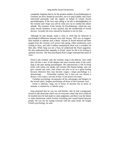completely forgotten that by far the greatest number of psychotherapists in Germany are Jews. People do not know, nor is it said in public, that I have intervened personally with the regime on behalf of certain Jewish psychotherapists. If the Jews start railing at me this is shortsightedness in the extreme and I hope you will do what you can to combat this idiotic attitude. The existence of the Society for Psychotherapy, which has very many Jewish members, is now assured, also the membership of Jewish doctors. Actually the Jews should be thankful to me for that....

Although he had already made it clear in 1918 that he believed in psychological differences between Jews and Aryans, 1933 was an inopportune moment to reiterate such a thesis. Anyone of Jewish descent had been purged from the German civil service that spring. Other professions were closing to Jews, and with 6 million unemployed, there was a scramble for their jobs. While Jung was not a Nazi, he understood the Nazis' paganism. He also understood their antipathy to Freud, whom he felt to be lacking in spiritual concerns. The Nazi psychiatrist Kurt Gauger reiterated this point of view:

Freud is the scientist, only the scientist: Jung is the ethician. One could also call him a seer, in the deepest and most reverent sense of the word. Jung is the poet among psychologists. His subconscious is full of living forms with whom one speaks and consorts like human beings, who can give counsel and warn, with whom one tries to be on a good footing because otherwise they may become »angry.« Jung's psychology is a demonology. . . . Primordial wisdom has it that one can disarm a demon, even make a servant of him, if one knows his name....

Freudian psychology incorporates all the advantages and dangers of the Jewish spirit, Jungian psychology all those of the Germanic soul.

Freud is atheistic; Jung, not in terms of doctrine but in terms of attitude, is marked by a Catholic piety. . . .

Jung protested that he was not anti-Semitic, that he had courageously chosen to talk about that which was on everyone's mind, that Jews could not be insulted since he had made no value judgments, and that it was the failure to make distinctions which leveled everything and caused hatred between people. He was not for tarring everyone with the same brush. He fought Freud's psychology, he said,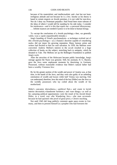because of his materialistic and intellectualistic and—last but not leastirreligious attitude and not because he is a Jew. Insofar as his theory is based in certain respects on Jewish premises, it is not valid for non-Jews. Nor do I deny my Protestant prejudice. Had Freud been more tolerant of the ideas of others I would still be standing by his side today. I consider his intolerance—and it is this that repels me—a personal idiosyncrasy. . . . Infinite nuances are needed if justice is to be done to human beings.

To »accept the conclusions of a Jewish psychology,« then, »as generally valid,« was a »quite unpardonable mistake.«

Jung's branding of Freud's psychoanalysis—a technique evolved out of this »Jewish psychology«—as a »Satanic« doctrine capable of »murdering souls« did not injure his growing reputation. Many famous artists and writers had flocked to him for soul salvation. In 1939, the Mellons were converted. Andrew Mellon's interest in the occult resulted in a huge collection of books on the subject, stretching back to antiquity, which he donated to Yale. The Mellons set up the Bollingen Foundation to publish Jung's work.

After the atrocities of the Holocaust became public knowledge, Jung's outrage against the Nazis was genuine. Still, his assistant, H. G. Baynes, gave the Jews some unpleasant moments by theorizing, in Germany Possessed, without reasonable evidence that Hitler's natural father had been a wealthy Viennese Jew:

By far the greater portion of the wealth and power of Austria was, at that time, in the hands of the Jews, and they were also guilty of an unfeeling ostentation of wealth and luxury while half Vienna was starving. One can understand, therefore, how the mind of the boy [Hitler] saw the Jews as the worldly possessors who lay coiled about the wealth of his motherland.

Hitler's »uncanny shrewdness,« »political flair,« and »taste in lavish interior decoration,«»handsome furniture,« and »rare things,« as well as his »amazing political opportunism« were the result of his Jewish blood. Hitler, in a word, was »the Wandering Jew, « »the man accursed « because he had spurned »the jewel of great price,« Christ's teaching.

Not until 1945 did Jung publicly comment again upon events in Germany, and then to present himself as a prophet who had foreseen the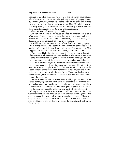»collective psychic murder.« Now it was the »German psychology« which he dissected. The German, charged Jung, instead of purging himself by admitting his guilt, shifted his responsibility for the crime and refused even to acknowledge that he had ever been a Nazi. He »dolled up« his inferiority feeling with »pseudo-scientific race-theory,« which »did not make the extermination of the Jews any more acceptable.«

About his own collusion Jung said nothing.

Criticism for his aid to the cause of what he believed would be a »Germanic, Jew-free psychotherapy« has now died down, and in the present atmosphere of receptivity to occultism, his ideas, books, and disciples are in the vanguard, enjoying great prestige.

It is difficult, however, to accept his defense that he was simply trying to save a young science. The December 1933 Zentralblatt issue occasioned a number of alarmed letters from colleagues. His answer to Max Guggenheim, on March 28, 1934 (see above), was representative.

What is more likely, the reigning attitudes in Germany expressed mystical affinities with which Jung was very much at home. There were several areas of compatibility between Jung and the Nazis: alchemy, astrology, the Grail legend, the symbolism of the runes, medieval mysticism, anti-bolshevism, and so forth. His high degree of tolerance for the »shadow« side of human nature, a necessary complement to reason, may have caused him to cast the Nazis in a romantic light. Like them, he was not afraid to explore the hidden recesses of the unconscious for ancient secrets so great and fearful, as he said, »that the world is grateful to Freud for having proved 'scientifically' (what a bastard of a science!) that one has seen nothing behind [the door]....«

The Nazis were the new barbarians who would purge civilization of its clotted, stultifying elements. They were the antidote to the civilized man, who had advanced too rapidly, »which is why we have become lopsidedly intellectualistic and rationalistic and have quite forgotten that there are other factors which cannot be influenced by a one-track rational intellect.«

If Jung was able, at least for a while, to add his prestige to the Nazis' weltanschauung, it was because of their common occult ground. His thinking rendered him susceptible to their apocalyptic visions of Hitler as a magical shaman with a spiritual mission. To the extent that he enhanced their credibility, if only in their own minds, he strengthened faith in the »hero cult.«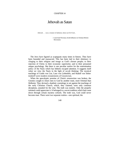#### CHAPTER 14

### Jehovah as Satan

Jehovah . . . was a creature of darkness, hence an Evil God...

—Louis Israel Newman, Jewish Influence on Christian Reform Movements

The Jews have figured as scapegoats many times in history. They have been hounded and massacred. This has been laid to their obstinacy in clinging to their religion and image as God's chosen people; to their rejection of Christ; to their economic superiority; and to their presumed unique psychology. But there is one peculiar motive for the extermination policy of the Nazis which has hitherto escaped attention. It suggests itself when we view the Nazis in the light of occult thinking: The mystical teachings of Guido von List, Lanz von Liebenfels, and Rudolf von Sebottendorff were modern restatements of Gnosticism.

When the apocalyptic promise of Christ's resurrection was broken, the Gnostics sought to return men to God by another route, more Oriental than Hellenist. They devised a dualistic cosmology to set against the teachings of the early Christian Church, which, they claimed, were only common deceptions, unsuited for the wise. The truth was esoteric. Only the properly initiated could appreciate it. It belonged to a secret tradition which had come down through certain mystery schools. The truth was, God could never become man. There were two separate realms—one spiritual, the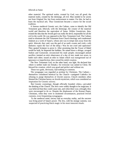other material. The spiritual realm, created by God, was all good; the material realm, created by the demiurge, all evil. Man needed to be saved, not from Original Sin, but from enslavement to matter. For this, he had to learn the mystical arts. Thus Gnosticism became a source for the occult tradition.

A famous medieval Gnostic sect, the Cathars, came to identify the Old Testament god, Jehovah, with the demiurge, the creator of the material world and therefore the equivalent of Satan. Within Gnosticism, then, existed the idea that the Jewish god was really the devil, responsible for all the evil in the world. He was opposed to the New Testament God. The Cathars tried to eliminate the Old Testament from Church theology and condemned Judaism as a work of Satan's, whose aim was to tempt men away from the spirit. Jehovah, they said, was the god of an earth »waste and void,« with darkness »upon the face of the deep.« Was he not cruel and capricious? They quoted Scripture to prove it. After promising that the Tower of Babel would be built, he dispersed the builders. He rained down a deluge; ravaged Sodom and Gomorrah; circumcised his male people; encouraged animal sacrifice; insisted on strict observance of a day of rest; made two sexes, to battle each other; issued an edict to Adam which was transgressed out of ignorance or imperfection, then cursed his sinful creation.

The New Testament God, on the other hand, was light. He declared that »there is neither male nor female,« for everyone was united in Christ. He blessed his creation, which was good and perfect and without sin.

These two gods, obviously, had nothing in common.

The synagogue was regarded as profane by Christians. The Cathars themselves considered heretical by the Church—castigated Catholics for refusing to purge themselves of Jewish sources; Church members often blamed the Christian heresy on Jewish mysticism, which was considered an inspiration for Gnostic sorcery.

But Gnostic cosmology, though officially branded »false,« pervaded the thinking of the Church. The Jews were widely thought to be magicians. It was believed that they could cause rain, and when there was a drought, they were encouraged to do so. Despite the displeasure of the Roman Popes, Christians, when they were in straitened circumstances, practiced Jewish customs, even frequenting synagogues.

To the medieval mind, sorcery had an everyday reality, and the sorcerer was living proof of Satan's power. The Jew, with his strange customs, was suspected of practicing black magic in his most innocent rituals.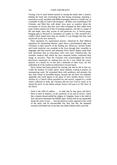Tossing a bit of earth behind oneself or rinsing the hands after a funeral; binding the head and overturning the bed during mourning; attaching a mezuzah (a scroll, inscribed with Biblical passages, placed in a small case, as a reminder of faith in God) to the doorpost—all these were mystifying to the Christian, and filled him with dread. Jews grew so sensitive about the accusations of sorcery that they were often exempted by their rabbis from some of their customs out of fear of arousing suspicion, »for this is a matter of life and death, since they accuse us and persecute us.« A Jewish group, bringing gifts to Richard I's coronation in London in 1189, touched off a conflict which lasted more than six months. It was thought that they used witchcraft on the new monarch.

Their reputation for supernatural powers—enhanced by their Biblical reputation for interpreting dreams—gave them a psychological edge over Christians in their practice of the healing arts. Moreover, ancient Arabic and Greek medicine was available to the Jews through their versatility in languages and their travels; and immunity from Church dogma made them look elsewhere than to miraculous relics and cures. Paradoxically, the scientific medical skill which the Jews amassed further confirmed their image as sorcerers. Thus the Christian who acknowledged the Jewish physician's superiority by seeking him out for a cure risked the consequences of a mortal sin. In this and a multitude of other ways, the Jew embodied all of the medieval ambivalence toward Satan.

Never before had Satan played the starring role that he did in that era. Under the shadow of Gothic spires, Satan skulked, waiting to pounce on unsuspecting souls. He tormented them with pestilence and portents, but also with visions of incredible beauty, because the old devil was infinitely adaptable and could appear in the guise of one's fondest dream. Terrorstricken by a Church which preached sin and sorrow, trapped in a world which wallowed in both, the Christian did not love God so much as he feared the devil. As the Italian scholar Arturo Graf puts it in The Story of the Devil:

Satan is the child of sadness ... in order that he may grow and thrive, there is need of shadows, of the mysteries of sin and of sorrow, which like a funeral shroud enfold the religion of Golgotha. Satan is the child of fear; and terror dominates the Middle Ages. Seized with an unconquerable dread, the souls of men . . . fear the physical world, opposed to the world of the spirit, and its irreconcilable foe; they fear life, the perpetual incentive and tinder-box of sin; they fear death, behind which yawn the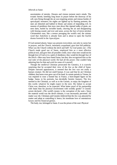uncertainties of eternity. Dreams and visions torment men's minds. The ecstatic hermit, kneeling long hours in prayer before the doorway of his cell, sees flying through the air awe-inspiring armies and riotous hordes of apocalyptic monsters; his nights are lighted up by flaming portents; the stars are distorted and bathed in blood, sad omens of impending evil. In seasons of pestilence that mow men down like ripened stalks of grain, are seen darts, hurled by invisible hands, cleaving the air and disappearing with hissing sound; and ever and anon, across the face of terror-stricken Christendom runs, like a tremor presaging the world's end, the sinister word that Antichrist is already bom and is about to open the fearful drama foretold in the Apocalypse.

If God seemed absent, Satan was present everywhere, not only in curses but in prayers, and the Church, intimately acquainted, gave him full publicity. What was the Church without the devil and hell? As Graf points out: »The Church made good use of Satan, employed him as a most effective political tool, and gave him all possible credit; since what men would not do through love of God or in a spirit of obedience, they would do through fear of the Devil.« Men may have hated Satan, but they also recognized him as the real ruler of the physical world. He had all the power. One couldn't help admiring him for that and wish for some of it oneself.

Though the medieval Christian persecuted the Gnostics, it is scarcely surprising that he accepted their view of the Jew as the child of Satan. Despite outward appearances, it seemed that the Jew was not really a human creature. He did not smell human. It was said that he ate Christian children; that horns even grew out of his head. In certain periods in Vienna, he was required to wear a homed hat; in France, a horn-shaped figure on his badge. Satan, in his portraits, has decidedly Semitic features. The Jew seemed to the Christian, as well as to the Gnostic, to enjoy the kingdom of this world, whatever he might expect in the next. His failure to accept Christ was, therefore, to be expected. What better proof of his partnership with Satan than his practical involvement with worldly goods? A Gnostic axiom declared: »The world's money is the corruption of the soul.« Since the material world was the devil's domain, it was necessarily perverted. All matter was vile. Christians and Gnostics believed that the Jew was attracted by matter and adept at controlling it: hence, his inordinate love of ostentatious luxury and his financial genius.

The body, too, belonged to Satan. It was the prison of the soul. Physical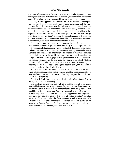man was a brute—one of Satan's nicknames was God's Ape—and it was through the passions, particularly sex, that man's greatest demonic temptations came. Here, also, the Jew was considered the exemplary demonic being, living only for his appetites, not the least the sexual appetite. The simplest way for the devil to invade souls was through possession, and the most intimate form of possession was through sexual intercourse. It was not uncommon for the devil to unite himself with human beings this way, and all the evil in the world was proof of the number of diabolical children thus begotten. Furthermore, in the Gnostic view, procreation itself was always evil. Since matter was Satan's creation, the struggle against evil could only triumph, ultimately, with the cessation of new life. This was too much to ask of weak mortals, but it was a direction toward which to tend.

Gnosticism, going by name of Hermetism in the Renaissance and Reformation, practiced magic and meditation to try to free the spirit from the body. The Age of Enlightenment was not particularly hospitable to the occult tradition, but Gnosticism found new advocates among nineteenth-century Germans. The original »fall into matter,« the creation of Jehovah, which had unloosed all the evil in the world, was now given a »scientific« explanation, in light of Darwin's theories; popularizers gave the layman to understand that the inequality of races was due to a tragic flaw carried in the blood. Madame Blavatsky held, in The Secret Doctrine, that the Gnostics »were right in regarding the Jewish God as belonging to a class of lower, material and not very holy denizens of the invisible world.

». . .For the creation of those wretched races, in a spiritual and moral sense, which grace our globe, no high divinity could be made responsible, but only angels of a low hierarchy, to which class they relegated the Jewish God, Jehovah.« [italics hers.]

The Jewish God, furthermore, was identical with Cain, Son of Eve by Satan, said Madame Blavatsky.

The anti-Semites embraced this with glee, and the concept of Aryanism was wedded to the forces of light. Nature, they said, decreed that the union of Aryan and Semite resulted in a hybrid monstrosity, psychically sterile. Since »bad blood drives out good,« an Aryan woman mating with a Jew was sure to bear only Jewish children. Proponents of hypnotism and suggestion accounted for »Jewish« traits by the observation that a mother's thoughts were mentally transmitted to the fetus. »Nature is and remains essentially aristocratic and punishes implacably all attempts upon the purity of the blood,« said Ludwig Buchner. The Jews were originally a crossbreed, argued Houston Stewart Chamberlain, and »their existence is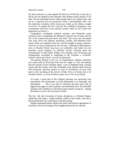sin, their existence is a crime against the holy laws of life; this, at any rate, is felt by the Jew himself in the moments when destiny knocks heavily at his door. Not the individual but the whole people had to be washed clean, and not of a conscious but an unconscious crime.« Anti-Semitism, then, was the instinctive »wisdom« of the Aryan race, which, as the »fittest,« sought to survive. To explain the Jew's survival, his »inability to disappear,« one commentator fell back on his material wealth, which he hid »under the appearance of misery.«

Geographers, sociologists, political scientists, and Orientalists made common cause in attributing the differences between the German and the Jew to the contrast between desert and forest. The racial soul, developed over eons, led to the softness, parasitism, sterility, and alienation from nature which was manifest in the Jew, and the strength, courage, creativity, and love of nature displayed by the German. »Biological philosophers« such as Theodor Fritsch, Jorg Lanz von Liebenfels, and Guido von List preached »racial hygiene« to inflamed Aryans worrying about the contamination of their blood. Within a few decades, men of learning and propagandists succeeded in implanting in the Germans a »scientific racism« which gave them a warrant for genocide.

The greatest obstacle in the way of extermination, religious sentiment, was swept aside by divorcing Jesus from his origin as a Jew and making him the ancestor of the Germanic tribes, a sort of Siegfried-Christ. German racists took the Gnostic view that Christianity must separate itself from the Old Testament, and they printed »a mass of 'revelations' of every kind (such as the 'unveiling of the secrets' of Holy Writ or of Runic lore or of Paradise itself),« as Leon Poliakov points out in The Aryan Myth.

Of course, a great deal of this religious questing was associated with speculations and experiments in occult phenomena or in theosophy and spiritualism. . . . But it was only in Germany that they took such an aggressively pagan as well as patriotic and nationalistic turn. The inevitable spongers who climbed on to the band-wagon earned a living by... forging documents to prove the Aryanism of Jesus.

The Jew, »the devil incarnate of human decadence,« as Richard Wagner called him, had made a »Judaeo-barbaric jumble of the world,« and only a blood purification rite would keep civilization going.

Wagner transposed esoteric themes into music and turned on generations of Germans to the real meaning of the struggle between the Jew and the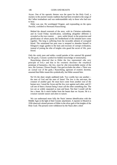Aryan. One of his operatic themes was the quest for the Holy Grail, a mystery in the ancient Gnostic tradition that had been revealed in the songs of the Cathar troubadours and was understandable only to those who had ears to hear.

Hitler was one. He worshipped Wagner, and expounding on the opera Parsifal, confided to Hermann Rauschning:

Behind the absurd externals of the story, with its Christian embroidery and its Good Friday mystification, something altogether different is revealed as the true content. . . . pure, noble blood, in the protection and glorification of whose purity the brotherhood of the initiated have come together. The king is suffering from the incurable ailment of corrupted blood. The uninitiated but pure man is tempted to abandon himself in Klingsor's magic garden to the lusts and excesses of corrupt civilization, instead of joining the elite of knights who guard the secret of life, pure blood.

Only the »truly pure and noble« would partake of the »eternal life granted by the grail,« Gnostic symbol for hidden knowledge of immortality.

Rauschning observed that to Hitler the Jew represented »the very principle of evil,« and that in his »esoteric doctrine« the »mythical prototype of humanity,« the Jew, must be »the irreconcilable enemy of the new, the German, Chosen People. One god excludes the other.« There was an »actual war of the gods.« Rauschning, ignorant of esoteric doctrine, assumed that Hitler meant this symbolically, but Hitler assured him:

No! It's the sheer simple undiluted truth. Two worlds face one another the men of God and the men of Satan! The Jew is the anti-man, the creature of another god. He must have come from another root of the human race. I stood the Aryan and the Jew over against each other, and if I call one of them a human being I must call the other something else. The two are as widely separated as man and beast. Not that I would call the Jew a beast. He is much further from the beasts than we Aryans. He is a creature outside nature and alien to nature.

We can understand more fully the Nazis' intense identification with the Middle Ages in the light of their Gnostic attachment. A reporter in Munich in 1936 observed colored pictures of Hitler in the silver garb of the knights of the Holy Grail. The pictures were withdrawn by the Nazis after a short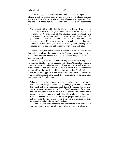while. SS training classes presented material on the Grail, on knighthood, on alchemy, and on Gnostic history. Nazi antipathy to the Church confused Christians, who failed to recognize in the reference to a paganized Christ the ancient Gnostic heresy. As Hitler told Goebbels in Rauschning's presence:

The peasant will be told what the Church has destroyed for him: the whole of the secret knowledge of nature, of the divine, the shapeless, the daemonic. ... We shall wash off the Christian veneer and bring out a religion peculiar to our race. And this is where we must begin. Not in the great cities. . . . There we shall only lose ourselves in the stupid godless propaganda of the Marxists: free sex in nature and that sort of bad taste. The urban masses are empty. Where all is extinguished, nothing can be aroused. But our peasantry still lives in heathen beliefs and values. ...

Most important, the central doctrine of nazism, that the Jew was evil and had to be exterminated, had its origin in the Gnostic position that there were two worlds, one good and one evil, one dark and one light, one materialistic and one spiritual.

This sheds light on an otherwise incomprehensible recurring theme within Nazi literature, as, for example, »The Earth-Centered Jew Lacks a Soul,« by one of the chief architects of Nazi dogma, Alfred Rosenberg, who held that whereas other people believe in a Hereafter and in immortality, the Jew affirms the world and will not allow it to perish. The Gnostic secret is that the spirit is trapped in matter, and to free it, the world must be rejected. Thus, in his total lack of world-denial, the Jew is snuffing out the inner light, and preventing the millennium:

Where the idea of the immortal dwells, the longing for the journey or the withdrawal from temporality must always emerge again; hence, a denial of the world will always reappear. And this is the meaning of the non-Jewish peoples: they are the custodians of world-negation, of the idea of the Hereafter, even if they maintain it in the poorest way. Hence, one or another of them can quietly go under, but what really matters lives on in their descendants. If, however, the Jewish people were to perish, no nation would be left which would hold world-affirmation in high esteem—the end of all time would be here.

... the Jew, the only consistent and consequently the only viable yea-sayer to the world, must be found wherever other men bear in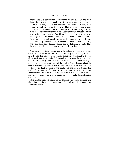#### 148 GODS AND BEASTS

themselves ... a compulsion to overcome the world. ... On the other hand, if the Jew were continually to stifle us, we would never be able to fulfill our mission, which is the salvation of the world, but would, to be frank, succumb to insanity, for pure world-affirmation, the unrestrained will for a vain existence, leads to no other goal. It would literally lead to a void, to the destruction not only of the illusory earthly world but also of the truly existent, the spiritual. Considered in himself the Jew represents nothing else but this blind will for destruction, the insanity of mankind. It is known that Jewish people are especially prone to mental disease. »Dominated by delusions,« said Schopenhauer about the Jew. ... To strip the world of its soul, that and nothing else is what Judaism wants. This, however, would be tantamount to the world's destruction.

This remarkable statement, seemingly the rantings of a lunatic, expresses the Gnostic theme that the spirit of man, essentially divine, is imprisoned in an evil world. The way out of this world is through rejection of it. But the Jew alone stands in the way. Behind all the talk about »the earth-centered Jew« who »lacks a soul«; about the demonic Jew who will despoil the Aryan maiden; about the cabalistic work of the devil in Jewish finance; about the sinister revolutionary Jewish plot to take over the world and cause the decline of civilization, there is the shadow of ancient Gnosticism. The medieval concept of the Jew as sorcerer was apparent in Hess's announcement, after his capture by the British, that the Jews were in possession of a secret power to hypnotize people and make them act against their will.

And like the medieval inquisitors, the Nazis felt no qualms of conscience about burning the Satanic Jews. Only, they substituted crematoria for fagots and stakes.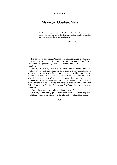#### CHAPTER 15

# Making an Obedient Mass

The Germans are vigorously submissive. They employ philosophical reasonings to explain what is the least philosophic thing in the world, respect for force and the fear which transforms that respect into admiration.

—Madame de Stael

It is too easy to say that the German soul was predisposed to totalitarianism. Even if the people were inured to submissiveness through iron discipline for generations, they were never, before Hitler, genocidal maniacs.

Since World War II, several books have appeared which, while not dealing directly with the Nazis, are of invaluable aid in explaining how ordinary people can be transformed into automata, devoid of conscience or reason. They help us to understand, not only the Nazis, but millions of disciples of movements in Western countries today who, almost overnight, are weaned from their customary behavior and attachments and indoctrinated with irrational beliefs. They are The True Believer by Eric Hoffer, The Mind Possessed by William Sargant, and The Rape of the Mind by Joost Meerloo.

What is the formula for producing pliant followers?

Take people, not wholly preoccupied with subsistence, who despair of being happy either in the present or in the future. They feel the sharp cutting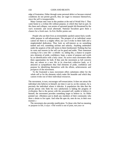edge of frustration. Either through some personal defect or because external conditions do not permit growth, they are eager to renounce themselves, since the self is insupportable.

Many German men were in this position at the end of World War I. They came home to a civilian life without purpose, in which they had no part. In the chaos and collapse, vast armies of uprooted people felt threatened by the war's economic and social aftermath. National Socialism gave them a chance for a fresh start. As Eric Hoffer points out:

People who see their lives as irremediably spoiled cannot find a worthwhile purpose in self-advancement. The prospect of an individual career cannot stir them to a mighty effort, nor can it evoke in them faith and a singleminded dedication. They look on self-interest as on something tainted and evil; something unclean and unlucky. Anything undertaken under the auspices of the self seems to them foredoomed. Nothing that has its roots and reasons in the self can be good and noble. Their innermost craving is for a new life—a rebirth—or, failing this, a chance to acquire new elements of pride, confidence, hope, a sense of purpose and worth by an identification with a holy cause. An active mass movement offers them opportunities for both. If they join the movement as full converts they are reborn to a new life in its close-knit collective body, or if attracted as sympathizers they find elements of pride, confidence and purpose by identifying themselves with the efforts, achievements and prospects of the movement.

To the frustrated a mass movement offers substitutes either for the whole self or for the elements which make life bearable and which they cannot evoke out of their individual resources.

The movement, in turn, encourages self-renunciation. It does not attract the individual who believes in himself, nor does it care to; on the contrary, he is precisely the individual whom it ridicules. It popularizes the idea that the private person who finds his own satisfactions is halting the progress of civilization. But to the person with the unwanted self, unable to believe in himself, the movement provides something larger to believe in. As Hitler pointed out: »Monkeys put to death any members of their community who show a desire to live apart. And what the apes do, men do too, in their own manner.«

The movement also provides justification. To those who find no meaning or purpose in life, it says: »The world is out of joint, not you« or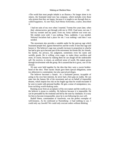»The world that most people inhabit is an illusion.« No longer alone in its misery, the frustrated mind now has company, which includes even those who protest that they are happy, because it is taught to see through that socalled happiness. As one Nazi, Karl-Heinz Schwenke, a tailor, described it:

I had ten suits of my own when I married. Twenty-five years later, when their »democracies« got through with me in 1918, I had none, not one. I had my sweater and my pants. Even my Army uniform was worn out. My medals were sold. I was nothing. Then, suddenly, I was needed. National Socialism had a place for me. I was nothing—and then I was needed.

The movement also provides a suitable outlet for the pent-up rage which frustrated people feel, against themselves and the world. It fans that rage and honors it. The believer's rage may actually increase in proportion to what he has had to give up to become part of the movement: his former life, his friends, his family, his privacy, his judgment, sometimes even his name and worldly goods. He is willing, even eager, to make these sacrifices and more, of course, because by making them he can slough off the undesirable self. He receives, in return, an artificial sense of worth. His stature grows through involvement with the group. He is assured that he is great, one of the chosen.

SS men were held together by the idea that they were a sworn brotherhood of the elect. Their mystic rituals gave them special obligations, some too abhorrent to contemplate, but also special privileges.

The believer becomes a fanatic. As a frustrated person, incapable of acting in his own best interests, he never had a firm grip on reality. He can enter into the fantasy life of the movement and act on behalf of impossible dreams, which impose less risk on his fragile ego than he would encounter if he were to tussle with personal hurdles. He gets a sense of omnipotence, too, from tackling world-shaking tasks.

Running away from an acceptance of his own nature and the world as it is, the believer is prone to credulity. He believes because it is impossible. He can be persuaded by the irrational and led by the nose by charlatans. It is easy for him to become irresponsible, since he is not following his own will.

Rudolf Hoess, commandant of Auschwitz, was the perfect exemplar of will-lessness. As he confessed at Nuremberg: »I had nothing to say. I could only say Jawohl! We could only execute orders without thinking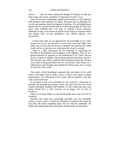about it. . . . from our entire training the thought of refusing an order just didn't enter one's head, regardless of what kind of order it was.«

Since life has been irremediably spoiled for the believer, he has relatively little hesitation about spoiling it for others. This gives him an advantage. He can be unscrupulous under the disguise of idealism. His self-righteousness permits him to convince himself that he is destroying people for their own good. Josef Goebbels felt it his duty »to unleash volcanic passions, outbreaks of rage, to set masses of people on the march, to organize hatred and despair with ice-cold calculation.« Eric Hoffer explains such inhumanity:

It seems that when we are oppressed by the knowledge of our worthlessness we do not see ourselves as lower than some and higher than others, but as lower than the lowest of mankind. We hate then the whole world, and we would pour our wrath upon the whole of creation.

There is a deep reassurance for the frustrated in witnessing the downfall of the fortunate and the disgrace of the righteous. They see in a general downfall an approach to the brotherhood of all. Chaos, like the grave, is a haven of equality. Their burning conviction that there must be a new life and a new order is fueled by the realization that the old will have to be razed to the ground before the new can be built. Their clamor for a millennium is shot through with a hatred for all that exists, and a craving for the end of the world.

This recalls Alfred Rosenberg's argument that »the denial of the world needs a still longer time in order to grow so that it will acquire a lasting predominance over affirmation of the world,« and his equation of the Jew with world affirmation.

To be bored is also to be potentially an easy mark for a movement. It provides the meaning and purpose which are gone from the life of the isolated individual, burdened with freedom. As one young Nazi put it just before World War n, »We Germans are so happy. We are free of freedom.«

What sort of social milieu is it that breeds people who want to be free of freedom?

Precisely that which has increasingly prevailed since the nineteenth century: a mass society in which the individual is atomized and counts for very little. He stands completely alone. His ties with the community, the family, the kinship group have been broken. Paradoxically, he needs them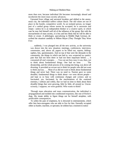more than ever, because individual life becomes increasingly absurd and incoherent the more mass society advances.

Uprooted from village and ancestral loyalties and shifted to the anonymous city, the individual suffers culture shock: The old values are out of place in the hostile, competitive world. As an isolated person, no longer part of a settled group whose norms he accepted, he is uncertain and empty—unless he is an independent thinker or a creative spirit, in which case he may feel himself well rid of the influence of the group. But with the encroachment of mass society, it is less and less likely that he will be able to think or create. A philologist, specializing in Middle High German, described the situation candidly to Milton Mayer (They Thought They Were Free:

. . . suddenly, I was plunged into all the new activity, as the university was drawn into the new situation; meetings, conferences, interviews, ceremonies, and, above all, papers to be filled out, reports, bibliographies, lists, questionnaires. And on top of that were the demands in the community, the things in which one had to, was »expected to« participate that had not been there or had not been important before. ... it consumed all one's energies. . . . You can see how easy it was, then, not to think about fundamental things. One had no time. . . . The dictatorship, and the whole process of its coming into being, was above all diverting. It provided an excuse not to think for people who did not want to think anyway. . . . Most of us did not want to think about fundamental things and never had. There was no need to. Nazism gave us some dreadful, fundamental things to think about—we were decent people and kept us so busy with continuous changes and »crises« and so fascinated, yes, fascinated, by the machinations of the »national enemies,« without and within, that we had no time to think about these dreadful things that were growing, little by little, all around us. Unconsciously, I suppose, we were grateful. Who wants to think?

Through mass education and mass communication, the individual is propagandized and molded into conditioned responses, like one of Pavlov's dogs. His innate ability to figure things out for himself atrophies, with predictable consequences.

To soften the pain of emptiness, he is drowned in entertainments, which offer him hero-surrogates who are able to live for him. Eternally occupied either as hustler, machine, or spectator, he seldom has a moment to notice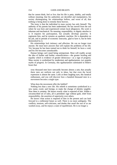that he cannot think, feel or live; that his life is petty, shabby, and totally without meaning; that his authorities are deceitful and manipulative, his society disintegrating, his relationships hollow, and worst of all, that nothing is being done to remedy these horrors.

The irony is that the individual in mass society has only himself. The authority of his parents has been undermined. He has moved from the soil where he was born and experienced certain local allegiances. His work is inhuman and mechanical. No meaning, responsibility, or dignity attaches to it. It requires his participation, but actually develops passivity. It regiments him, and he remains an apathetic machine. He is dependent on his job, and in periods of economic insecurity, glad to have it, but he feels diminished by it.

His relationships lack intimacy and affection. He can no longer trust anyone. He must have answers that will explain the problems of his life. Yet, because he has been trained not to think for himself, he faces a void, and his life becomes unendurable.

Human beings can't stand being unimportant. Most will readily accept the idea of further and further »massification«—the greater leveling and equality which is evidence of greater democracy—as a sign of progress. Mass society is symbolized by modernism and egalitarianism, two popular myths of progress. In Germany, this egalitarianism culminated in Hitler's boast that

sixty thousand men have outwardly become almost a unit, that actually these men are uniform not only in ideas, but that even the facial expression is almost the same. Look at these laughing eyes, this fanatical enthusiasm, and you will discover how a hundred thousand men in a movement become a single type.

What does the movement offer the faithful?

Nothing less than a new life. His rebirth is sometimes symbolized in a new name, exotic and foreign, to make the change of identity tangible. Now there is certainty. He knows exactly what is expected of him. Within a circumscribed set of rules, all is permitted: rage without guilt, relief from responsibility, the assertion of superiority over others.

He knows what action is required of him in the present and can look forward to a millennial future as well. There is no more ambiguity. The conflicts, tensions, self-criticisms, and doubts that assail the rest of us are washed away, and he enjoys a state of equilibrium. He is no longer a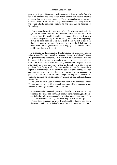passive participant. Righteously, he looks down at those whom he formerly felt to be superior. The same society which scorned him now is forced to recognize that his beliefs are important. The mass man becomes a power in the world. Rudolf Hess, the melancholy student who became deputy leader of the Third Reich, remained grateful to the end. As he testified at Nuremberg:

It was granted to me for many years of my life to live and work under the greatest son whom my nation has produced in the thousand years of its history. Even if I could I would not expunge this period from my existence. I regret nothing. If I were standing once more at the beginning I should act once again as I did then, even if I knew that at the end I should be burnt at the stake. No matter what men do, I shall one day stand before the judgment seat of the Almighty. I shall answer to him, and I know that he will acquit me.

In exchange for this miraculous transformation, the individual willingly subjects himself to a thorough brainwashing, through which his old beliefs and personality are eradicated. He may never be aware that he is being brainwashed. It may happen instantly or gradually, but he puts absolute trust in the leaders of the movement. The group becomes the good father he may never have had, the proxy whom he depends on to solve all his problems, the authority to which he owes obedience. From the moment he is captured, he identifies with the group and begins to think as they do. Their common undertaking insures that he will never have to shoulder any personal blame for failure or shortcomings. So long as he behaves according to the rules, he will be accepted. The rules are clear and consistent, or seem to be.

The Germans were used to compulsion from early childhood. Rudolf Hoess's reminiscence is fairly typical, and makes his subsequent acquiescence in running Auschwitz more plausible:

It was constantly impressed upon me in forceful terms that I must obey promptly the wishes and commands of my parents, teachers, priests, etc., and indeed of all grown-up people, including servants, and that nothing must distract me from this duty. Whatever they said was always right.

These basic principles on which I was brought up became part of my flesh and blood. I can still clearly remember how my father, who on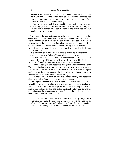account of his fervent Catholicism, was a determined opponent of the Reich Government and its policy, never ceased to remind his friends that, however strong one's opposition might be, the laws and decrees of the State had to be obeyed unconditionally.

From my earliest youth I was brought up with a strong awareness of duty. In my parents' house it was insisted that every task be exactly and conscientiously carried out. Each member of the family had his own special duties to perform.

The group is beyond criticism. Its realm is sacred. Even if a man has convictions which run counter to those of the movement, he can still be led to act in a manner which contradicts his own beliefs, either because his will is weak or because he is the victim of certain techniques which cause his will to be transcended. He can say, with Hermann Goring, »I have no conscience! Adolf Hitler is my conscience!« or »It is not I who live, but the Fuhrer who lives in me.«

It is important to examine these techniques if we are to understand how people can be made to follow a Fuhrer wherever he may lead.

The proselyte is isolated at first. No free exchange with unbelievers is allowed. He is cut off from ties of loyalty with the past. His family and friends are discredited. Feelings of exclusivity are encouraged.

His mind is barraged with repetitive propaganda until it is made weary. The indoctrination may go on uninterruptedly for sixteen hours or more a day, for weeks on end. Even if the proselyte rejects what he hears, argues against it, or falls into apathy, the Pavlovian conditioning ultimately seduces him, and he surrenders to the training.

Mechanical drill, rhythmical marches, dance rituals, and repetitive chanting are also effective in breaking down resistance.

The English psychiatrist William Sargant could better grasp how Hitler was able to bring even intelligent Germans into »a condition of intellectual and emotional subjection« through »mass rallies, marching and martial music, chanting and slogans and highly emotional oratory and ceremony« after witnessing the subservience of certain African tribes to their leaders and seeing their powerful initiation rites:

Whether in a »primitive« tribe or at school or in the army, the process is essentially the same. Severe stress is imposed on the new recruit, by subjecting him to arbitrary and frightening authority, by bewildering him, abusing or ill-treating him, by telling him that his old values and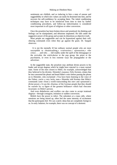sentiments are childish, and so inducing in him a state of unease and suggestibility in which new values can easily be drummed into him, and he recovers his self-confidence by accepting them. The initial conditioning techniques may have to be reinforced from time to time by further conditioning procedures, and follow-up indoctrination is considered most important in all types of religious or other conversion.

Once the proselyte has been broken down and sensitized, his thinking and feelings can be manipulated, and delusions implanted. He falls under the suggestive power of the group and accepts its distortions as objective truth.

Most people are suggestible and can be hypnotized against their will, obeying commands even when they go against the grain. Dr. Sargant observes:

It is not the mentally ill but ordinary normal people who are most susceptible to »brainwashing,« »conversion,« »possession,« »the crisis« . . . and who . . . fall readily under the spell of the demagogue or the revivalist, the witch-doctor or the pop group, the priest or the psychiatrist, or even in less extreme ways the propagandist or the advertiser.

In the suggestible state, the proselyte may attribute divine powers to his leader and accept dogmas which he might have rejected in a more normal state. Some of the men closest to Hitler, for example, acknowledged that they believed in his divinity. Himmler's masseur, Felix Kersten, relates that he once answered the phone and heard Hitler's voice before passing the phone on to Himmler, who exclaimed: »You have been listening to the voice of the Fuhrer, you're a very lucky man.« Himmler told Kersten that Hitler's commands came »from a world transcending this one« and »possessed a divine power.« It was the »Karma« of the German people that they should be »saved« by »a figure of the greatest brilliance« which had »become incarnate« in Hitler's person.

And even disbelievers and scoffers can also come to accept irrational dogmas—through contagion, imitation or sudden conversion.

Beliefs have the power to infect. The onlookers at a mass rally, where emotions are being stirred up, often feel the same intensity of excitement that the participants feel. We can »catch« ideas that are completely foreign to us. In early Judaism, for example, there was no concept of a demonic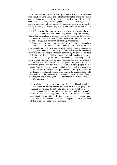force. God was responsible for both good and evil. But with influences from Iran, Egypt, and Greece came a tendency to explain evil as the work of demons. Soon after, people began to see manifestations of evil spirits everywhere, and »every misfortune, every illness, and particularly, under the name of possession, all disorders of the nervous system were ascribed to them,« according to Charles Guignebert in The Jewish World in the Time of Jesus.

Hitler's early speeches were so mesmerizing that even people who were repelled by his ideas felt themselves being swept along. The playwright Eugene Ionesco mentions in his autobiography that he received the inspiration for Rhinoceros when he felt himself pulled into the Nazi orbit at a mass rally and had to struggle to keep from developing »rhinoceritis.«

We »catch« ideas, too, because we want to be like others, particularly when we want not to be our despised selves. If we're satisfied, we don't need to conform, but if we're not, we imitate people whom we admire for having greater judgment, taste, or good fortune than we do. Obedience itself is a kind of imitation. Through conformity, the person who feels inferior is in no danger of being exposed. He's indistinguishable from the others. No one can single him out and examine his unique being. Conformity, in turn, sets him up to be further canceled out as an individual, to have no life apart from his collective purpose. This gives a movement tremendous power over the individual. Even intelligent people are not immune from the desire to conform. Heinrich Hildebrandt, a schoolteacher who was anxious to hide his liberal past, joined the Nazi party, and to his own disgust, found himself »proud to be wearing the insignia. It showed I 'belonged,' and the pleasure of 'belonging,' so soon after feeling excluded, isolated, is very great. . . . I belonged to the 'new nobility.' »

Hoffer observes:

Above all, he [the true believer] must never feel alone. Though stranded on a desert island, he must still feel that he is under the eyes of the group. To be cast out from the group should be equivalent to being cut off from life.

This is undoubtedly a primitive state of being, and its most perfect examples are found among primitive tribes. Mass movements strive to approximate this primitive perfection, and we are not imagining things when the anti-individualist bias of contemporary mass movements strikes us as a throwback to the primitive.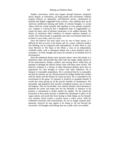Sudden conversions, which may happen through hypnosis, emotional shock, despair, or exhaustion, can bring people into movements. William Sargant believes an apparently well-balanced person, »dominated by hypnoid and slightly suggestible brain activity,« may suddenly give up his »previous intellectual training and habits of rational thought,« to accept »ideas which he would normally find repellent or even patently nonsensical.« Sargant is convinced that a heightened state of suggestibility accounts for many cases of demonic possession, or for sudden salvation. The history of mysticism offers instances of extreme opinions instantly reversed. The critical faculty is suspended, and what was formerly believed to be black is now white, and vice-versa.

Once the believer has been taken over by one of these means, it is difficult for him to revert to his former self. In a sense, collective totalitarian thinking can be compared with schizophrenia. In both, there is, says Joost Meerloo in The Rape of the Mind, a »loss of an independent, verifiable reality, with a consequent relapse into a more primitive state of awareness.« In both, thought and action are arrested at an infantile level of development.

Since the totalitarian denies man's dynamic nature, views him simply as a submissive robot, and provides this robot with one single, simple answer to all the ambivalences, doubts, conflicts, and warring drives within him, all attempts to dislodge the official cliches clash with those same cliches. The believer's isolation in a fortress of other delusional thinkers gives him no opportunity for clear thought or contact with other influences. He is immune to reasonable propositions. He is convinced that he is reasonable, and that his enemies are not. Having burned his bridges behind him, broken with his family and old friends, he cannot go back. He is committed to his involvement in the group. To renounce it would be to repudiate himself. It would also mean giving up all the psychic benefits of omnipotence. His personality and prejudices have become crystallized around a set of actions and dogmas. They are irreversible. Any external stimulus which threatens to penetrate his armor and make him see the absurdity or injustice of his position is rationalized to further harden his rigidity. He has joined the movement at least partly because it handed him stereotypes in place of his vague notions and saved him from having to think things out for himself. Any stimulus which evokes a symbol causes a reflex action. With his weakened conscience and consciousness, he can no longer respond spontaneously, however he may appear to be doing so. He has become the movement. All thoughts and feelings that are at odds with it are snuffed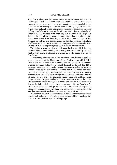#### 160 GODS AND BEASTS

out. This is what gives the believer the air of a one-dimensional man. He lacks depth. There is a limited range of possibilities open to him. If one wants, therefore, to convert him back to an autonomous human being, one finds that there is nobody at home. His mind is shut tight against new ideas. The slogans and ready-made judgments he has absorbed stretch forward into infinity. The believer is protected for all time. Within his sacred circle, all other knowledge is taboo. One might say that the most telltale sign of a believer is his refusal to examine ideas other than the divine commandments which have been implanted in him. One can't get to him because he will not and cannot engage in dialogue. What is particularly maddening about him is that, sterile and unimaginative, he masquerades as an exemplary man, an objective guide eager to spread enlightenment.

The ability to exercise his own judgment, having atrophied, is never restored. Even if he should drop out of one group, he will quickly seek and find another. Like a drug addict who needs his fix, he cannot live without his cliches.

At Nuremberg after the war, Allied examiners were shocked to see how unrepentant some of the Nazis were. Julius Streicher cried »Heil Hitler! Heil Hitler! Heil Hitler!« at his execution, until the opening of the trap door muffled his voice. Arthur Seyss-Inquart declared, to the last, that Hitler remained »the man who made Greater Germany a reality in history.« Rudolf Hoess, by his own admission »completely filled, indeed obsessed« with his monstrous goal, was not guilty of arrogance when he proudly declared that »Auschwitz became the greatest human extermination center of all time.« He was one of the countless ordinary men who had been turned into a believer. He gave validity to Hitler's contention »that by the clever and continuous use of propaganda a people can even be made to mistake heaven for hell, and vice versa, the most miserable life for Paradise.« As Hitler knew better than perhaps anyone else: »The essence of propaganda consists in winning people over to an idea so sincerely, so vitally, that in the end they succumb to it utterly and can never again escape from it.«

We need not, however, look as far back as Nazi Germany for examples of people undergoing personality changes and extreme shifts in ideology. We can learn from present-day American groups.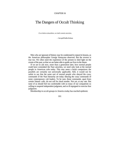#### CHAPTER 16

# The Dangers of Occult Thinking

If we believe absurdities, we shall commit atrocities.

—Sarvepalli Radha Krishnan

Men who are ignorant of history may be condemned to repeat its lessons, as the American philosopher George Santayana observed. But the reverse is true too. We often need the experience of the present to shed light on the events of the past, so that we are better able to guide our lives in the future.

If we are to ask now, more than a generation later, how normal people could have committed the Nazi atrocities, we need only look at the normal people in American cults today. This may seem a harsh comparison; the parallels are certainly not universally applicable. Still, it would not be unfair to say that the same sort of normal people who obeyed the crazy commands of the Nazi hierarchy are today obeying the crazy commands of some contemporary cult leaders. To be sure, those commands, apart from certain Satanic cults, do not call for ritual murder. Not yet, at any rate. But none of us should feel too comfortable with so many of our compatriots so willing to suspend independent judgment, and so ill equipped to exercise that judgment.

Membership in occult groups in America today has reached epidemic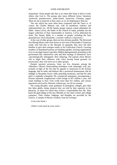proportions. Some people take this as an omen that Satan is hard at work; others, that God is. The groups take many different forms: Satanism, witchcraft, pseudoscience, mind-control, mysticism, Christian, pagan. Most are not as innocent as they seem, as we are beginning to find out.

The one which has most often been compared with the Nazis is, of course, the Charles Manson cult, with its murderous violence and sadomasochistic sex. All the Satanic groups express a great admiration for Hitler. Anton LaVey, the leader of the Church of Satan, probably has the largest collection of Nazi memorabilia in America. LaVey dedicated his book, The Satanic Bible, to a number of people, including the Nazi geopolitician »Karl Haushofer, a teacher without a classroom.«

In the case of other groups, there are less obvious parallels. The Reverend Sun Myung Moon came from Korea to save tens of thousands of American youth, who hail him as the Messiah. In gratitude, they have left their families to give their energies totally to his Unification Church. Growing numbers of abandoned parents are banding together, forming organizations to try to use legal means to get their children deprogrammed, protesting to the government that »destructive cults and their strategy of alienation« have »psychologically kidnapped« their offspring. The parents chose Moon's cult to begin their offensive with. Once having found grounds for prosecution, they will move on to other groups.

Despite parental pressures, there are few dropouts among the »Moonies.« Moon's brainwashing techniques work amazingly well, particularly in light of the fact that he appeals to Americans in the Korean language, that he looks and behaves like a provincial businessman, that he indulges in Byzantine luxury while preaching asceticism, and that his sales pitch is markedly uninspired. His commercial enterprises, encompassing a Korean industrial conglomerate which brings in \$15 million a year, real estate holdings in New York worth more than \$11 million, and various operations serviced by Moonies without pay, are all tax-exempt.

The young disciples, some graduates of prestigious colleges, give their free labor gladly, doing whatever they are told by their superiors in the hierarchy, in return for which they receive a responsibility-free life. They hawk the glad tidings of the new Messiah on city street corners and college campuses. Their clothes, lodgings, and thoughts are provided by the Church. A sample of Moon's wisdom, from his writings:

»I am your brain.«

»What I wish must be your wish.«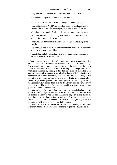»My mission is to make new hearts, new persons.« »Satan is

everywhere and you are vulnerable to his attack.«

»... Satan confronted Jesus, working through the Jewish people...«

»During the second World War, 6 million people were slaughtered to cleanse all the sins of the Jewish people from the time of Jesus.«

»Of all the saints sent by God, I think I am the most successful one.«

»The time will come . . . when my words will almost serve as law. If I ask a certain thing it will be done.«

»The whole world is in my hand, and I will conquer and subjugate the world.«

»By putting things in order, we can accomplish God's will. All obstacles to this world must be annihilated.«

»Our strategy is to be unified into one with ourselves, and with that as the bullet we can smash the world.«

Many people drift into Moon's groups after drug experiences. The emotional »high« in meetings and meditation is likened to the drug high. The evangelist group on the corner is always on the lookout for the lonely figure in the crowd. After a brief discussion, they invite the prospect to join them at an introductory lecture, enclose him in a circle of friendship. Next comes a weekend workshop, with relentless hours of indoctrination in a syncretism of Eastern mysticism, occultism, and instant psychology. The recruit is given nonstop tender, loving care. Hints are dropped about Moon's supernatural powers. Those who go on to a week-long workshop will probably stay, donate their lives to the Church, and be stamped with identical robot-like smiles. An observer, watching a prayer session, compared it to a voodoo ceremony.

Moon was a relatively late arrival on the wave that brought in planeloads of gurus from India, Japan, China, and Tibet. In their own countries they were as familiar as a bowl of rice, whereas in America they were exotic, but for all that, they caught on here as fast as franchised fast-food chains and were advertised in a similar manner, as part of the growing »growth« movement, which has become a profitable industry.

The McDonald's of that movement, as one writer called it, is TM, whose Maharishi Mahesh Yogi, with white wraps and irrepressible giggles, looks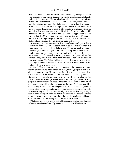like a bearded infant, but has turned out to be cunning enough to harness »big science« by converting quantum physicists, astronauts, psychologists, and medical researchers. He has also been clever enough not to alienate parents, but has converted them as well. TM, he declares, is not a religion. Yet the initiation ceremony is Hindu, and each individual is assigned a mantra which, he is told, has special properties suitable to him alone. He is never to repeat this mantra to anyone. The initiator who assigns the mantra has only a few vital statistics to guide his choice. Those who take up TM themselves do not know—or will not say—how the appropriate mantras are distributed. »Maybe,« one psychiatrist-convert told me, »it's done on the basis of astrological signs.« One TM scientist, Dr. Harold Bloornfield, flatly declares that using the wrong mantra might kill you.

Scientology, another variation with science-fiction neologisms, has a native-born chief, L. Ron Hubbard, former science-fiction writer. His group conditions its people to believe that if you so much as oppose Scientology it might kill you. One does not drop out of such a group lightly. Some former Scientologists have met with mysterious deaths, and some enemies of Scientology—«suppressives« or »potential trouble sources,« they are called—have been harassed. There are all sorts of unsavory rumors. Yet Father Hubbard's cupboard is far from bare. Some years ago, a reporter figured his »take« to be \$140,000 a week. It has undoubtedly grown since then.

L. Ron Hubbard's most formidable competitor at the moment is an even sharper salesman who once earned his living training people to sell encyclopedias door-to-door. He was born Jack Rosenberg, but changed his name to Werner Hans Erhard. A former student of Scientology and Mind Dynamics, he eventually packaged his own »growth« elixir, called est (for Erhard Seminars Training), which uses Storm Trooper tactics to bring people to enlightenment. Est people insist that it's incorrect to think of the process as brainwashing, since no coercion is used. But if one considers brainwashing to include the breaking down of old beliefs and the systematic indoctrination in new beliefs, then est, like so many other contemporary cults, is brainwashing, and doing it successfully. The trainee has only a vague idea of what to expect when he comes for the first and second weekend seminars, because people who have been through the training are told not to spoil it for newcomers by telling them in advance what happens.

What does happen is awesome or frightening, depending on your frame of reference. Two hundred and fifty people sit in uncomfortable chairs for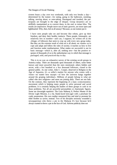sixteen hours a day over two weekends, with only two breaks a day determined by the trainer—for eating, going to the bathroom, smoking, talking, moving about, or note-taking. Harangued and insulted, the participants are brought to the edge of despair. Group dynamics are so skillfully manipulated as to convert them, in the end, to estian bliss. The results are impressive. People move out of static grooves, are more open and lighthearted. Why, then, feel at all uneasy? Because, as one trainee put it:

I have seen people take est and become like robots, give up their freedom, and deny their healthy instincts. These people, fortunately, are relatively few in number—and can, I suppose, be written off as the »fringe« of followers that seem to crop up with every new group today. But they are the extreme result of what est is all about: est »trains« us to cope and adapt and follow the rules of society; it teaches us how to live and function under totalitarianism. What makes est successful is not its basic message—which is, after all, nothing new—but the positive response of thousands of us to the authoritarian way in which that message is packaged, sold, and practiced day to day.

This is in no way an exhaustive survey of the existing occult groups in America today. There are thousands upon thousands of others, some better known and more powerful than the ones mentioned, others hidden and secret, with a few hundred or a few thousand followers, closed to the general public. As one writer, John C. Cooper, observed in Religion in the Age of Aquarius, it's »a seller's market for anyone who comes with a vision—no matter how myopic—of how the universe hangs together around the groping individual.« Millions of people belong to what are called »the new religions« and more are joining daily. These are not fads. On the contrary, they represent the beginning of a mass »consciousness« movement which is helping many people to solve personal and social problems. It is certainly helping the leaders of these groups to cash in on those problems. Not all are powerful personalities or charismatic figures. Some are downright repulsive. The Guru Maharaj Ji, Perfect Master of the Divine Light Mission, is a fat, blank-faced teen-ager with a penchant for costly possessions. His own mother renounced him and tried to promote his elder brother as savior, instead. Two of his disciples seriously wounded a newspaperman who threw a pie in the Maharaj Ji's face because he'd always wanted to throw a pie in the face of God. Adverse publicity does not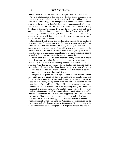seem to have affected the devotion of disciples, who still kiss his feet.

Gross or slick, ascetic or fleshpot, every leader's claims to special favor from the gods are validated by his disciples. Moon, Hubbard, and the Maharishi Mahesh Yogi offer photographs of themselves which disciples relate to in the same way that Catholics relate to photographs of paintings of Jesus Christ. The transition from teacher to Messiah can sometimes easily be charted. Hubbard's passage from one to the other is still not quite complete, but he is definitely in transit, according to George Malko, »off on a new tangent, rhetorically asking his followers 'Who is the Messiah?' only to answer with a parable involving a powerful, barrel-chested man with red hair,« remarkably like himself.

Both Hubbard and Erhard are Machiavellian enough to be careful to wipe out potential competition when they see it in their more ambitious followers. The Messiah business has many advantages. You don't need academic training or degrees. No financial investment is necessary, and the financial rewards are unreal. No mortal work is more prestigious. Even an unexalted past is no deterrent. Moon, Hubbard, and Erhard have managed to rationalize theirs, just as nineteenth-century prophets did.

Though each group has its own distinctive style, people often move freely from one to another. Some observers have been surprised at the attraction of former radical revolutionary Rennie Davis to the Divine Light Mission. Jerry Rubin, the former Yippie leader, has sampled such a smorgasbord of cults that he's been labeled a »guru whore.« If the true believer seeks to lose or validate himself in a movement, a spiritual movement can serve as well as a political one.

The spiritual and political often merge with one another. Esoteric leaders have been known to act as advisers to governments. Reverend Moon, who has enjoyed the protection of the South Korean government, prepares his disciples to be ready to lay down their lives for that government, the »fatherland« of the Unification Church. He came to America with more influence and hard cash than is usual at the beginning of religious careers. He organized a political arm in Washington, D.C., called the Freedom Leadership Foundation, which sponsored talks and publications dedicated to fighting communism in America and supporting the South Korean government. Church publications reproduce photographs of Moon taken with Senators Hubert Humphrey, James Buckley, Edward Kennedy, and Strom Thurmond. When Nixon met his Watergate, Moonies prayed for the government and held demonstrations in Washington. Moon, claiming to be under orders from God, took full-page ads in major newspapers throughout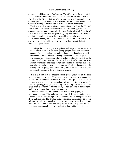the country: »This nation is God's nation. The office of the President of the United States is therefore sacred. . . . God has chosen Richard Nixon to be President of the United States.« With Moon's move to America, he seems to have given up the idea that the Koreans are the chosen people of the twentieth century and now bestows that honor on the Americans.

The Maharishi Mahesh Yogi courts the military as well as the National Aeronautics and Space Administration. A few army generals and astronauts have become enthusiastic disciples. Major General Franklin M. Davis is excited over the prospect of getting the whole U.S. Army to meditate. It would help solve the drug problem, he believes.

To young people, the new religions are compatible with radical politics—usually of the right—because they view both as anti-Establishment. John C. Cooper observes:

Perhaps the connecting link of politics and magic in our times is the unconscious awareness of many young people that while the external actions of a hippie spellcasting and the rhetoric and hoopla of a political convention are only window dressing, somewhere within the group, and perhaps in a way not responsive to the wishes of either the majority or the minority of those involved, decisions that will affect the course of human events are being made. When men feel that for all their hard work and all their good wishes they are cheated out of a share of control over the destiny of their group, then superstition grows in the area of man's spirit and rebellion arises in the area of man's actions.

It is significant that the modern occult groups grew out of the drug scene—replaced it, in effect. Drugs were not just a way out of insupportable reality, but a religious experience, search, and preoccupation. It is noteworthy that contemporary gurus boast of providing the only successful means for getting young people off drugs. Either drugs or the meditation the gurus offer is a means of finding a way to feel at home in technological society without conflicting with its operation.

The drug scene, like the modern cults, had its own jargon, rituals, and communal sharing. With both, an inner core of deeply committed practitioners drew to itself a fringe of imitative onlookers who copied the lifestyles and formulas. The drug adventure has really been preempted by the spiritual search for meaning, creating the same ecstasies, visions, confusion of the senses, and synthetic paradise. Instead of passing around a joint, some young people are now chanting together. But they still live in a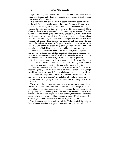»holy« place completely alien to the uninitiated, who are repelled by their orgiastic delirium, and whom they accuse of not understanding because they »haven't been there.«

It is significant, too, that the modern occult movement began simultaneously with America's involvement in the distasteful war in Vietnam, which intensified the feeling of impotence. The occult movement will help to prepare its followers for the »brave new world« that's coming. Many observers have already remarked on the similarity in manner of people within each individual group, and among groups in general, even those which purport to make people free. They have been compared with robots, automata, and zombies, for good reason. Despite the promise that their training will increase their capacity for alertness and their ability to face reality, the influence exerted by the group, whether intended or not, is the opposite. One cannot be successfully propagandized without losing some essential part of individual humanity. It is odd to talk with some of the cult members about a speculative point—say, for instance, the astral plane— and see how very wise and absolute they appear in discussing an irrational tenet which they have never examined. And when one asks »Why?« in a class in esoteric philosophy, one is told, » 'Why?' is the devil's question.«

No doubt, some cults really do help some people. They are frightening nonetheless. Occultists themselves are frightened. The hypnotic effect is powerful, whatever the quality of the particular leader or doctrine.

When we remember that the Nazi party arose out of the merger of mystical groups, there is cause for even more distress. These groups considered themselves sacred. Faith in a holy cause had taken possession of them. They were completely incapable of objectivity. What they did was not seen by many of them as evil. This pathological blindness convinced them that they were participating in the superhuman task of ridding the world of a menace.

There were those ambitious men, too, who saw an opportunity to advance in the hierarchy. Once they climbed to a certain height, they had a large stake in the Nazi movement. In maintaining the supremacy of the group, they had individual power. Obedience and devotion insured their success. Like the ancient Aryan conquerors of India, they created a society so structured that no citizen could do anything without official sanction. The Chandala, the lowest Aryan caste, became, figuratively, the Jew.

The Brahmins, using the authority of the Vedas, created, through the laws of Manu, a totalitarian organization which corrupted the wisdom of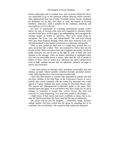Eastern philosophy and so invaded every area of private Hindu life that it was impossible to go to the bathroom without obeying certain strictures. They squeezed the heart out of India. Twentieth-century Aryans, emulating the Brahmins, set up their own ideas of caste, but instead of favoring hereditary aristocracy, made it possible for the credulous, ambitious, and unscrupulous to rise to the top.

We have an opportunity, in watching contemporary groups evolve before our eyes, to recreate what must have happened in Germany before and after World War I, to fill in gaps in our understanding, and to recognize the German people as similar to ourselves. They were swept along by »prophets« like Lanz, List, and Sebottendorff. The well-to-do among them gave them financial backing, which must have reassured Lanz, List, and Sebottendorff in their beliefs in themselves as Messiahs and heralds.

Then, as now, people put their trust in a single man, revered him as a saint, loved him like a father. They were prepared to follow him into the bowels of Hell. Hitler was said to have had a magnetic personality, but this is hardly necessary, nor was he seen in this light by some of those who were immune to his message. There are leaders preaching to multitudes today who have no discernible power to attract, other than the will of people to believe in them. And no matter how ridiculous the edicts handed down from on high—perhaps because they are ridiculous—believers are eager to justify and rationalize.

I have been present at meetings where proselytes, presumably sane and rational, accepted without question irrational doctrines presented portentously, believing that they were receiving revealed truth.

I have also been present at a protest rally sponsored by parents who had lost their children to the Pied Piper of the Unification Church. It was a pitifully thin crowd compared with the twenty-five thousand who would appear at Yankee Stadium that same evening for Reverend Moon's rally. The parents and deprogrammed ex-Moonies spoke to the press. They repeated again and again: »You won'tbelieve this. How could you? It's all so strange, so irrational. It sounds like science fiction. But don't kid yourself. It's really happening. You must alert people to the danger.«

I didn't know if their stories had much credibility to others, but to me, after all I had learned about the Nazis, they had the ring of authenticity.

One parent told me that her daughter, a wholesome, bright, dynamic college student, had been sucked into the group by attending one of its weekends. She was idealistic. She wanted to help combat the drug prob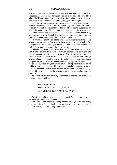lem. After one week of indoctrination, she was hooked on Moon. »I didn't recognize her when I saw her again,« said her mother. »She was like a robot. She'd been thoroughly brainwashed. She'd taken on a whole set of new ideas. It was the most frightening thing you can imagine.«

The brainwashing process was systematic. Trainees were taught to practice »heavenly deception« in canvassing for funds for Moon. »Heavenly deception« encompassed the use of subliminal suggestion on prospective contributors. Moonies were indoctrinated to smile in a particular way. Their parents' lives, they were told, depended on their movement. They were to save the world through their mission, and eventually they would be groomed to enter politics and take over world government.

»All we talked about was taking over,« an ex-Moonie told me. »This was an army we were in. We screamed that we were heavenly bullets. We were going to take over the government and then the country without one bullet. We would take over and rule the world.«

Gradually, they were made to see that their families were Satanic. Mail from home was kept from them. They were shifted about the world and kept from contact with friends and relatives. If they tried to drop out other Moonies were dispatched to bring them back. The Unification »family« was not a happy community, however it might have appeared to outsiders. Fatigued and ill-fed, they were constantly competing to meet fund-raising quotas. The rigorous program, which entailed unexpected reveilles in the middle of the night and flashlit mountain marches, sometimes led to physical accidents, which were hushed up. Moonies did not really get along with each other. Hysteria, anxiety, guilt, and terror resulted from the pressure.

The parents at the protest rally, determined to get their children back, paraded placards which read:

### REMEMBER HITLER NO MORE HITLERS . . . STOP MOON MOON IS DESTROYING AMERICA'S YOUTH

»Aren't they taking themselves too seriously?« one reporter asked. »Moon's group seems so innocuous.«

»The Hitler Youth began by raising money, selling flowers and candy most aggressively. Parents in Germany must have felt this way about their kids,« I answered. »And with good reason.«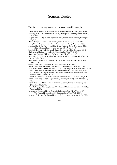## Sources Quoted

This list contains only sources not included in the bibliography.

Alleau, Rene, Hitler et les societes secretes. Editions Bernard Grasset (Paris, 1969).

Blavatsky, H. P., The Secret Doctrine, Vol. II, Theosophical University Press (Pasadena, Calif., 1974).

Cooper, John C., Religion in the Age of Aquarius, The Westminster Press (Philadelphia, Pa., 1971).

Dicks, Henry V., Licensed Mass Murder, Basic Books, Inc. (New York, 1972).

Ebon, Martin, Prophecy in Our Time, New American Library (New York, 1968).

Fest, Joachim C, The Face of the Third Reich, Pantheon Books (New York, 1970).

------- , Hitler, Harcourt Brace Jovanovich, Inc. (New York, 1974).

Fraenkel, Heinrich, »Is Hitler Youth Curable?«, New Republic, September 18, 1944.

Graf, Arturo, The Story of the Devil, Macmillan Co. (New York, 1931).

Grunberger, Richard, Hitler's SS, Delacorte Press (New York, 1970).

- Hartshorne, E. Y., German Youth and the Nazi Dream of Victory, Farrar & Rinehart, Inc. (New York, 1941).
- Hitler, Adolf, Hitler's Secret Conversations 1941-1944, Farrar, Straus & Young (New York, 1953).
- -------- , Mein Kampf, Houghton Mifflin Co. (Boston, Mass., 1943).

Hohne, Heinz, The Order of the Death's Head, Coward-McCann, (New York, 1970).

Jaffe, Aniela, From the Life and Work of C. G. Jung, Harper & Row (New York, 1971).

Leasor, James, The Uninvited Envoy, McGraw-Hill Book Co., Inc. (New York, 1962).

List, Guido von, Die Religion der Ario-Germanen in ihrer Esoterik und Exoterik, Guido von List-Verlag (Vienna, 1910).

Lowenthal, Marvin, The Jews of Germany, Longmans, Green & Co. (New York, 1936).

Mayer, Milton, They Thought They Were Free, University of Chicago Press (Chicago, Ill., 1955).

Merkl, Peter H., Political Violence Under the Swastika, Princeton University Press (Princeton, N.J., 1975).

Pauwels, Louis, and Bergier, Jacques, The Dawn of Magic, Anthony Gibbs & Phillips (London, 1960).

Rauschning, Hermann, Men of Chaos, G. P. Putnam's Sons (New York, 1942).

------- , The Voice of Destruction, G. P. Putnam's Sons (New York, 1940).

Ravenscroft, Trevor, The Spear of Destiny, G. P. Putnam's Sons (New York, 1973).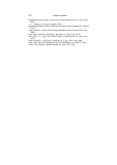#### 172 Sources Quoted

- Schellenberg, Walter, Hitler's Secret Service, Pyramid Publications, Inc. (New York, 1974).
- -------- , Memoirs, A. Deutsch (London, 1956).
- Sebottendorff, Rudolf von, Bevor Hitler Kam, Deufula-Verlag Grassinger & Co. (Munich, 1933).
- Shirer, William L., The Rise and Fall of the Third Reich. Simon & Schuster (New York, 1960).
- Speer, Albert, Inside the Third Reich, Macmillan Co. (New York, 1970).
- Stern, Paul J., C. G. Jung: The Haunted Prophet, George Braziller, Inc. (New York, 1976).
- Walsh, Edmund A., Total Power, Doubleday & Co., Inc. (New York, 1948).
- Webb, James, The Occult Underground, Open Court Publishing Co. (La Salle, Ill., 1974).
- Wykes, Alan, Himmler, Ballantine Books, Inc. (New York, 1972).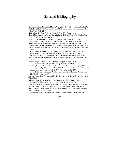# Selected Bibliography

- Hanfstaengl, Ernst, Hitler: The Missing Years, Eyre & Spottiswoode (London, 1957).
- Heckethorn, Charles W., Secret Societies of All Countries, Vol. II, New Amsterdam Book Co. (New York, 1897).
- Hoffer, Eric, The True Believer, Harper & Row (New York, 1951).
- Howe, Ellic, Astrology: A Recent History Including the Untold Story of Its Role in World War II, Walker & Co. (New York, 1968).
- Jung, C. G., Civilization in Transition, Pantheon Books (New York, 1964).
- ------- , Letters 1906-1950, Princeton University Press (Princeton, N.J., 1973).
- ------- , Psychology and Religion: West and East, Pantheon Books (New York, 1958).
- Kersten, Felix, The Memoirs of Dr. Felix Kersten, Doubleday & Co., (New York, 1947).
- Kubizek, August, The Young Hitler I Knew, Houghton Mifflin Co. (Cambridge, Mass., 1955).
- Langer, Walter, The Mind of Adolf Hitler, Basic Books, Inc. (New York, 1972).
- Laqueur, Walter Z., Young Germany, Basic Books, Inc. (New York, 1962).
- Ludecke, Kurt Georg, I Knew Hitler, Charles Scribner's Sons (New York, 1937).
- Meerloo, Joost A. M., The Rape of the Mind, World Publishing Co. (Cleveland, Ohio, 1956).
- Mosse, George L., The Culture of Western Europe (Chicago, 1961).
- ------- , ed., Nazi Culture, Grosset & Dunlap (New York, 1966).
- Mumford, Lewis, »The Revolt of the Demons,« The New Yorker, May 23, 1964.
- Phelps, Reginald H., » 'Before Hitler Came': Thule Society and Germanen Orden,« The Journal of Modern History, Vol. XXXV, No. 3. (September 1963).
- ------- , »Hitler and the Deutsche Arbeiterpartei,« American Historical Review, Vol. LXVIII, No. 4 (July 1963).
- Podmore, Frank, From Mesmer to Christian Science, University Books, Inc. (Secaucus, N.J., 1963).
- Poliakov, Leon, The Aryan Myth, Basic Books, Inc. (New York, 1974).
- Reiss, Curt, Total Espionage, G. P. Putnam's Sons (New York, 1941).
- Roberts, Stephen H., The House That Hitler Built, Harper & Bros. (New York, 1938).
- Sargant, William, The Mind Possessed, J. B. Lippincott Co. (New York, 1974).
- Smith, Bradley F., Henrich Himmler: A Nazi in the Making, 1900-1926, Hoover Institution Press (Stanford, California, 1971).
- Trachtenberg, Joshua, The Devil and the Jews, Meridian Books (New York, 1970).